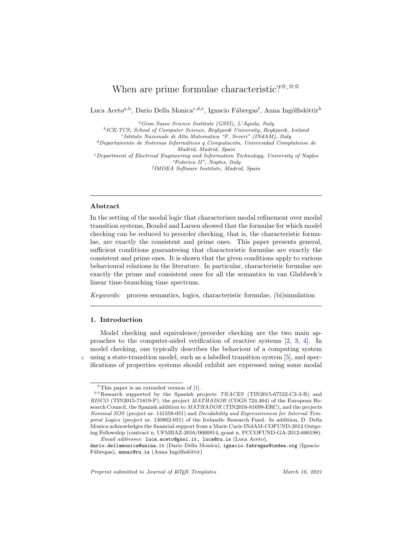# When are prime formulae characteristic?  $\star$ ,  $\star \star$

Luca Aceto<sup>a,b</sup>, Dario Della Monica<sup>c,d,e</sup>, Ignacio Fábregas<sup>f</sup>, Anna Ingólfsdóttir<sup>b</sup>

<sup>a</sup>Gran Sasso Science Institute (GSSI), L'Aquila, Italy

b ICE-TCS, School of Computer Science, Reykjavik University, Reykjavik, Iceland c Istituto Nazionale di Alta Matematica "F. Severi" (INdAM), Italy  ${}^{d}$ Departamento de Sistemas Informáticos y Computación, Universidad Complutense de Madrid, Madrid, Spain <sup>e</sup>Department of Electrical Engineering and Information Technology, University of Naples "Federico II", Naples, Italy f IMDEA Software Institute, Madrid, Spain

## Abstract

In the setting of the modal logic that characterizes modal refinement over modal transition systems, Boudol and Larsen showed that the formulae for which model checking can be reduced to preorder checking, that is, the characteristic formulae, are exactly the consistent and prime ones. This paper presents general, sufficient conditions guaranteeing that characteristic formulae are exactly the consistent and prime ones. It is shown that the given conditions apply to various behavioural relations in the literature. In particular, characteristic formulae are exactly the prime and consistent ones for all the semantics in van Glabbeek's linear time-branching time spectrum.

Keywords: process semantics, logics, characteristic formulae, (bi)simulation

#### 1. Introduction

Model checking and equivalence/preorder checking are the two main approaches to the computer-aided verification of reactive systems [\[2,](#page-31-0) [3,](#page-31-1) [4\]](#page-31-2). In model checking, one typically describes the behaviour of a computing system using a state-transition model, such as a labelled transition system  $[5]$ , and specifications of properties systems should exhibit are expressed using some modal

Preprint submitted to Journal of  $\mu$ <sub>TF</sub>X Templates March 16, 2021

 $\overrightarrow{r}$ This paper is an extended version of [\[1\]](#page-31-4).

<sup>✩✩</sup>Research supported by the Spanish projects TRACES (TIN2015-67522-C3-3-R) and RISCO (TIN2015-71819-P), the project MATHADOR (COGS 724.464) of the European Research Council, the Spanish addition to  $MATHADOR$  (TIN2016-81699-ERC), and the projects Nominal SOS (project nr. 141558-051) and Decidability and Expressiveness for Interval Temporal Logics (project nr. 130802-051) of the Icelandic Research Fund. In addition, D. Della Monica acknowledges the financial support from a Marie Curie INdAM-COFUND-2012 Outgoing Fellowship (contract n. UFMBAZ-2016/0000914, grant n. PCCOFUND-GA-2012-600198). Email addresses: luca.aceto@gssi.it, luca@ru.is (Luca Aceto),

dario.dellamonica@unina.it (Dario Della Monica), ignacio.fabregas@imdea.org (Ignacio Fábregas), annai@ru.is (Anna Ingólfsdóttir)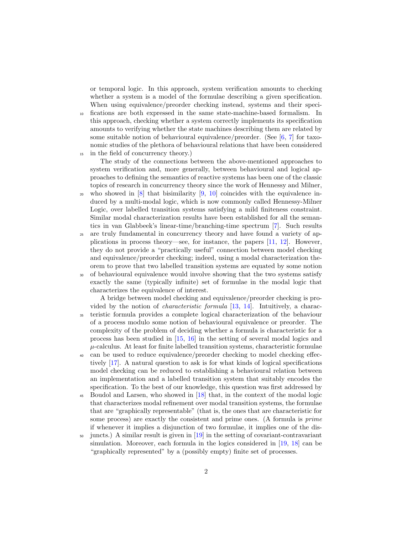or temporal logic. In this approach, system verification amounts to checking whether a system is a model of the formulae describing a given specification. When using equivalence/preorder checking instead, systems and their speci-

<sup>10</sup> fications are both expressed in the same state-machine-based formalism. In this approach, checking whether a system correctly implements its specification amounts to verifying whether the state machines describing them are related by some suitable notion of behavioural equivalence/preorder. (See  $[6, 7]$  $[6, 7]$  for taxonomic studies of the plethora of behavioural relations that have been considered <sup>15</sup> in the field of concurrency theory.)

The study of the connections between the above-mentioned approaches to system verification and, more generally, between behavioural and logical approaches to defining the semantics of reactive systems has been one of the classic topics of research in concurrency theory since the work of Hennessy and Milner, 20 who showed in [\[8\]](#page-31-7) that bisimilarity  $[9, 10]$  $[9, 10]$  coincides with the equivalence in-

- duced by a multi-modal logic, which is now commonly called Hennessy-Milner Logic, over labelled transition systems satisfying a mild finiteness constraint. Similar modal characterization results have been established for all the semantics in van Glabbeek's linear-time/branching-time spectrum [\[7\]](#page-31-6). Such results
- <sup>25</sup> are truly fundamental in concurrency theory and have found a variety of applications in process theory—see, for instance, the papers [\[11,](#page-31-10) [12\]](#page-31-11). However, they do not provide a "practically useful" connection between model checking and equivalence/preorder checking; indeed, using a modal characterization theorem to prove that two labelled transition systems are equated by some notion <sup>30</sup> of behavioural equivalence would involve showing that the two systems satisfy

exactly the same (typically infinite) set of formulae in the modal logic that characterizes the equivalence of interest.

A bridge between model checking and equivalence/preorder checking is provided by the notion of characteristic formula [\[13,](#page-31-12) [14\]](#page-32-0). Intuitively, a charac-<sup>35</sup> teristic formula provides a complete logical characterization of the behaviour of a process modulo some notion of behavioural equivalence or preorder. The complexity of the problem of deciding whether a formula is characteristic for a process has been studied in [\[15,](#page-32-1) [16\]](#page-32-2) in the setting of several modal logics and  $\mu$ -calculus. At least for finite labelled transition systems, characteristic formulae

- <sup>40</sup> can be used to reduce equivalence/preorder checking to model checking effectively [\[17\]](#page-32-3). A natural question to ask is for what kinds of logical specifications model checking can be reduced to establishing a behavioural relation between an implementation and a labelled transition system that suitably encodes the specification. To the best of our knowledge, this question was first addressed by
- <sup>45</sup> Boudol and Larsen, who showed in [\[18\]](#page-32-4) that, in the context of the modal logic that characterizes modal refinement over modal transition systems, the formulae that are "graphically representable" (that is, the ones that are characteristic for some process) are exactly the consistent and prime ones. (A formula is prime if whenever it implies a disjunction of two formulae, it implies one of the dis-
- <sup>50</sup> juncts.) A similar result is given in [\[19\]](#page-32-5) in the setting of covariant-contravariant simulation. Moreover, each formula in the logics considered in [\[19,](#page-32-5) [18\]](#page-32-4) can be "graphically represented" by a (possibly empty) finite set of processes.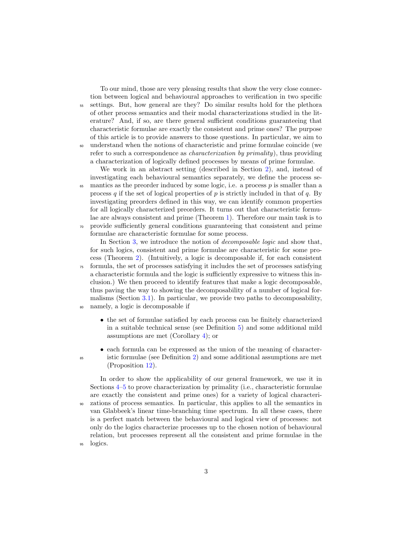To our mind, those are very pleasing results that show the very close connection between logical and behavioural approaches to verification in two specific <sup>55</sup> settings. But, how general are they? Do similar results hold for the plethora of other process semantics and their modal characterizations studied in the literature? And, if so, are there general sufficient conditions guaranteeing that characteristic formulae are exactly the consistent and prime ones? The purpose of this article is to provide answers to those questions. In particular, we aim to <sup>60</sup> understand when the notions of characteristic and prime formulae coincide (we refer to such a correspondence as characterization by primality), thus providing a characterization of logically defined processes by means of prime formulae.

We work in an abstract setting (described in Section [2\)](#page-3-0), and, instead of investigating each behavioural semantics separately, we define the process se- $65$  mantics as the preorder induced by some logic, i.e. a process p is smaller than a process q if the set of logical properties of  $p$  is strictly included in that of  $q$ . By investigating preorders defined in this way, we can identify common properties for all logically characterized preorders. It turns out that characteristic formulae are always consistent and prime (Theorem [1\)](#page-6-0). Therefore our main task is to <sup>70</sup> provide sufficiently general conditions guaranteeing that consistent and prime formulae are characteristic formulae for some process.

In Section [3,](#page-6-1) we introduce the notion of *decomposable logic* and show that, for such logics, consistent and prime formulae are characteristic for some process (Theorem [2\)](#page-7-0). (Intuitively, a logic is decomposable if, for each consistent <sup>75</sup> formula, the set of processes satisfying it includes the set of processes satisfying a characteristic formula and the logic is sufficiently expressive to witness this inclusion.) We then proceed to identify features that make a logic decomposable, thus paving the way to showing the decomposability of a number of logical for-

malisms (Section [3.1\)](#page-7-1). In particular, we provide two paths to decomposability, <sup>80</sup> namely, a logic is decomposable if

- the set of formulae satisfied by each process can be finitely characterized in a suitable technical sense (see Definition [5\)](#page-8-0) and some additional mild assumptions are met (Corollary [4\)](#page-10-0); or
- each formula can be expressed as the union of the meaning of character-
- 

<sup>85</sup> istic formulae (see Definition [2\)](#page-5-0) and some additional assumptions are met (Proposition [12\)](#page-11-0).

In order to show the applicability of our general framework, we use it in Sections [4](#page-11-1)[–5](#page-12-0) to prove characterization by primality (i.e., characteristic formulae are exactly the consistent and prime ones) for a variety of logical characteri-<sup>90</sup> zations of process semantics. In particular, this applies to all the semantics in van Glabbeek's linear time-branching time spectrum. In all these cases, there is a perfect match between the behavioural and logical view of processes: not only do the logics characterize processes up to the chosen notion of behavioural relation, but processes represent all the consistent and prime formulae in the <sup>95</sup> logics.

3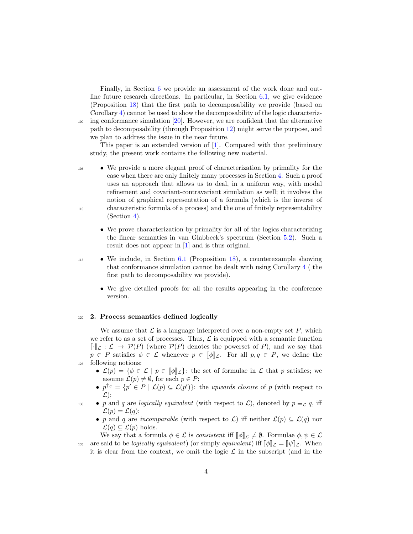Finally, in Section [6](#page-29-0) we provide an assessment of the work done and outline future research directions. In particular, in Section [6.1,](#page-29-1) we give evidence (Proposition [18\)](#page-30-0) that the first path to decomposability we provide (based on Corollary [4\)](#page-10-0) cannot be used to show the decomposability of the logic characteriz- $\mu_{100}$  ing conformance simulation [\[20\]](#page-32-6). However, we are confident that the alternative path to decomposability (through Proposition [12\)](#page-11-0) might serve the purpose, and we plan to address the issue in the near future.

This paper is an extended version of [\[1\]](#page-31-4). Compared with that preliminary study, the present work contains the following new material.

- <sup>105</sup> We provide a more elegant proof of characterization by primality for the case when there are only finitely many processes in Section [4.](#page-11-1) Such a proof uses an approach that allows us to deal, in a uniform way, with modal refinement and covariant-contravariant simulation as well; it involves the notion of graphical representation of a formula (which is the inverse of <sup>110</sup> characteristic formula of a process) and the one of finitely representability (Section [4\)](#page-11-1).
	- We prove characterization by primality for all of the logics characterizing the linear semantics in van Glabbeek's spectrum (Section [5.2\)](#page-20-0). Such a result does not appear in [\[1\]](#page-31-4) and is thus original.
- 
- $\bullet$  We include, in Section [6.1](#page-29-1) (Proposition [18\)](#page-30-0), a counterexample showing that conformance simulation cannot be dealt with using Corollary [4](#page-10-0) ( the first path to decomposability we provide).
	- We give detailed proofs for all the results appearing in the conference version.

## <span id="page-3-0"></span><sup>120</sup> 2. Process semantics defined logically

We assume that  $\mathcal L$  is a language interpreted over a non-empty set  $P$ , which we refer to as a set of processes. Thus,  $\mathcal L$  is equipped with a semantic function  $\llbracket \cdot \rrbracket_{\mathcal{L}} : \mathcal{L} \to \mathcal{P}(P)$  (where  $\mathcal{P}(P)$  denotes the powerset of P), and we say that  $p \in P$  satisfies  $\phi \in \mathcal{L}$  whenever  $p \in [\![\phi]\!]_{\mathcal{L}}$ . For all  $p, q \in P$ , we define the <sup>125</sup> following notions:

- $\mathcal{L}(p) = \{\phi \in \mathcal{L} \mid p \in [\![\phi]\!]_{\mathcal{L}}\}$ : the set of formulae in  $\mathcal{L}$  that p satisfies; we assume  $\mathcal{L}(p) \neq \emptyset$ , for each  $p \in P$ ;
- $p^{\uparrow} \mathcal{L} = \{p' \in P \mid \mathcal{L}(p) \subseteq \mathcal{L}(p')\}$ : the upwards closure of p (with respect to  $\mathcal{L}$ :
- 130 p and q are logically equivalent (with respect to  $\mathcal{L}$ ), denoted by  $p \equiv_{\mathcal{L}} q$ , iff  $\mathcal{L}(p) = \mathcal{L}(q);$ 
	- p and q are incomparable (with respect to  $\mathcal{L}$ ) iff neither  $\mathcal{L}(p) \subseteq \mathcal{L}(q)$  nor  $\mathcal{L}(q) \subset \mathcal{L}(p)$  holds.

We say that a formula  $\phi \in \mathcal{L}$  is consistent iff  $\llbracket \phi \rrbracket_{\mathcal{L}} \neq \emptyset$ . Formulae  $\phi, \psi \in \mathcal{L}$ 135 are said to be *logically equivalent*) (or simply *equivalent*) iff  $\llbracket \phi \rrbracket_{\mathcal{L}} = \llbracket \psi \rrbracket_{\mathcal{L}}$ . When it is clear from the context, we omit the logic  $\mathcal L$  in the subscript (and in the

4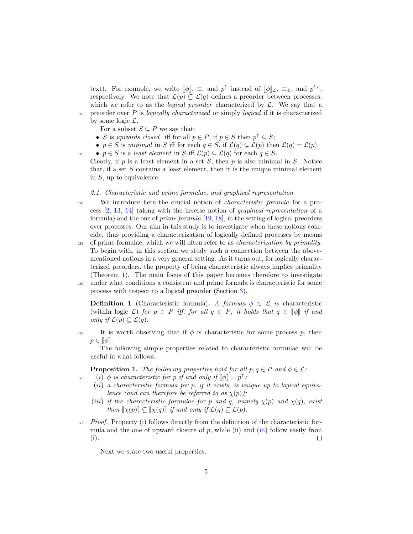text). For example, we write  $[\![\phi]\!]$ ,  $\equiv$ , and  $p^{\uparrow}$  instead of  $[\![\phi]\!]$ ,  $\equiv$ , and  $p^{\uparrow}$ , respectively. We note that  $\mathcal{L}(\alpha) \subseteq \mathcal{L}(\alpha)$  defines a preorder between processes. respectively. We note that  $\mathcal{L}(p) \subseteq \mathcal{L}(q)$  defines a preorder between processes, which we refer to as the *logical preorder* characterized by  $\mathcal{L}$ . We say that a 140 preorder over P is logically characterized or simply logical if it is characterized by some logic  $\mathcal{L}$ .

- For a subset  $S \subseteq P$  we say that:
- S is upwards closed iff for all  $p \in P$ , if  $p \in S$  then  $p^{\uparrow} \subseteq S$ ;
- $p \in S$  is minimal in S iff for each  $q \in S$ , if  $\mathcal{L}(q) \subseteq \mathcal{L}(p)$  then  $\mathcal{L}(q) = \mathcal{L}(p)$ ;
- 145 p ∈ S is a least element in S iff  $\mathcal{L}(p) \subseteq \mathcal{L}(q)$  for each  $q \in S$ .

Clearly, if  $p$  is a least element in a set  $S$ , then  $p$  is also minimal in  $S$ . Notice that, if a set  $S$  contains a least element, then it is the unique minimal element in S, up to equivalence.

#### 2.1. Characteristic and prime formulae, and graphical representation

- <sup>150</sup> We introduce here the crucial notion of characteristic formula for a process [\[2,](#page-31-0) [13,](#page-31-12) [14\]](#page-32-0) (along with the inverse notion of graphical representation of a formula) and the one of prime formula [\[19,](#page-32-5) [18\]](#page-32-4), in the setting of logical preorders over processes. Our aim in this study is to investigate when these notions coincide, thus providing a characterization of logically defined processes by means
	- <sup>155</sup> of prime formulae, which we will often refer to as characterization by primality. To begin with, in this section we study such a connection between the abovementioned notions in a very general setting. As it turns out, for logically characterized preorders, the property of being characteristic always implies primality (Theorem [1\)](#page-6-0). The main focus of this paper becomes therefore to investigate
	- <sup>160</sup> under what conditions a consistent and prime formula is characteristic for some process with respect to a logical preorder (Section [3\)](#page-6-1).

<span id="page-4-4"></span>**Definition 1** (Characteristic formula). A formula  $\phi \in \mathcal{L}$  is characteristic (within logic L) for  $p \in P$  iff, for all  $q \in P$ , it holds that  $q \in \llbracket \phi \rrbracket$  if and only if  $\mathcal{L}(p) \subseteq \mathcal{L}(q)$ .

165 It is worth observing that if  $\phi$  is characteristic for some process p, then  $p \in \llbracket \phi \rrbracket$ .

The following simple properties related to characteristic formulae will be useful in what follows.

<span id="page-4-3"></span>**Proposition 1.** The following properties hold for all  $p, q \in P$  and  $\phi \in \mathcal{L}$ : 170 (i)  $\phi$  is characteristic for p if and only if  $[\![\phi]\!] = p^{\uparrow}$ ;<br>(ii) a characteristic formula for p if it exists is used

- <span id="page-4-1"></span><span id="page-4-0"></span> $(ii)$  a characteristic formula for p, if it exists, is unique up to logical equivalence (and can therefore be referred to as  $\chi(p)$ );
- <span id="page-4-2"></span>(iii) if the characteristic formulae for p and q, namely  $\chi(p)$  and  $\chi(q)$ , exist then  $\llbracket \chi(p) \rrbracket \subseteq \llbracket \chi(q) \rrbracket$  if and only if  $\mathcal{L}(q) \subseteq \mathcal{L}(p)$ .
- <sub>175</sub> Proof. Property [\(i\)](#page-4-0) follows directly from the definition of the characteristic formula and the one of upward closure of  $p$ , while [\(ii\)](#page-4-1) and [\(iii\)](#page-4-2) follow easily from  $\Box$ [\(i\)](#page-4-0).

Next we state two useful properties.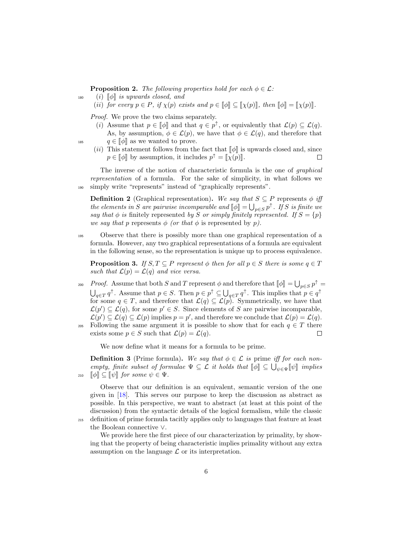<span id="page-5-2"></span><span id="page-5-1"></span>**Proposition 2.** The following properties hold for each  $\phi \in \mathcal{L}$ :

180 (i)  $\llbracket \phi \rrbracket$  is upwards closed, and

<span id="page-5-3"></span>(ii) for every  $p \in P$ , if  $\chi(p)$  exists and  $p \in \llbracket \phi \rrbracket \subseteq \llbracket \chi(p) \rrbracket$ , then  $\llbracket \phi \rrbracket = \llbracket \chi(p) \rrbracket$ .

*Proof.* We prove the two claims separately.

- (i) Assume that  $p \in [\![\phi]\!]$  and that  $q \in p^{\uparrow}$ , or equivalently that  $\mathcal{L}(p) \subseteq \mathcal{L}(q)$ .<br>As by essumption  $\phi \in \mathcal{L}(p)$  we have that  $\phi \in \mathcal{L}(q)$  and therefore that As, by assumption,  $\phi \in \mathcal{L}(p)$ , we have that  $\phi \in \mathcal{L}(q)$ , and therefore that <sup>185</sup>  $q \in \llbracket \phi \rrbracket$  as we wanted to prove.
	- (ii) This statement follows from the fact that  $[\![\phi]\!]$  is upwards closed and, since  $p \in [\![\phi]\!]$  by assumption, it includes  $p^{\uparrow} = [\![\gamma(p)]\!]$ .  $p \in [\![\phi]\!]$  by assumption, it includes  $p^{\uparrow} = [\![\chi(p)]\!]$ .

The inverse of the notion of characteristic formula is the one of graphical representation of a formula. For the sake of simplicity, in what follows we <sup>190</sup> simply write "represents" instead of "graphically represents".

<span id="page-5-0"></span>**Definition 2** (Graphical representation). We say that  $S \subseteq P$  represents  $\phi$  iff the elements in S are pairwise incomparable and  $[\![\phi]\!] = \bigcup_{p \in S} p^{\uparrow}$ . If S is finite we<br>see that  $\phi$  is finitely represented by S are simply finitely represented. If  $S = [p]$ say that  $\phi$  is finitely represented by S or simply finitely represented. If  $S = \{p\}$ we say that p represents  $\phi$  (or that  $\phi$  is represented by p).

<sup>195</sup> Observe that there is possibly more than one graphical representation of a formula. However, any two graphical representations of a formula are equivalent in the following sense, so the representation is unique up to process equivalence.

**Proposition 3.** If  $S, T \subseteq P$  represent  $\phi$  then for all  $p \in S$  there is some  $q \in T$ such that  $\mathcal{L}(p) = \mathcal{L}(q)$  and vice versa.

200 *Proof.* Assume that both S and T represent  $\phi$  and therefore that  $[\![\phi]\!] = \bigcup_{p \in S} p^{\uparrow} =$  $\bigcup_{q\in T} q^{\uparrow}$ . Assume that  $p \in S$ . Then  $p \in p^{\uparrow} \subseteq \bigcup_{q \in T} q^{\uparrow}$ . This implies that  $p \in q^{\uparrow}$ for some  $q \in T$ , and therefore that  $\mathcal{L}(q) \subseteq \mathcal{L}(p)$ . Symmetrically, we have that  $\mathcal{L}(p') \subseteq \mathcal{L}(q)$ , for some  $p' \in S$ . Since elements of S are pairwise incomparable,  $\mathcal{L}(p') \subseteq \mathcal{L}(q) \subseteq \mathcal{L}(p)$  implies  $p = p'$ , and therefore we conclude that  $\mathcal{L}(p) = \mathcal{L}(q)$ . 205 Following the same argument it is possible to show that for each  $q \in T$  there exists some  $p \in S$  such that  $\mathcal{L}(p) = \mathcal{L}(q)$ .  $\Box$ 

We now define what it means for a formula to be prime.

**Definition 3** (Prime formula). We say that  $\phi \in \mathcal{L}$  is prime iff for each nonempty, finite subset of formulae  $\Psi \subseteq \mathcal{L}$  it holds that  $[\![\phi]\!] \subseteq \bigcup_{\psi \in \Psi} [\![\psi]\!]$  implies 210  $\llbracket \phi \rrbracket \subseteq \llbracket \psi \rrbracket$  for some  $\psi \in \Psi$ .

Observe that our definition is an equivalent, semantic version of the one given in [\[18\]](#page-32-4). This serves our purpose to keep the discussion as abstract as possible. In this perspective, we want to abstract (at least at this point of the discussion) from the syntactic details of the logical formalism, while the classic <sup>215</sup> definition of prime formula tacitly applies only to languages that feature at least the Boolean connective ∨.

We provide here the first piece of our characterization by primality, by showing that the property of being characteristic implies primality without any extra assumption on the language  $\mathcal L$  or its interpretation.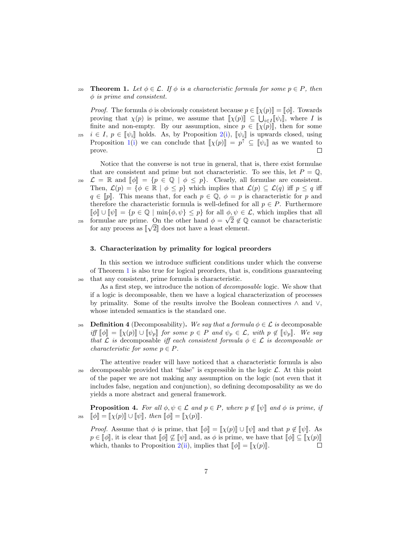# <span id="page-6-0"></span>220 **Theorem 1.** Let  $\phi \in \mathcal{L}$ . If  $\phi$  is a characteristic formula for some  $p \in P$ , then  $\phi$  is prime and consistent.

*Proof.* The formula  $\phi$  is obviously consistent because  $p \in \llbracket \chi(p) \rrbracket = \llbracket \phi \rrbracket$ . Towards proving that  $\chi(p)$  is prime, we assume that  $\llbracket \chi(p) \rrbracket \subseteq \bigcup_{i \in I} \llbracket \psi_i \rrbracket$ , where I is<br>finite and non-empty. By our assumption, since  $n \in \mathbb{R} \times (n) \llbracket$ , then for some finite and non-empty. By our assumption, since  $p \in [\![\chi(p)]\!]$ , then for some <sup>225</sup>  $i \in I$ ,  $p \in [\![\psi_i]\!]$  holds. As, by Proposition [2\(](#page-5-1)[i\)](#page-5-2),  $[\![\psi_i]\!]$  is upwards closed, using Proposition [1\(](#page-4-3)[i\)](#page-4-0) we can conclude that  $[\![\chi(p)]\!] = p^{\uparrow} \subseteq [\![\psi_i]\!]$  as we wanted to prove.

Notice that the converse is not true in general, that is, there exist formulae that are consistent and prime but not characteristic. To see this, let  $P = \mathbb{Q}$ , 230  $\mathcal{L} = \mathbb{R}$  and  $\llbracket \phi \rrbracket = \{p \in \mathbb{Q} \mid \phi \leq p\}.$  Clearly, all formulae are consistent. Then,  $\mathcal{L}(p) = \{\phi \in \mathbb{R} \mid \phi \leq p\}$  which implies that  $\mathcal{L}(p) \subseteq \mathcal{L}(q)$  iff  $p \leq q$  iff  $q \in [p]$ . This means that, for each  $p \in \mathbb{Q}$ ,  $\phi = p$  is characteristic for p and therefore the characteristic formula is well-defined for all  $p \in P$ . Furthermore  $\llbracket \phi \rrbracket \cup \llbracket \psi \rrbracket = \{ p \in \mathbb{Q} \mid \min\{ \phi, \psi \} \leq p \}$  for all  $\phi, \psi \in \mathcal{L}$ , which implies that all formulae are prime. On the other hand  $\phi = \sqrt{2} \notin \mathbb{Q}$  cannot be obaracteristic <sup>235</sup> formulae are prime. On the other hand  $\phi = \sqrt{2} \notin \mathbb{Q}$  cannot be characteristic for any process as  $\llbracket \sqrt{2} \rrbracket$  does not have a least element.

# <span id="page-6-1"></span>3. Characterization by primality for logical preorders

In this section we introduce sufficient conditions under which the converse of Theorem [1](#page-6-0) is also true for logical preorders, that is, conditions guaranteeing <sup>240</sup> that any consistent, prime formula is characteristic.

As a first step, we introduce the notion of decomposable logic. We show that if a logic is decomposable, then we have a logical characterization of processes by primality. Some of the results involve the Boolean connectives  $\land$  and  $\lor$ , whose intended semantics is the standard one.

<span id="page-6-3"></span>245 **Definition 4** (Decomposability). We say that a formula  $\phi \in \mathcal{L}$  is decomposable iff  $\llbracket \phi \rrbracket = \llbracket \chi(p) \rrbracket \cup \llbracket \psi_p \rrbracket$  for some  $p \in P$  and  $\psi_p \in \mathcal{L}$ , with  $p \notin \llbracket \psi_p \rrbracket$ . We say that  $\mathcal L$  is decomposable iff each consistent formula  $\phi \in \mathcal L$  is decomposable or characteristic for some  $p \in P$ .

The attentive reader will have noticed that a characteristic formula is also 250 decomposable provided that "false" is expressible in the logic  $\mathcal{L}$ . At this point of the paper we are not making any assumption on the logic (not even that it includes false, negation and conjunction), so defining decomposability as we do yields a more abstract and general framework.

<span id="page-6-2"></span>**Proposition 4.** For all  $\phi, \psi \in \mathcal{L}$  and  $p \in P$ , where  $p \notin [\![\psi]\!]$  and  $\phi$  is prime, if 255  $\llbracket \phi \rrbracket = \llbracket \chi(p) \rrbracket \cup \llbracket \psi \rrbracket$ , then  $\llbracket \phi \rrbracket = \llbracket \chi(p) \rrbracket$ .

*Proof.* Assume that  $\phi$  is prime, that  $[\![\phi]\!] = [\![\chi(p)]\!] \cup [\![\psi]\!]$  and that  $p \notin [\![\psi]\!]$ . As  $p \in [\![\phi]\!]$ , it is clear that  $[\![\phi]\!] \not\subseteq [\![\psi]\!]$  and, as  $\phi$  is prime, we have that  $[\![\phi]\!] \subseteq [\![\chi(p)]\!]$  which, thanks to Proposition 2(ii), implies that  $[\![\phi]\!] = [\![\gamma(p)]\!]$ . which, thanks to Proposition [2](#page-5-1)[\(ii\)](#page-5-3), implies that  $[\![\phi]\!] = [\![\chi(p)]\!]$ .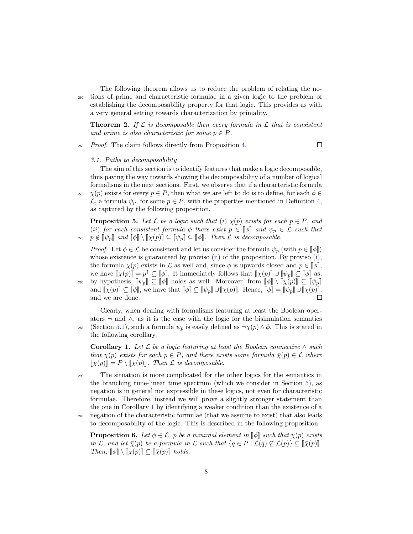The following theorem allows us to reduce the problem of relating the no-<sup>260</sup> tions of prime and characteristic formulae in a given logic to the problem of establishing the decomposability property for that logic. This provides us with a very general setting towards characterization by primality.

<span id="page-7-0"></span>**Theorem 2.** If  $\mathcal L$  is decomposable then every formula in  $\mathcal L$  that is consistent and prime is also characteristic for some  $p \in P$ .

# <sup>265</sup> Proof. The claim follows directly from Proposition [4.](#page-6-2)

<span id="page-7-3"></span> $\Box$ 

# <span id="page-7-1"></span>3.1. Paths to decomposability

The aim of this section is to identify features that make a logic decomposable, thus paving the way towards showing the decomposability of a number of logical formalisms in the next sections. First, we observe that if a characteristic formula

 $\chi(p)$  exists for every  $p \in P$ , then what we are left to do is to define, for each  $\phi \in \mathbb{R}$  $\mathcal{L}$ , a formula  $\psi_p$ , for some  $p \in P$ , with the properties mentioned in Definition [4,](#page-6-3) as captured by the following proposition.

<span id="page-7-2"></span>**Proposition 5.** Let  $\mathcal L$  be a logic such that (i)  $\chi(p)$  exists for each  $p \in P$ , and (ii) for each consistent formula  $\phi$  there exist  $p \in [\![\phi]\!]$  and  $\psi_p \in \mathcal{L}$  such that 275  $p \notin [\![\psi_p]\!]$  and  $[\![\phi]\!] \setminus [\![\chi(p)]\!] \subseteq [\![\psi_p]\!] \subseteq [\![\phi]\!]$ . Then  $\mathcal L$  is decomposable.

*Proof.* Let  $\phi \in \mathcal{L}$  be consistent and let us consider the formula  $\psi_p$  (with  $p \in \llbracket \phi \rrbracket$ ) whose existence is guaranteed by proviso [\(ii\)](#page-7-2) of the proposition. By proviso [\(i\)](#page-7-3), the formula  $\chi(p)$  exists in  $\mathcal L$  as well and, since  $\phi$  is upwards closed and  $p \in [\![\phi]\!]$ , we have  $[\![\chi(p)]\!] = p^{\uparrow} \subseteq [\![\phi]\!]$ . It immediately follows that  $[\![\chi(p)]\!] \cup [\![\psi_p]\!] \subseteq [\![\phi]\!]$  as,<br>by hypothosis,  $[\![\phi]\!] \subseteq [\![\phi]\!]$  bolds as well. Moreover, from  $[\![\phi]\!] \cup [\![\phi/p]\!] \subseteq [\![\phi]\!]$ 280 by hypothesis,  $[\![\psi_p]\!] \subseteq [\![\phi]\!]$  holds as well. Moreover, from  $[\![\phi]\!] \setminus [\![\chi(p)]\!] \subseteq [\![\psi_p]\!]$ and  $[\![\chi(p)]\!] \subseteq [\![\phi]\!]$ , we have that  $[\![\phi]\!] \subseteq [\![\psi_p]\!] \cup [\![\chi(p)]\!]$ . Hence,  $[\![\phi]\!] = [\![\psi_p]\!] \cup [\![\chi(p)]\!]$ , and we are done.

and we are done.

Clearly, when dealing with formalisms featuring at least the Boolean operators ¬ and ∧, as it is the case with the logic for the bisimulation semantics 285 (Section [5.1\)](#page-14-0), such a formula  $\psi_p$  is easily defined as  $\neg \chi(p) \land \phi$ . This is stated in the following corollary.

<span id="page-7-4"></span>**Corollary 1.** Let  $\mathcal{L}$  be a logic featuring at least the Boolean connective  $\wedge$  such that  $\chi(p)$  exists for each  $p \in P$ , and there exists some formula  $\bar{\chi}(p) \in \mathcal{L}$  where  $[\![\bar{\chi}(p)]\!] = P \setminus [\![\chi(p)]\!]$ . Then  $\mathcal L$  is decomposable.

<sup>290</sup> The situation is more complicated for the other logics for the semantics in the branching time-linear time spectrum (which we consider in Section [5\)](#page-12-0), as negation is in general not expressible in these logics, not even for characteristic formulae. Therefore, instead we will prove a slightly stronger statement than the one in Corollary [1](#page-7-4) by identifying a weaker condition than the existence of a <sup>295</sup> negation of the characteristic formulae (that we assume to exist) that also leads to decomposability of the logic. This is described in the following proposition.

<span id="page-7-5"></span>**Proposition 6.** Let  $\phi \in \mathcal{L}$ , p be a minimal element in  $\llbracket \phi \rrbracket$  such that  $\chi(p)$  exists in  $\mathcal{L}$ , and let  $\bar{\chi}(p)$  be a formula in  $\mathcal{L}$  such that  $\{q \in P \mid \mathcal{L}(q) \not\subseteq \mathcal{L}(p)\} \subseteq [\bar{\chi}(p)]$ . Then,  $\llbracket \phi \rrbracket \setminus \llbracket \chi(p) \rrbracket \subseteq \llbracket \bar{\chi}(p) \rrbracket$  holds.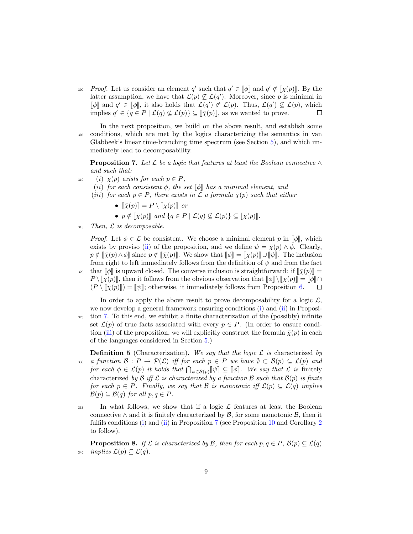<sup>300</sup> Proof. Let us consider an element q' such that  $q' \in [\![\phi]\!]$  and  $q' \notin [\![\chi(p)]\!]$ . By the latter assumption, we have that  $\mathcal{L}(p) \not\subseteq \mathcal{L}(q')$ . Moreover, since p is minimal in  $\llbracket \phi \rrbracket$  and  $q' \in \llbracket \phi \rrbracket$ , it also holds that  $\mathcal{L}(q') \not\subset \mathcal{L}(p)$ . Thus,  $\mathcal{L}(q') \not\subset \mathcal{L}(p)$ , which<br>implies  $q' \in \llbracket a \in \mathcal{B} \mid \mathcal{L}(q) \not\subset \mathcal{L}(p)$ .  $\llbracket \overline{\mathcal{L}}(p) \rrbracket$  as we wanted to prove implies  $q' \in \{q \in P \mid \mathcal{L}(q) \not\subseteq \mathcal{L}(p)\} \subseteq [\![\bar{\chi}(p)]\!]$ , as we wanted to prove.  $\Box$ 

In the next proposition, we build on the above result, and establish some <sup>305</sup> conditions, which are met by the logics characterizing the semantics in van Glabbeek's linear time-branching time spectrum (see Section [5\)](#page-12-0), and which immediately lead to decomposability.

<span id="page-8-3"></span>**Proposition 7.** Let  $\mathcal{L}$  be a logic that features at least the Boolean connective  $\wedge$ and such that:

- <span id="page-8-4"></span><span id="page-8-2"></span><span id="page-8-1"></span>310 (i)  $\chi(p)$  exists for each  $p \in P$ ,
	- (ii) for each consistent  $\phi$ , the set  $\llbracket \phi \rrbracket$  has a minimal element, and
	- (iii) for each  $p \in P$ , there exists in  $\mathcal L$  a formula  $\bar{\chi}(p)$  such that either
		- $\overline{\mathbf{x}}(p)\overline{\mathbf{x}} = P \setminus \mathbf{x}(p)\mathbf{v}$  or
		- $p \notin [\bar{\chi}(p)]$  and  $\{q \in P \mid \mathcal{L}(q) \not\subseteq \mathcal{L}(p)\} \subset [\bar{\chi}(p)]$ .
- $315$  Then,  $\mathcal L$  is decomposable.

*Proof.* Let  $\phi \in \mathcal{L}$  be consistent. We choose a minimal element p in  $\llbracket \phi \rrbracket$ , which exists by proviso [\(ii\)](#page-8-1) of the proposition, and we define  $\psi = \bar{\chi}(p) \wedge \phi$ . Clearly,  $p \notin [\bar{\chi}(p) \wedge \phi]$  since  $p \notin [\bar{\chi}(p)]$ . We show that  $[\![\phi]\!] = [\![\chi(p)]\!] \cup [\![\psi]\!]$ . The inclusion from right to left immediately follows from the definition of  $\psi$  and from the fact 320 that  $\llbracket \phi \rrbracket$  is upward closed. The converse inclusion is straightforward: if  $\llbracket \bar{\chi}(p) \rrbracket =$ 

 $P \setminus [\![\chi(p)]\!]$ , then it follows from the obvious observation that  $[\![\phi]\!] \setminus [\![\chi(p)]\!] = [\![\phi]\!] \cap (P \setminus [\![\chi(p)]\!] = [\![\psi]\!]$ ; otherwise, it immediately follows from Proposition 6.  $(P \setminus \llbracket \chi(p) \rrbracket) = \llbracket \psi \rrbracket$ ; otherwise, it immediately follows from Proposition [6.](#page-7-5)

In order to apply the above result to prove decomposability for a logic  $\mathcal{L}$ , we now develop a general framework ensuring conditions [\(i\)](#page-8-2) and [\(ii\)](#page-8-1) in Proposi-<sup>325</sup> tion [7.](#page-8-3) To this end, we exhibit a finite characterization of the (possibly) infinite set  $\mathcal{L}(p)$  of true facts associated with every  $p \in P$ . (In order to ensure condi-tion [\(iii\)](#page-8-4) of the proposition, we will explicitly construct the formula  $\bar{\chi}(p)$  in each of the languages considered in Section [5.](#page-12-0))

<span id="page-8-0"></span>**Definition 5** (Characterization). We say that the logic  $\mathcal{L}$  is characterized by 330 a function  $\mathcal{B}: P \to \mathcal{P}(\mathcal{L})$  iff for each  $p \in P$  we have  $\emptyset \subset \mathcal{B}(p) \subseteq \mathcal{L}(p)$  and for each  $\phi \in \mathcal{L}(p)$  it holds that  $\bigcap_{\psi \in \mathcal{B}(p)} [\![\psi]\!] \subseteq [\![\phi]\!]$ . We say that  $\mathcal{L}$  is finitely characterized by  $\mathcal B$  iff  $\mathcal L$  is characterized by a function  $\mathcal B$  such that  $\mathcal B(p)$  is finite for each  $p \in P$ . Finally, we say that  $\mathcal B$  is monotonic iff  $\mathcal L(p) \subseteq \mathcal L(q)$  implies  $\mathcal{B}(p) \subseteq \mathcal{B}(q)$  for all  $p, q \in P$ .

 $\frac{335}{335}$  In what follows, we show that if a logic  $\mathcal L$  features at least the Boolean connective  $\wedge$  and it is finitely characterized by  $\mathcal{B}$ , for some monotonic  $\mathcal{B}$ , then it fulfils conditions [\(i\)](#page-8-2) and [\(ii\)](#page-8-1) in Proposition [7](#page-8-3) (see Proposition [10](#page-9-0) and Corollary [2](#page-9-1) to follow).

<span id="page-8-5"></span>**Proposition 8.** If  $\mathcal L$  is characterized by  $\mathcal B$ , then for each  $p, q \in P$ ,  $\mathcal B(p) \subseteq \mathcal L(q)$ 340 *implies*  $\mathcal{L}(p) \subseteq \mathcal{L}(q)$ .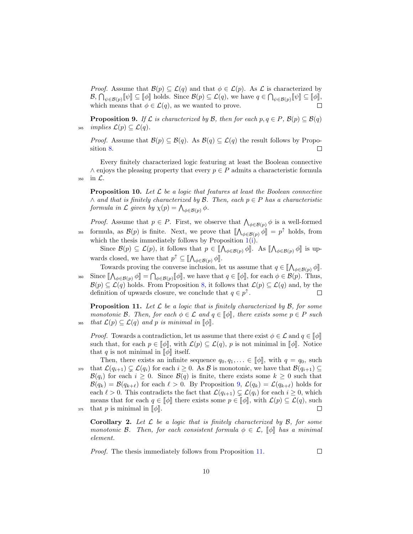*Proof.* Assume that  $\mathcal{B}(p) \subseteq \mathcal{L}(q)$  and that  $\phi \in \mathcal{L}(p)$ . As  $\mathcal L$  is characterized by  $\mathcal{B}, \bigcap_{\psi \in \mathcal{B}(p)} [\![\psi]\!] \subseteq [\![\phi]\!]$  holds. Since  $\mathcal{B}(p) \subseteq \mathcal{L}(q)$ , we have  $q \in \bigcap_{\psi \in \mathcal{B}(p)} [\![\psi]\!] \subseteq [\![\phi]\!]$ , which means that  $\phi \in \mathcal{L}(q)$ , as we wanted to prove.

<span id="page-9-2"></span>**Proposition 9.** If  $\mathcal L$  is characterized by  $\mathcal B$ , then for each  $p, q \in P$ ,  $\mathcal B(p) \subseteq \mathcal B(q)$ 345 *implies*  $\mathcal{L}(p) \subseteq \mathcal{L}(q)$ .

*Proof.* Assume that  $\mathcal{B}(p) \subseteq \mathcal{B}(q)$ . As  $\mathcal{B}(q) \subseteq \mathcal{L}(q)$  the result follows by Proposition [8.](#page-8-5)  $\Box$ 

Every finitely characterized logic featuring at least the Boolean connective  $\land$  enjoys the pleasing property that every  $p \in P$  admits a characteristic formula  $_{350}$  in  $\mathcal{L}$ .

<span id="page-9-0"></span>**Proposition 10.** Let  $\mathcal{L}$  be a logic that features at least the Boolean connective  $\land$  and that is finitely characterized by  $\mathcal{B}$ . Then, each  $p \in P$  has a characteristic formula in  $\mathcal L$  given by  $\chi(p) = \bigwedge_{\phi \in \mathcal B(p)} \phi$ .

*Proof.* Assume that  $p \in P$ . First, we observe that  $\bigwedge_{\phi \in \mathcal{B}(p)} \phi$  is a well-formed <sup>355</sup> formula, as  $\mathcal{B}(p)$  is finite. Next, we prove that  $\llbracket \bigwedge_{\phi \in \mathcal{B}(p)} \phi \rrbracket = p^{\uparrow}$  holds, from which the thesis immediately follows by Proposition  $1(i)$  $1(i)$ .

Since  $\mathcal{B}(p) \subseteq \mathcal{L}(p)$ , it follows that  $p \in [\![ \bigwedge_{\phi \in \mathcal{B}(p)} \phi ]\!]$ . As  $[\![ \bigwedge_{\phi \in \mathcal{B}(p)} \phi ]\!]$  is upwards closed, we have that  $p^{\uparrow} \subseteq \llbracket \bigwedge_{\phi \in \mathcal{B}(p)} \phi \rrbracket$ .

Towards proving the converse inclusion, let us assume that  $q \in [\![ \bigwedge_{\phi \in \mathcal{B}(p)} \phi ]\!]$ .  $\text{Sine } \llbracket \bigwedge_{\phi \in \mathcal{B}(p)} \phi \rrbracket = \bigcap_{\phi \in \mathcal{B}(p)} \llbracket \phi \rrbracket$ , we have that  $q \in \llbracket \phi \rrbracket$ , for each  $\phi \in \mathcal{B}(p)$ . Thus,<br> $\mathcal{B}(q) \subseteq \mathcal{C}(q)$  and be the  $\mathcal{B}(p) \subseteq \mathcal{L}(q)$  holds. From Proposition [8,](#page-8-5) it follows that  $\mathcal{L}(p) \subseteq \mathcal{L}(q)$  and, by the definition of upwards closure, we conclude that  $q \in p^{\uparrow}$ .  $\Box$ 

<span id="page-9-3"></span>**Proposition 11.** Let  $\mathcal L$  be a logic that is finitely characterized by  $\mathcal B$ , for some monotonic B. Then, for each  $\phi \in \mathcal{L}$  and  $q \in [\![\phi]\!]$ , there exists some  $p \in P$  such 365 that  $\mathcal{L}(p) \subseteq \mathcal{L}(q)$  and p is minimal in  $[\![\phi]\!]$ .

*Proof.* Towards a contradiction, let us assume that there exist  $\phi \in \mathcal{L}$  and  $q \in \llbracket \phi \rrbracket$ such that, for each  $p \in [\![\phi]\!]$ , with  $\mathcal{L}(p) \subseteq \mathcal{L}(q)$ , p is not minimal in  $[\![\phi]\!]$ . Notice that q is not minimal in  $\llbracket \phi \rrbracket$  itself.

Then, there exists an infinite sequence  $q_0, q_1, \ldots \in [\![\phi]\!]$ , with  $q = q_0$ , such 370 that  $\mathcal{L}(q_{i+1}) \subsetneq \mathcal{L}(q_i)$  for each  $i \geq 0$ . As B is monotonic, we have that  $\mathcal{B}(q_{i+1}) \subsetneq$  $\mathcal{B}(q_i)$  for each  $i \geq 0$ . Since  $\mathcal{B}(q)$  is finite, there exists some  $k \geq 0$  such that  $\mathcal{B}(q_k) = \mathcal{B}(q_{k+\ell})$  for each  $\ell > 0$ . By Proposition [9,](#page-9-2)  $\mathcal{L}(q_k) = \mathcal{L}(q_{k+\ell})$  holds for each  $\ell > 0$ . This contradicts the fact that  $\mathcal{L}(q_{i+1}) \subsetneq \mathcal{L}(q_i)$  for each  $i \geq 0$ , which means that for each  $q \in [\![\phi]\!]$  there exists some  $p \in [\![\phi]\!]$ , with  $\mathcal{L}(p) \subseteq \mathcal{L}(q)$ , such that p is minimal in  $[\![\phi]\!]$ .  $_{375}$  that p is minimal in  $\llbracket \phi \rrbracket$ .

<span id="page-9-1"></span>**Corollary 2.** Let  $\mathcal{L}$  be a logic that is finitely characterized by  $\mathcal{B}$ , for some monotonic B. Then, for each consistent formula  $\phi \in \mathcal{L}$ ,  $\llbracket \phi \rrbracket$  has a minimal element.

Proof. The thesis immediately follows from Proposition [11.](#page-9-3)

 $\Box$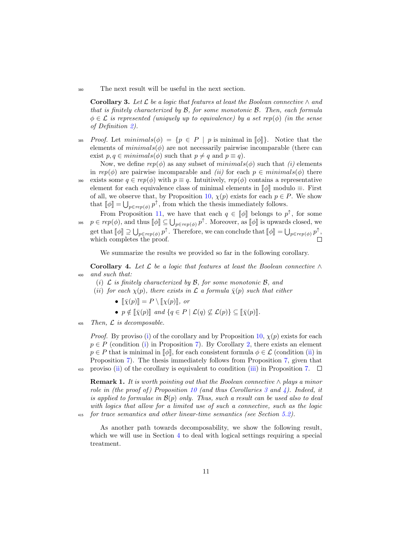<sup>380</sup> The next result will be useful in the next section.

<span id="page-10-3"></span>**Corollary 3.** Let  $\mathcal{L}$  be a logic that features at least the Boolean connective  $\wedge$  and that is finitely characterized by B, for some monotonic B. Then, each formula  $\phi \in \mathcal{L}$  is represented (uniquely up to equivalence) by a set rep( $\phi$ ) (in the sense of Definition [2\)](#page-5-0).

385 Proof. Let  $minimals(\phi) = \{p \in P \mid p \text{ is minimal in } [\phi]\}.$  Notice that the elements of  $minimals(\phi)$  are not necessarily pairwise incomparable (there can exist  $p, q \in \text{minimals}(\phi)$  such that  $p \neq q$  and  $p \equiv q$ .

Now, we define  $rep(\phi)$  as any subset of  $minimals(\phi)$  such that (i) elements in  $rep(\phi)$  are pairwise incomparable and *(ii)* for each  $p \in minimals(\phi)$  there 390 exists some  $q \in rep(\phi)$  with  $p \equiv q$ . Intuitively,  $rep(\phi)$  contains a representative element for each equivalence class of minimal elements in  $\llbracket \phi \rrbracket$  modulo  $\equiv$ . First of all, we observe that, by Proposition [10,](#page-9-0)  $\chi(p)$  exists for each  $p \in P$ . We show that  $[\![\phi]\!] = \bigcup_{p \in rep(\phi)} p^{\uparrow}$ , from which the thesis immediately follows.

From Proposition [11,](#page-9-3) we have that each  $q \in [\![\phi]\!]$  belongs to  $p^{\uparrow}$ , for some regular points of  $\mathbb{R}^{\uparrow}$  is unwarded along we <sup>395</sup>  $p \in rep(\phi)$ , and thus  $[\![\phi]\!] \subseteq \bigcup_{p \in rep(\phi)} p^{\uparrow}$ . Moreover, as  $[\![\phi]\!]$  is upwards closed, we get that  $[\![\phi]\!] \supseteq \bigcup_{p \in rep(\phi)} p^{\uparrow}$ . Therefore, we can conclude that  $[\![\phi]\!] = \bigcup_{p \in rep(\phi)} p^{\uparrow}$ , which completes the proof.

We summarize the results we provided so far in the following corollary.

<span id="page-10-0"></span>Corollary 4. Let  $\mathcal L$  be a logic that features at least the Boolean connective  $\wedge$ <sup>400</sup> and such that:

<span id="page-10-1"></span>(i)  $\mathcal L$  is finitely characterized by  $\mathcal B$ , for some monotonic  $\mathcal B$ , and

<span id="page-10-2"></span>(ii) for each  $\chi(p)$ , there exists in  $\mathcal L$  a formula  $\bar{\chi}(p)$  such that either

•  $\overline{\mathbf{x}}(p)\overline{\mathbf{x}} = P \setminus \mathbf{x}(p)\mathbf{I}$ , or

• 
$$
p \notin [\![\bar{\chi}(p)]\!]
$$
 and  $\{q \in P \mid \mathcal{L}(q) \not\subseteq \mathcal{L}(p)\} \subseteq [\![\bar{\chi}(p)]\!]$ .

 $405$  Then,  $\mathcal L$  is decomposable.

*Proof.* By proviso [\(i\)](#page-10-1) of the corollary and by Proposition [10,](#page-9-0)  $\chi(p)$  exists for each  $p \in P$  (condition [\(i\)](#page-8-2) in Proposition [7\)](#page-8-3). By Corollary [2,](#page-9-1) there exists an element  $p \in P$  that is minimal in  $\llbracket \phi \rrbracket$ , for each consistent formula  $\phi \in \mathcal{L}$  (condition [\(ii\)](#page-8-1) in Proposition [7\)](#page-8-3). The thesis immediately follows from Proposition [7,](#page-8-3) given that <sup>410</sup> proviso [\(ii\)](#page-10-2) of the corollary is equivalent to condition [\(iii\)](#page-8-4) in Proposition [7.](#page-8-3)  $\Box$ 

<span id="page-10-4"></span>**Remark 1.** It is worth pointing out that the Boolean connective  $\land$  plays a minor role in (the proof of) Proposition [10](#page-9-0) (and thus Corollaries [3](#page-10-3) and  $\lambda$ ). Indeed, it is applied to formulae in  $\mathcal{B}(p)$  only. Thus, such a result can be used also to deal with logics that allow for a limited use of such a connective, such as the logic <sup>415</sup> for trace semantics and other linear-time semantics (see Section [5.2\)](#page-20-0).

As another path towards decomposability, we show the following result, which we will use in Section [4](#page-11-1) to deal with logical settings requiring a special treatment.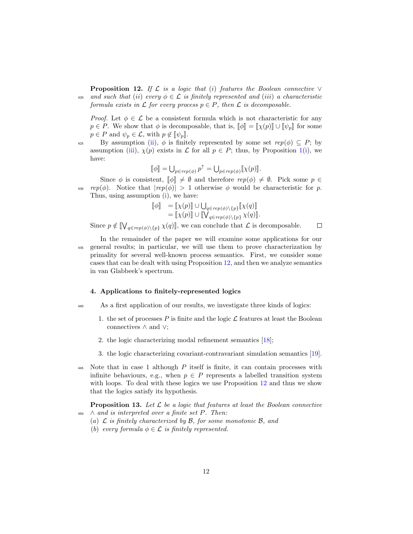<span id="page-11-0"></span>**Proposition 12.** If  $\mathcal L$  is a logic that (i) features the Boolean connective  $\vee$ 420 and such that (ii) every  $\phi \in \mathcal{L}$  is finitely represented and (iii) a characteristic formula exists in  $\mathcal L$  for every process  $p \in P$ , then  $\mathcal L$  is decomposable.

<span id="page-11-2"></span>*Proof.* Let  $\phi \in \mathcal{L}$  be a consistent formula which is not characteristic for any  $p \in P$ . We show that  $\phi$  is decomposable, that is,  $[\![\phi]\!] = [\![\chi(p)]\!] \cup [\![\psi_p]\!]$  for some  $p \in P$  and  $\psi_p \in \mathcal{L}$ , with  $p \notin [\psi_p]$ .

<sup>425</sup> By assumption [\(ii\)](#page-11-2),  $\phi$  is finitely represented by some set  $rep(\phi) \subseteq P$ ; by assumption [\(iii\)](#page-11-3),  $\chi(p)$  exists in  $\mathcal L$  for all  $p \in P$ ; thus, by Proposition [1\(](#page-4-3)[i\)](#page-4-0), we have:

<span id="page-11-4"></span><span id="page-11-3"></span>
$$
\llbracket \phi \rrbracket = \bigcup_{p \in rep(\phi)} p^{\uparrow} = \bigcup_{p \in rep(\phi)} \llbracket \chi(p) \rrbracket.
$$

Since  $\phi$  is consistent,  $\llbracket \phi \rrbracket \neq \emptyset$  and therefore  $rep(\phi) \neq \emptyset$ . Pick some  $p \in$  $_{430}$  rep( $\phi$ ). Notice that  $|rep(\phi)| > 1$  otherwise  $\phi$  would be characteristic for p. Thus, using assumption [\(i\)](#page-11-4), we have:

$$
\begin{array}{ll}\n\llbracket \phi \rrbracket & = \llbracket \chi(p) \rrbracket \cup \bigcup_{q \in rep(\phi) \setminus \{p\}} \llbracket \chi(q) \rrbracket \\
& = \llbracket \chi(p) \rrbracket \cup \llbracket \bigvee_{q \in rep(\phi) \setminus \{p\}} \chi(q) \rrbracket.\n\end{array}
$$

 $\Box$ Since  $p \notin \llbracket \bigvee_{q \in rep(\phi) \setminus \{p\}} \chi(q) \rrbracket$ , we can conclude that  $\mathcal L$  is decomposable.

In the remainder of the paper we will examine some applications for our <sup>435</sup> general results; in particular, we will use them to prove characterization by primality for several well-known process semantics. First, we consider some cases that can be dealt with using Proposition [12,](#page-11-0) and then we analyze semantics in van Glabbeek's spectrum.

#### <span id="page-11-1"></span>4. Applications to finitely-represented logics

- <sup>440</sup> As a first application of our results, we investigate three kinds of logics:
	- 1. the set of processes  $P$  is finite and the logic  $\mathcal L$  features at least the Boolean connectives ∧ and ∨;
	- 2. the logic characterizing modal refinement semantics [\[18\]](#page-32-4);
	- 3. the logic characterizing covariant-contravariant simulation semantics [\[19\]](#page-32-5).
- $445$  Note that in case 1 although  $P$  itself is finite, it can contain processes with infinite behaviours, e.g., when  $p \in P$  represents a labelled transition system with loops. To deal with these logics we use Proposition [12](#page-11-0) and thus we show that the logics satisfy its hypothesis.

<span id="page-11-5"></span>**Proposition 13.** Let  $\mathcal{L}$  be a logic that features at least the Boolean connective  $\sim$  450  $\land$  and is interpreted over a finite set P. Then:

- <span id="page-11-6"></span>(a)  $\mathcal L$  is finitely characterized by  $\mathcal B$ , for some monotonic  $\mathcal B$ , and
- <span id="page-11-7"></span>(b) every formula  $\phi \in \mathcal{L}$  is finitely represented.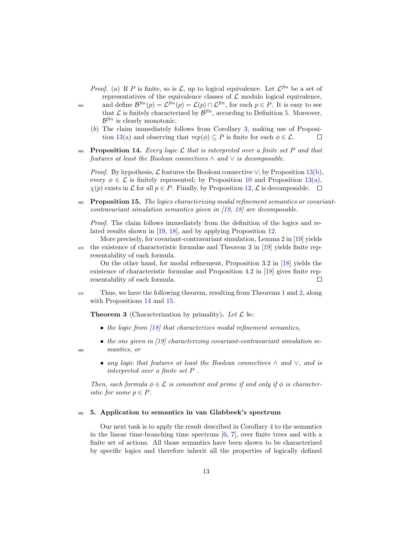*Proof.* (a) If P is finite, so is  $\mathcal{L}$ , up to logical equivalence. Let  $\mathcal{L}^{\text{fin}}$  be a set of representatives of the equivalence classes of  $\mathcal L$  modulo logical equivalence,

- <sup>455</sup> and define  $\mathcal{B}^{\text{fin}}(p) = \mathcal{L}^{\text{fin}}(p) = \mathcal{L}(p) \cap \mathcal{L}^{\text{fin}}$ , for each  $p \in P$ . It is easy to see that  $\mathcal L$  is finitely characterized by  $\mathcal B^{fin}$ , according to Definition [5.](#page-8-0) Moreover,  $\mathcal{B}^{\text{fin}}$  is clearly monotonic.
	- (b) The claim immediately follows from Corollary [3,](#page-10-3) making use of Proposi-tion [13\(](#page-11-5)[a\)](#page-11-6) and observing that  $rep(\phi) \subseteq P$  is finite for each  $\phi \in \mathcal{L}$ .  $\Box$
- <span id="page-12-1"></span>**Proposition 14.** Every logic  $\mathcal L$  that is interpreted over a finite set P and that features at least the Boolean connectives  $\wedge$  and  $\vee$  is decomposable.

*Proof.* By hypothesis,  $\mathcal L$  features the Boolean connective  $\vee$ ; by Proposition [13\(](#page-11-5)[b\)](#page-11-7), every  $\phi \in \mathcal{L}$  is finitely represented; by Proposition [10](#page-9-0) and Proposition [13\(](#page-11-5)[a\)](#page-11-6),  $\chi(p)$  exists in  $\mathcal L$  for all  $p \in P$ . Finally, by Proposition [12,](#page-11-0)  $\mathcal L$  is decomposable.  $\Box$ 

<span id="page-12-2"></span>**465 Proposition 15.** The logics characterizing modal refinement semantics or covariantcontravariant simulation semantics given in [\[19,](#page-32-5) [18\]](#page-32-4) are decomposable.

Proof. The claim follows immediately from the definition of the logics and related results shown in [\[19,](#page-32-5) [18\]](#page-32-4), and by applying Proposition [12.](#page-11-0)

More precisely, for covariant-contravariant simulation, Lemma 2 in [\[19\]](#page-32-5) yields <sup>470</sup> the existence of characteristic formulae and Theorem 3 in [\[19\]](#page-32-5) yields finite rep-

resentability of each formula.

On the other hand, for modal refinement, Proposition 3.2 in [\[18\]](#page-32-4) yields the existence of characteristic formulae and Proposition 4.2 in [\[18\]](#page-32-4) gives finite representability of each formula.  $\Box$ 

<sup>475</sup> Thus, we have the following theorem, resulting from Theorems [1](#page-6-0) and [2,](#page-7-0) along with Propositions [14](#page-12-1) and [15.](#page-12-2)

**Theorem 3** (Characterization by primality). Let  $\mathcal{L}$  be:

- the logic from  $(18)$  that characterizes modal refinement semantics,
- the one given in [\[19\]](#page-32-5) characterizing covariant-contravariant simulation se-<sup>480</sup> mantics, or
	- any logic that features at least the Boolean connectives  $\wedge$  and  $\vee$ , and is interpreted over a finite set P .

Then, each formula  $\phi \in \mathcal{L}$  is consistent and prime if and only if  $\phi$  is character*istic for some*  $p \in P$ .

#### <span id="page-12-0"></span><sup>485</sup> 5. Application to semantics in van Glabbeek's spectrum

Our next task is to apply the result described in Corollary [4](#page-10-0) to the semantics in the linear time-branching time spectrum [\[6,](#page-31-5) [7\]](#page-31-6), over finite trees and with a finite set of actions. All those semantics have been shown to be characterized by specific logics and therefore inherit all the properties of logically defined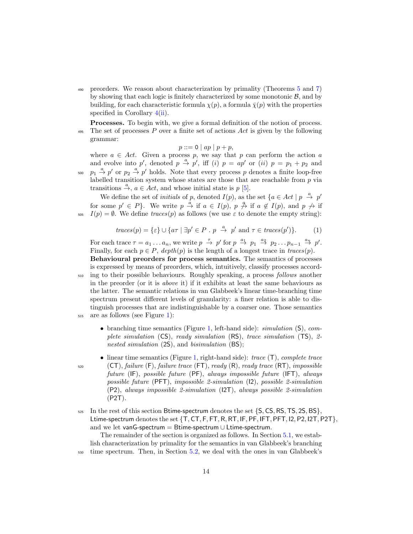- <sup>490</sup> preorders. We reason about characterization by primality (Theorems [5](#page-20-1) and [7\)](#page-29-2) by showing that each logic is finitely characterized by some monotonic  $B$ , and by building, for each characteristic formula  $\chi(p)$ , a formula  $\bar{\chi}(p)$  with the properties specified in Corollary  $4(ii)$  $4(ii)$ .
- Processes. To begin with, we give a formal definition of the notion of process. 495 The set of processes P over a finite set of actions  $Act$  is given by the following grammar:

$$
p ::= 0 | ap | p + p,
$$

where  $a \in Act$ . Given a process p, we say that p can perform the action a and evolve into p', denoted  $p \stackrel{a}{\rightarrow} p'$ , iff  $(i) p = ap'$  or  $(ii) p = p_1 + p_2$  and 500  $p_1 \stackrel{a}{\rightarrow} p'$  or  $p_2 \stackrel{a}{\rightarrow} p'$  holds. Note that every process p denotes a finite loop-free labelled transition system whose states are those that are reachable from  $p$  via transitions  $\stackrel{a}{\rightarrow}$ ,  $a \in Act$ , and whose initial state is p [\[5\]](#page-31-3).

We define the set of *initials* of p, denoted  $I(p)$ , as the set  $\{a \in Act \mid p \stackrel{a}{\to} p' \}$ for some  $p' \in P$ . We write  $p \stackrel{a}{\to}$  if  $a \in I(p)$ ,  $p \not{a}$  if  $a \notin I(p)$ , and  $p \not\to i$ 505  $I(p) = \emptyset$ . We define  $traces(p)$  as follows (we use  $\varepsilon$  to denote the empty string):

$$
traces(p) = \{\varepsilon\} \cup \{a\tau \mid \exists p' \in P \,.\, p \stackrel{a}{\to} p' \text{ and } \tau \in traces(p')\}.
$$
 (1)

<span id="page-13-0"></span>For each trace  $\tau = a_1 \dots a_n$ , we write  $p \stackrel{\tau}{\rightarrow} p'$  for  $p \stackrel{a_1}{\rightarrow} p_1 \stackrel{a_2}{\rightarrow} p_2 \dots p_{n-1} \stackrel{a_n}{\rightarrow} p'$ . Finally, for each  $p \in P$ ,  $depth(p)$  is the length of a longest trace in  $traces(p)$ . Behavioural preorders for process semantics. The semantics of processes

is expressed by means of preorders, which, intuitively, classify processes accord-<sub>510</sub> ing to their possible behaviours. Roughly speaking, a process *follows* another in the preorder (or it is above it) if it exhibits at least the same behaviours as the latter. The semantic relations in van Glabbeek's linear time-branching time spectrum present different levels of granularity: a finer relation is able to distinguish processes that are indistinguishable by a coarser one. Those semantics <sup>515</sup> are as follows (see Figure [1\)](#page-14-1):

- branching time semantics (Figure [1,](#page-14-1) left-hand side): *simulation* (S), *com*plete simulation (CS), ready simulation (RS), trace simulation (TS), 2 nested simulation (2S), and bisimulation (BS);
- linear time semantics (Figure [1,](#page-14-1) right-hand side): trace  $(T)$ , complete trace  $\mathcal{L}$ <sub>520</sub> (CT), failure (F), failure trace (FT), ready (R), ready trace (RT), impossible future (IF), possible future (PF), always impossible future (IFT), always possible future (PFT), impossible 2-simulation (I2), possible 2-simulation (P2), always impossible 2-simulation (I2T), always possible 2-simulation (P2T).
- $525$  In the rest of this section Btime-spectrum denotes the set  $\{S, CS, RS, TS, 2S, BS\}$ , Ltime-spectrum denotes the set {T, CT, F, FT, R, RT, IF, PF, IFT, PFT, I2, P2, I2T, P2T}, and we let vanG-spectrum = Btime-spectrum  $\cup$  Ltime-spectrum.

The remainder of the section is organized as follows. In Section [5.1,](#page-14-0) we establish characterization by primality for the semantics in van Glabbeek's branching <sup>530</sup> time spectrum. Then, in Section [5.2,](#page-20-0) we deal with the ones in van Glabbeek's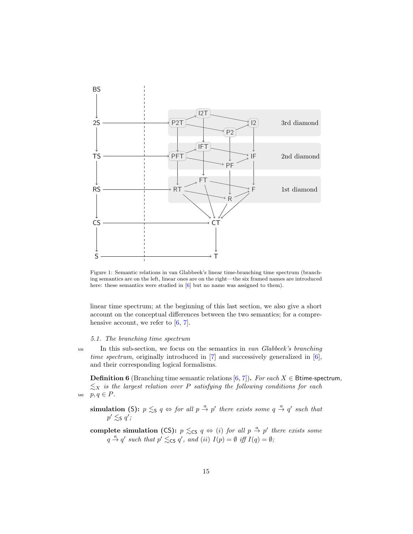

<span id="page-14-1"></span>Figure 1: Semantic relations in van Glabbeek's linear time-branching time spectrum (branching semantics are on the left, linear ones are on the right—the six framed names are introduced here: these semantics were studied in [\[6\]](#page-31-5) but no name was assigned to them).

linear time spectrum; at the beginning of this last section, we also give a short account on the conceptual differences between the two semantics; for a comprehensive account, we refer to  $[6, 7]$  $[6, 7]$ .

# <span id="page-14-0"></span>5.1. The branching time spectrum

<sup>535</sup> In this sub-section, we focus on the semantics in van Glabbeek's branching time spectrum, originally introduced in [\[7\]](#page-31-6) and successively generalized in [\[6\]](#page-31-5), and their corresponding logical formalisms.

**Definition 6** (Branching time semantic relations  $[6, 7]$  $[6, 7]$ ). For each  $X \in$  Btime-spectrum,  $\leq_{X}$  is the largest relation over P satisfying the following conditions for each 540  $p, q \in P$ .

simulation (S):  $p \leq s q \Leftrightarrow$  for all  $p \stackrel{a}{\rightarrow} p'$  there exists some  $q \stackrel{a}{\rightarrow} q'$  such that  $p' \lesssim_{\mathsf{S}} q';$ 

complete simulation (CS):  $p \leq_{CS} q \Leftrightarrow (i)$  for all  $p \stackrel{a}{\rightarrow} p'$  there exists some  $q \stackrel{a}{\rightarrow} q'$  such that  $p' \lesssim_{\text{CS}} q'$ , and (ii)  $I(p) = \emptyset$  iff  $I(q) = \emptyset$ ;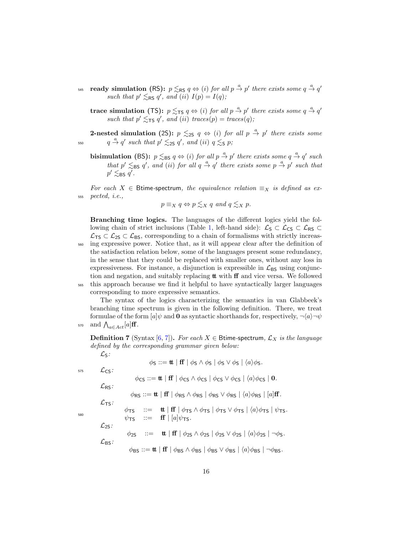- ready simulation (RS):  $p \lesssim_{RS} q \Leftrightarrow (i)$  for all  $p \stackrel{a}{\rightarrow} p'$  there exists some  $q \stackrel{a}{\rightarrow} q'$ 545 such that  $p' \leq_{\mathsf{RS}} q'$ , and (ii)  $I(p) = I(q)$ ;
	- trace simulation (TS):  $p \leq$   $\tau s$   $q \Leftrightarrow$  (i) for all  $p \stackrel{a}{\rightarrow} p'$  there exists some  $q \stackrel{a}{\rightarrow} q'$ such that  $p' \leq_{\text{TS}} q'$ , and (ii) traces(p) = traces(q);
- **2-nested simulation** (2S):  $p \leq_{2S} q \Leftrightarrow (i)$  for all  $p \stackrel{a}{\rightarrow} p'$  there exists some  $q \stackrel{a}{\rightarrow} q'$  such that  $p' \lesssim_{25} q'$ , and (ii)  $q \lesssim_{5} p$ ;
	- bisimulation (BS):  $p \leq_{BS} q \Leftrightarrow (i)$  for all  $p \stackrel{a}{\rightarrow} p'$  there exists some  $q \stackrel{a}{\rightarrow} q'$  such that  $p' \lesssim_{BS} q'$ , and (ii) for all  $q \stackrel{a}{\rightarrow} q'$  there exists some  $p \stackrel{a}{\rightarrow} p'$  such that  $p' \lesssim_{\mathsf{BS}} q'.$

For each  $X \in$  Btime-spectrum, the equivalence relation  $\equiv_X$  is defined as ex-<sup>555</sup> pected, i.e.,

$$
p \equiv_X q \Leftrightarrow p \lesssim_X q \text{ and } q \lesssim_X p.
$$

Branching time logics. The languages of the different logics yield the fol-lowing chain of strict inclusions (Table [1,](#page-14-1) left-hand side):  $\mathcal{L}_\mathsf{S} \subset \mathcal{L}_\mathsf{CS} \subset \mathcal{L}_{\mathsf{RS}} \subset$  $\mathcal{L}_{TS} \subset \mathcal{L}_{25} \subset \mathcal{L}_{BS}$ , corresponding to a chain of formalisms with strictly increas-

<sup>560</sup> ing expressive power. Notice that, as it will appear clear after the definition of the satisfaction relation below, some of the languages present some redundancy, in the sense that they could be replaced with smaller ones, without any loss in expressiveness. For instance, a disjunction is expressible in  $\mathcal{L}_{BS}$  using conjunction and negation, and suitably replacing **t** with **ff** and vice versa. We followed <sup>565</sup> this approach because we find it helpful to have syntactically larger languages

corresponding to more expressive semantics.

The syntax of the logics characterizing the semantics in van Glabbeek's branching time spectrum is given in the following definition. There, we treat formulae of the form  $[a]\psi$  and **0** as syntactic shorthands for, respectively,  $\neg \langle a \rangle \neg \psi$ <sup>570</sup> and  $\bigwedge_{a \in Act}[a]$  **ff**.

**Definition 7** (Syntax [\[6,](#page-31-5) [7\]](#page-31-6)). For each  $X \in$  Btime-spectrum,  $\mathcal{L}_X$  is the language defined by the corresponding grammar given below:

|     | $\mathcal{L}_\mathsf{S}\colon$ |                                                                                                                                                                                                                                                                        |
|-----|--------------------------------|------------------------------------------------------------------------------------------------------------------------------------------------------------------------------------------------------------------------------------------------------------------------|
| 575 | $\mathcal{L}_{\textsf{CS}}$ :  | $\phi_{\mathsf{S}} ::= \mathbf{t} \mathbf{t} \mid \mathbf{f} \mathbf{f} \mid \phi_{\mathsf{S}} \wedge \phi_{\mathsf{S}} \mid \phi_{\mathsf{S}} \vee \phi_{\mathsf{S}} \mid \langle a \rangle \phi_{\mathsf{S}}.$                                                       |
|     |                                | $\phi_{\text{CS}} ::= \textbf{t} \mid \textbf{f} \mid \phi_{\text{CS}} \wedge \phi_{\text{CS}} \mid \phi_{\text{CS}} \vee \phi_{\text{CS}} \mid \langle a \rangle \phi_{\text{CS}} \mid \textbf{0}.$                                                                   |
|     | $\mathcal{L}_{\mathsf{RS}}$ :  | $\phi_{\mathsf{RS}} ::= \mathbf{t} \mathbf{t} \mid \mathbf{f} \mathbf{f} \mid \phi_{\mathsf{RS}} \wedge \phi_{\mathsf{RS}} \mid \phi_{\mathsf{RS}} \vee \phi_{\mathsf{RS}} \mid \langle a \rangle \phi_{\mathsf{RS}} \mid [a] \mathbf{f}.$                             |
|     | $\mathcal{L}_{\mathsf{TS}}$ :  | $\mathrel{\mathop:}=$                                                                                                                                                                                                                                                  |
| 580 |                                | <b>tt</b>   <b>ff</b>   $\phi$ <sub>TS</sub> $\land \phi$ <sub>TS</sub>   $\phi$ <sub>TS</sub> $\lor \phi$ <sub>TS</sub>   $\langle a \rangle \phi$ <sub>TS</sub>   $\psi$ <sub>TS</sub> .<br>$\phi$ TS<br>$\psi_{\text{TS}}$ ::= <b>ff</b> $  [a] \psi_{\text{TS}}$ . |
|     | $\mathcal{L}_{2S}$ :           | <b>tt</b>   <b>ff</b>   $\phi_{25} \wedge \phi_{25}$   $\phi_{25} \vee \phi_{25}$   $\langle a \rangle \phi_{25}$   $\neg \phi_{5}$ .<br>$\phi$ <sub>25</sub><br>$::=$                                                                                                 |
|     | $\mathcal{L}_{\mathsf{BS}}$ :  |                                                                                                                                                                                                                                                                        |
|     |                                | $\phi_{\text{BS}} ::= \mathbf{t} \mid \mathbf{f} \mid \phi_{\text{BS}} \wedge \phi_{\text{BS}} \mid \phi_{\text{BS}} \vee \phi_{\text{BS}} \mid \langle a \rangle \phi_{\text{BS}} \mid \neg \phi_{\text{BS}}.$                                                        |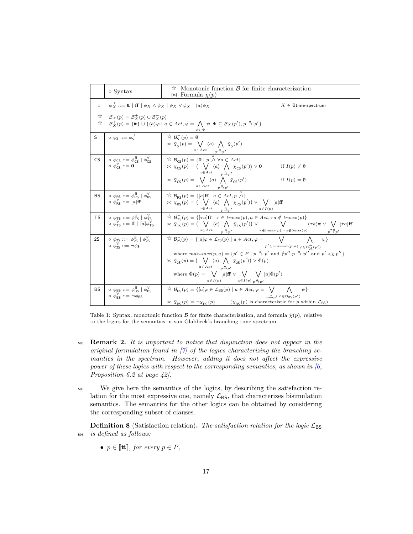|           | $\circ$ Syntax                                                                                                                                                                                                                                                                                       | $\hat{\mathbb{X}}$ Monotonic function $\beta$ for finite characterization<br>$\bowtie$ Formula $\bar{\chi}(p)$                                                                                                                                                                                                                                                                                                                                                                                                                                                                                                                                                                                                                                                                  |  |  |  |  |
|-----------|------------------------------------------------------------------------------------------------------------------------------------------------------------------------------------------------------------------------------------------------------------------------------------------------------|---------------------------------------------------------------------------------------------------------------------------------------------------------------------------------------------------------------------------------------------------------------------------------------------------------------------------------------------------------------------------------------------------------------------------------------------------------------------------------------------------------------------------------------------------------------------------------------------------------------------------------------------------------------------------------------------------------------------------------------------------------------------------------|--|--|--|--|
| $\circ$   | $\phi_X^{\exists} ::= \mathbf{t}   \mathbf{f} \mathbf{f}   \phi_X \wedge \phi_X   \phi_X \vee \phi_X   \langle a \rangle \phi_X$                                                                                                                                                                     | $X \in$ Btime-spectrum                                                                                                                                                                                                                                                                                                                                                                                                                                                                                                                                                                                                                                                                                                                                                          |  |  |  |  |
| ☆         | $\mathcal{B}_X(p) = \mathcal{B}_X^+(p) \cup \mathcal{B}_X^-(p)$<br>$\stackrel{\leftrightarrow}{\bowtie} \quad \mathcal{B}_X^+(p) = \{ \mathbf{t} \} \cup \{ \langle a \rangle \varphi \mid a \in Act, \varphi = \bigwedge \psi, \Psi \subseteq \mathcal{B}_X(p'), p \stackrel{a}{\rightarrow} p' \}$ |                                                                                                                                                                                                                                                                                                                                                                                                                                                                                                                                                                                                                                                                                                                                                                                 |  |  |  |  |
| S.        | $\circ \phi_S ::= \phi_S^{\exists}$                                                                                                                                                                                                                                                                  | $\stackrel{\wedge}{\times}$ $\stackrel{\wedge}{\mathcal{B}}^-(v) = \emptyset$<br>$\bowtie \bar{\chi}_{S}(p) = \bigvee \langle a \rangle \bigwedge \bar{\chi}_{S}(p')$                                                                                                                                                                                                                                                                                                                                                                                                                                                                                                                                                                                                           |  |  |  |  |
| CS.       | $\circ \phi_{\text{CS}} ::= \phi_{\text{CS}}^{\exists} \mid \phi_{\text{CS}}^{\forall}$<br>$\circ \phi_{ce}^{\forall} ::= \mathbf{0}$                                                                                                                                                                | $\frac{a \in Act}{\sqrt[n]{B_{CS}^{-}(p)} = \{0 \mid p \stackrel{a}{\nrightarrow} \forall a \in Act\}}$<br>$\bowtie \bar{\chi}_{\text{CS}}(p) = (\bigvee \langle a \rangle \bigwedge \bar{\chi}_{\text{CS}}(p')) \vee \mathbf{0}$<br>if $I(p) \neq \emptyset$<br>$a \in Act$ $p \stackrel{a}{\rightarrow} p'$<br>$\bowtie \bar{\chi}_{\text{CS}}(p) = \bigvee \langle a \rangle \bigwedge \bar{\chi}_{\text{CS}}(p')$<br>if $I(p) = \emptyset$                                                                                                                                                                                                                                                                                                                                  |  |  |  |  |
|           |                                                                                                                                                                                                                                                                                                      | $a \in Act$ $p \xrightarrow{\alpha} p'$<br>$\forall x \mathcal{B}_{\text{PS}}^-(p) = \{ [a] \mathbf{ff} \mid a \in Act, p \xrightarrow{a} \}$                                                                                                                                                                                                                                                                                                                                                                                                                                                                                                                                                                                                                                   |  |  |  |  |
| <b>RS</b> | $\circ \phi_{\mathsf{RS}} ::= \phi_{\mathsf{RS}}^{\exists} \mid \phi_{\mathsf{RS}}^{\forall}$<br>$\circ \phi_{\text{RS}}^{\forall} ::= [a]$ ff                                                                                                                                                       | $\bowtie \bar{\chi}_{\text{RS}}(p) = (\bigvee \langle a \rangle \bigwedge \bar{\chi}_{\text{RS}}(p')) \vee \bigvee [a] \mathbf{ff}$<br>$a\!\in\! A\,ct \qquad \quad p\!\stackrel{a}{\rightarrow}\!p' \qquad \qquad a\!\in\! I\,(p)$                                                                                                                                                                                                                                                                                                                                                                                                                                                                                                                                             |  |  |  |  |
| TS        | $\circ \phi_{\mathsf{TS}} ::= \phi_{\mathsf{TS}}^{\exists} \mid \phi_{\mathsf{TS}}^{\forall}$<br>$\circ \phi_{\tau c}^{\vee} ::= \mathbf{f} \mathbf{f} \mid [a] \phi_{\tau c}^{\vee}$                                                                                                                | $\stackrel{\wedge}{\ltimes} \mathcal{B}^{-}_{\mathsf{TS}}(p) = \{ [\tau a] \mathbf{f} \mid \tau \in \mathit{traces}(p), a \in \mathit{Act}, \tau a \notin \mathit{traces}(p) \}$<br>$\bowtie \overline{\chi}_{TS}(p) = (\bigvee_{a \in Act} \langle a \rangle \bigwedge_{p \stackrel{\alpha}{\rightarrow} p'} \overline{\chi}_{TS}(p')) \vee \bigvee_{\tau \in traces(p), \tau a \notin traces(p)} \langle \tau a \rangle \mathbf{t} \vee \bigvee_{p \stackrel{\tau a}{\rightarrow} p'} [\tau a] \mathbf{f}$                                                                                                                                                                                                                                                                    |  |  |  |  |
| 2S        | $\circ \phi_{25} ::= \phi_{25}^{\exists}   \phi_{25}^{\forall}$<br>$\circ \phi_{2s}^{\vee} ::= \neg \phi_{s}$                                                                                                                                                                                        | $\stackrel{\leftrightarrow}{\rtimes} \mathcal{B}_{25}^-(p) = \{ [a] \varphi \in \mathcal{L}_{25}(p) \mid a \in Act, \varphi = \bigvee \qquad \bigwedge \qquad \psi \}$<br>$p' \in max\text{-}succ(p, a)$ $\psi \in \mathcal{B}_{2S}^-(p')$<br>where $max\text{-}succ(p, a) = \{p' \in P \mid p \stackrel{a}{\rightarrow} p' \text{ and } \nexists p'' \cdot p \stackrel{a}{\rightarrow} p'' \text{ and } p' \leq_p p''\}$<br>$\bowtie \bar{\chi}_{2S}(p) = (\bigvee \langle a \rangle \bigwedge \bar{\chi}_{2S}(p')) \vee \bar{\Phi}(p)$<br>where $\bar{\Phi}(p) = \bigvee [a] \mathbf{ff} \vee \bigvee \bigvee [a] \bar{\Phi}(p')$<br>$a\!\in\!I\!\left(\,p\,\right)\qquad \qquad a\!\in\!I\!\left(\,p\,\right)\underset{\mathcal{D}\,\to\,\mathcal{D}}{\underbrace{a}}\,p\,'$ |  |  |  |  |
| <b>BS</b> | $\circ \phi_{\text{BS}} ::= \phi_{\text{BS}}^{\exists}   \phi_{\text{BS}}^{\forall}$<br>$\circ \phi_{\text{BS}}^{\vee} ::= \neg \phi_{\text{BS}}$                                                                                                                                                    | $\stackrel{\wedge}{\bowtie} \mathcal{B}_{\mathsf{BS}}^-(p) = \{ [a] \varphi \in \mathcal{L}_{\mathsf{BS}}(p) \mid a \in Act, \varphi = \bigvee \bigwedge \psi \}$<br>$p \stackrel{a}{\rightarrow} p' \psi \in \mathcal{B}_{\text{BS}}(p')$<br>$\bowtie \bar{\chi}_{\text{BS}}(p) = \neg \chi_{\text{BS}}(p) \qquad (\chi_{\text{BS}}(p) \text{ is characteristic for } p \text{ within } \mathcal{L}_{\text{BS}})$                                                                                                                                                                                                                                                                                                                                                              |  |  |  |  |

<span id="page-16-0"></span>Table 1: Syntax, monotonic function  $\beta$  for finite characterization, and formula  $\bar{\chi}(p)$ , relative to the logics for the semantics in van Glabbeek's branching time spectrum.

- $585$  Remark 2. It is important to notice that disjunction does not appear in the original formulation found in  $[7]$  of the logics characterizing the branching semantics in the spectrum. However, adding it does not affect the expressive power of these logics with respect to the corresponding semantics, as shown in  $(6, 6)$ Proposition 6.2 at page 42].
- <sup>590</sup> We give here the semantics of the logics, by describing the satisfaction relation for the most expressive one, namely  $\mathcal{L}_{BS}$ , that characterizes bisimulation semantics. The semantics for the other logics can be obtained by considering the corresponding subset of clauses.

<span id="page-16-1"></span>**Definition 8** (Satisfaction relation). The satisfaction relation for the logic  $\mathcal{L}_{BS}$ <sup>595</sup> is defined as follows:

•  $p \in [\![\mathbf{t}]\!]$ , for every  $p \in P$ ,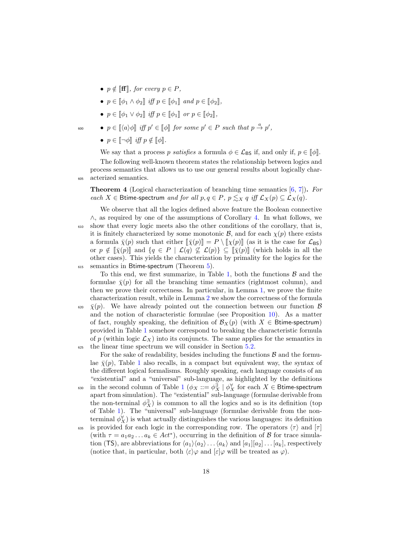- $p \notin [\mathbf{ff}],$  for every  $p \in P$ ,
- $p \in [\![\phi_1 \wedge \phi_2]\!]$  iff  $p \in [\![\phi_1]\!]$  and  $p \in [\![\phi_2]\!]$ ,
- $p \in [\![\phi_1 \vee \phi_2]\!]$  iff  $p \in [\![\phi_1]\!]$  or  $p \in [\![\phi_2]\!]$ ,
- 
- $p \in \llbracket \langle a \rangle \phi \rrbracket$  iff  $p' \in \llbracket \phi \rrbracket$  for some  $p' \in P$  such that  $p \stackrel{a}{\rightarrow} p'$ ,
	- $p \in \llbracket \neg \phi \rrbracket$  iff  $p \notin \llbracket \phi \rrbracket$ .

We say that a process p satisfies a formula  $\phi \in \mathcal{L}_{BS}$  if, and only if,  $p \in [\![\phi]\!]$ .

The following well-known theorem states the relationship between logics and process semantics that allows us to use our general results about logically char-<sup>605</sup> acterized semantics.

<span id="page-17-0"></span>**Theorem 4** (Logical characterization of branching time semantics  $[6, 7]$  $[6, 7]$ ). For each  $X \in$  Btime-spectrum and for all  $p, q \in P$ ,  $p \leq_{X} q$  iff  $\mathcal{L}_{X}(p) \subseteq \mathcal{L}_{X}(q)$ .

We observe that all the logics defined above feature the Boolean connective ∧, as required by one of the assumptions of Corollary [4.](#page-10-0) In what follows, we <sup>610</sup> show that every logic meets also the other conditions of the corollary, that is, it is finitely characterized by some monotonic  $\mathcal{B}$ , and for each  $\chi(p)$  there exists a formula  $\bar{\chi}(p)$  such that either  $\llbracket \bar{\chi}(p) \rrbracket = P \setminus \llbracket \chi(p) \rrbracket$  (as it is the case for  $\mathcal{L}_{BS}$ ) or  $p \notin \lbrack\!\lbrack\bar{\chi}(p)\rbrack\!\rbrack$  and  $\{q \in P \mid \mathcal{L}(q) \not\subseteq \mathcal{L}(p)\}\subseteq \lbrack\!\lbrack\bar{\chi}(p)\rbrack\!\rbrack$  (which holds in all the other cases). This yields the characterization by primality for the logics for the 615 semantics in Btime-spectrum (Theorem [5\)](#page-20-1).

To this end, we first summarize, in Table [1,](#page-16-0) both the functions  $\beta$  and the formulae  $\bar{\chi}(p)$  for all the branching time semantics (rightmost column), and then we prove their correctness. In particular, in Lemma [1,](#page-18-0) we prove the finite characterization result, while in Lemma [2](#page-19-0) we show the correctness of the formula  $\bar{\chi}(p)$ . We have already pointed out the connection between our function B and the notion of characteristic formulae (see Proposition [10\)](#page-9-0). As a matter of fact, roughly speaking, the definition of  $\mathcal{B}_X(p)$  (with  $X \in$  Btime-spectrum) provided in Table [1](#page-16-0) somehow correspond to breaking the characteristic formula of p (within logic  $\mathcal{L}_X$ ) into its conjuncts. The same applies for the semantics in

<sup>625</sup> the linear time spectrum we will consider in Section [5.2.](#page-20-0)

For the sake of readability, besides including the functions  $\beta$  and the formulae  $\bar{\chi}(p)$ , Table [1](#page-16-0) also recalls, in a compact but equivalent way, the syntax of the different logical formalisms. Roughly speaking, each language consists of an "existential" and a "universal" sub-language, as highlighted by the definitions 630 in the second column of Table [1](#page-16-0)  $(\phi_X ::= \phi_X^{\exists} \mid \phi_X^{\forall})$  for each  $X \in$  Btime-spectrum apart from simulation). The "existential" sub-language (formulae derivable from the non-terminal  $\phi_X^{\exists}$ ) is common to all the logics and so is its definition (top of Table [1\)](#page-16-0). The "universal" sub-language (formulae derivable from the nonterminal  $\phi_X^{\forall}$ ) is what actually distinguishes the various languages: its definition

635 is provided for each logic in the corresponding row. The operators  $\langle \tau \rangle$  and  $[\tau]$ (with  $\tau = a_1 a_2 \dots a_k \in Act^*$ ), occurring in the definition of  $\mathcal B$  for trace simulation (TS), are abbreviations for  $\langle a_1 \rangle \langle a_2 \rangle \dots \langle a_k \rangle$  and  $[a_1][a_2] \dots [a_k]$ , respectively (notice that, in particular, both  $\langle \varepsilon \rangle \varphi$  and  $[\varepsilon] \varphi$  will be treated as  $\varphi$ ).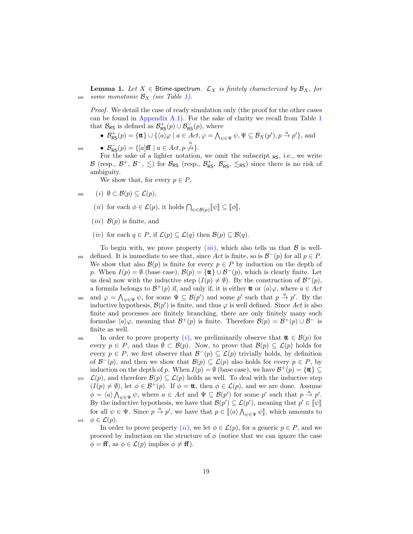<span id="page-18-0"></span>**Lemma 1.** Let  $X \in$  Btime-spectrum.  $\mathcal{L}_X$  is finitely characterized by  $\mathcal{B}_X$ , for 640 some monotonic  $\mathcal{B}_X$  (see Table [1\)](#page-16-0).

Proof. We detail the case of ready simulation only (the proof for the other cases can be found in [Appendix A.1\)](#page-33-0). For the sake of clarity we recall from Table [1](#page-16-0) that  $\mathcal{B}_{RS}$  is defined as  $\mathcal{B}_{RS}^+(p) \cup \mathcal{B}_{RS}^-(p)$ , where

•  $\mathcal{B}_{\mathsf{RS}}^+(p) = {\mathsf{t}}$  U  $\{\langle a \rangle \varphi \mid a \in \mathcal{A}ct, \varphi = \bigwedge_{\psi \in \Psi} \psi, \Psi \subseteq \mathcal{B}_X(p'), p \stackrel{a}{\to} p' \},\$ and

**•**  $\mathcal{B}_{\mathsf{RS}}^-(p) = \{ [a] \mathbf{ff} \mid a \in Act, p \stackrel{a}{\nrightarrow} \}.$ 

For the sake of a lighter notation, we omit the subscript  $_{RS}$ , i.e., we write  $\mathcal{B}$  (resp.,  $\mathcal{B}^+$ ,  $\mathcal{B}^-$ ,  $\lesssim$ ) for  $\mathcal{B}_{\sf RS}$  (resp.,  $\mathcal{B}_{\sf RS}^+$ ,  $\mathcal{B}_{\sf RS}^-$ ,  $\lesssim_{\sf RS}$ ) since there is no risk of ambiguity.

<span id="page-18-2"></span>We show that, for every  $p \in P$ ,

- <span id="page-18-3"></span><span id="page-18-1"></span>650  $(i)$   $\emptyset \subset \mathcal{B}(p) \subset \mathcal{L}(p),$ 
	- (*ii*) for each  $\phi \in \mathcal{L}(p)$ , it holds  $\bigcap_{\psi \in \mathcal{B}(p)} \llbracket \psi \rrbracket \subseteq \llbracket \phi \rrbracket$ ,
	- (*iii*)  $\mathcal{B}(p)$  is finite, and
	- (iv) for each  $q \in P$ , if  $\mathcal{L}(p) \subset \mathcal{L}(q)$  then  $\mathcal{B}(p) \subset \mathcal{B}(q)$ .

<span id="page-18-4"></span>To begin with, we prove property *([iii](#page-18-1))*, which also tells us that  $\beta$  is well-655 defined. It is immediate to see that, since Act is finite, so is  $\mathcal{B}^-(p)$  for all  $p \in P$ . We show that also  $\mathcal{B}(p)$  is finite for every  $p \in P$  by induction on the depth of p. When  $I(p) = \emptyset$  (base case),  $\mathcal{B}(p) = {\mathbf{t} \cdot \mathbf{t}} \cup \mathcal{B}^-(p)$ , which is clearly finite. Let us deal now with the inductive step  $(I(p) \neq \emptyset)$ . By the construction of  $\mathcal{B}^+(p)$ , a formula belongs to  $\mathcal{B}^+(p)$  if, and only if, it is either **tt** or  $\langle a \rangle \varphi$ , where  $a \in Act$ 

660 and  $\varphi = \bigwedge_{\psi \in \Psi} \psi$ , for some  $\Psi \subseteq \mathcal{B}(p')$  and some p' such that  $p \stackrel{a}{\to} p'$ . By the inductive hypothesis,  $\mathcal{B}(p')$  is finite, and thus  $\varphi$  is well defined. Since Act is also finite and processes are finitely branching, there are only finitely many such formulae  $\langle a \rangle \varphi$ , meaning that  $\mathcal{B}^+(p)$  is finite. Therefore  $\mathcal{B}(p) = \mathcal{B}^+(p) \cup \mathcal{B}^-$  is finite as well.

665 In order to prove property (i[\),](#page-18-2) we preliminarily observe that  $\mathbf{t} \in \mathcal{B}(p)$  for every  $p \in P$ , and thus  $\emptyset \subset \mathcal{B}(p)$ . Now, to prove that  $\mathcal{B}(p) \subseteq \mathcal{L}(p)$  holds for every  $p \in P$ , we first observe that  $\mathcal{B}^-(p) \subseteq \mathcal{L}(p)$  trivially holds, by definition of  $\mathcal{B}^-(p)$ , and then we show that  $\mathcal{B}(p) \subseteq \mathcal{L}(p)$  also holds for every  $p \in P$ , by induction on the depth of p. When  $I(p) = \emptyset$  (base case), we have  $\mathcal{B}^+(p) = {\mathbf{t} \mathbf{t}} \subseteq$ 

670  $\mathcal{L}(p)$ , and therefore  $\mathcal{B}(p) \subseteq \mathcal{L}(p)$  holds as well. To deal with the inductive step  $(I(p) \neq \emptyset)$ , let  $\phi \in \mathcal{B}^+(p)$ . If  $\phi = \mathbf{t}$ , then  $\phi \in \mathcal{L}(p)$ , and we are done. Assume  $\phi = \langle a \rangle \bigwedge_{\psi \in \Psi} \psi$ , where  $a \in Act$  and  $\Psi \subseteq \mathcal{B}(p')$  for some p' such that  $p \stackrel{a}{\rightarrow} p'$ . By the inductive hypothesis, we have that  $\mathcal{B}(p') \subseteq \mathcal{L}(p')$ , meaning that  $p' \in [\![\psi]\!]$ for all  $\psi \in \Psi$ . Since  $p \stackrel{a}{\to} p'$ , we have that  $p \in [ \langle a \rangle \bigwedge_{\psi \in \Psi} \psi ]$ , which amounts to 675  $\phi \in \mathcal{L}(p)$ .

In order to prove property ([ii](#page-18-3)), we let  $\phi \in \mathcal{L}(p)$ , for a generic  $p \in P$ , and we proceed by induction on the structure of  $\phi$  (notice that we can ignore the case  $\phi = \mathbf{f}$ , as  $\phi \in \mathcal{L}(p)$  implies  $\phi \neq \mathbf{f}$ .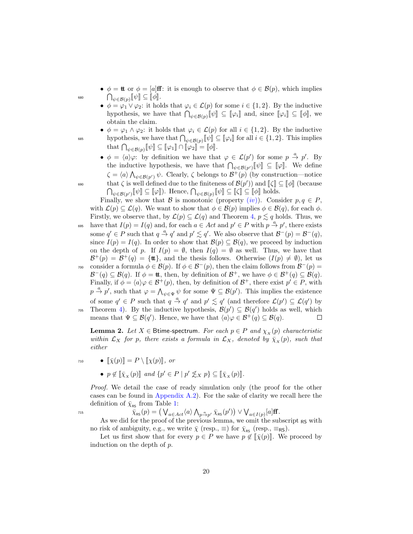- $\phi = \mathbf{t}$  or  $\phi = [a]$  iff: it is enough to observe that  $\phi \in \mathcal{B}(p)$ , which implies 680  $\bigcap_{\psi \in \mathcal{B}(p)} \llbracket \psi \rrbracket \subseteq \llbracket \phi \rrbracket.$ 
	- $\phi = \varphi_1 \vee \varphi_2$ : it holds that  $\varphi_i \in \mathcal{L}(p)$  for some  $i \in \{1, 2\}$ . By the inductive hypothesis, we have that  $\bigcap_{\psi \in \mathcal{B}(p)} [\![\psi]\!] \subseteq [\![\varphi_i]\!]$  and, since  $[\![\varphi_i]\!] \subseteq [\![\phi]\!]$ , we obtain the claim obtain the claim.
- $\phi = \varphi_1 \wedge \varphi_2$ : it holds that  $\varphi_i \in \mathcal{L}(p)$  for all  $i \in \{1,2\}$ . By the inductive by the sis, we have that  $\bigcap_{\psi \in \mathcal{B}(p)} [\![\psi]\!] \subseteq [\![\varphi_i]\!]$  for all  $i \in \{1, 2\}$ . This implies that  $\bigcap_{\psi \in \mathcal{B}(p)} \llbracket \psi \rrbracket \subseteq \llbracket \varphi_1 \rrbracket \cap \llbracket \varphi_2 \rrbracket = \llbracket \phi \rrbracket.$
- $\phi = \langle a \rangle \varphi$ : by definition we have that  $\varphi \in \mathcal{L}(p')$  for some  $p \stackrel{a}{\to} p'$ . By the inductive hypothesis, we have that  $\bigcap_{\psi \in \mathcal{B}(p')}\llbracket \psi \rrbracket \subseteq \llbracket \varphi \rrbracket$ . We define  $\zeta = \langle a \rangle \bigwedge_{\psi \in \mathcal{B}(p')} \psi$ . Clearly,  $\zeta$  belongs to  $\mathcal{B}^+(p)$  (by construction—notice  $\begin{array}{ll}\n\text{for } \text{dist } \zeta \text{ is well defined due to the finiteness of } \mathcal{B}(p')) \text{ and } [\![\zeta]\!] \subseteq [\![\phi]\!] \text{ (because } \Omega \text{ and } [\![\zeta]\!] \subseteq [\![\phi]\!] \text{ (because } \Omega \text{ and } [\![\zeta]\!] \subseteq [\![\phi]\!] \text{ (because } \Omega \text{ and } [\![\zeta]\!] \subseteq [\![\phi]\!] \text{ (because } \Omega \text{ and } [\![\zeta]\!] \subseteq [\![\phi]\!] \text{ (because } \Omega \text{ and } [\![\zeta]\!] \subseteq [\![\phi]\!] \text{ (because } \Omega \text{ and } [\![\z$

 $\bigcap_{\psi \in \mathcal{B}(p')} [\![\psi]\!] \subseteq [\![\varphi]\!]$ . Hence,  $\bigcap_{\psi \in \mathcal{B}(p)} [\![\psi]\!] \subseteq [\![\zeta]\!] \subseteq [\![\phi]\!]$  holds. Finally, we show that B is monotonic (property  $(iv)$  $(iv)$  $(iv)$ ). Consider  $p, q \in P$ , with  $\mathcal{L}(p) \subseteq \mathcal{L}(q)$ . We want to show that  $\phi \in \mathcal{B}(p)$  implies  $\phi \in \mathcal{B}(q)$ , for each  $\phi$ . Firstly, we observe that, by  $\mathcal{L}(p) \subseteq \mathcal{L}(q)$  and Theorem [4,](#page-17-0)  $p \leq q$  holds. Thus, we

- 695 have that  $I(p) = I(q)$  and, for each  $a \in Act$  and  $p' \in P$  with  $p \stackrel{a}{\rightarrow} p'$ , there exists some  $q' \in P$  such that  $q \stackrel{a}{\to} q'$  and  $p' \leq q'$ . We also observe that  $\mathcal{B}^-(p) = \mathcal{B}^-(q)$ , since  $I(p) = I(q)$ . In order to show that  $\mathcal{B}(p) \subseteq \mathcal{B}(q)$ , we proceed by induction on the depth of p. If  $I(p) = \emptyset$ , then  $I(q) = \emptyset$  as well. Thus, we have that  $\mathcal{B}^+(p) = \mathcal{B}^+(q) = {\textbf{t}, \textbf{t}}$ , and the thesis follows. Otherwise  $(I(p) \neq \emptyset)$ , let us
- <sup>700</sup> consider a formula  $\phi \in \mathcal{B}(p)$ . If  $\phi \in \mathcal{B}^-(p)$ , then the claim follows from  $\mathcal{B}^-(p)$  $\mathcal{B}^-(q) \subseteq \mathcal{B}(q)$ . If  $\phi = \mathbf{t}$ , then, by definition of  $\mathcal{B}^+$ , we have  $\phi \in \mathcal{B}^+(q) \subseteq \mathcal{B}(q)$ . Finally, if  $\phi = \langle a \rangle \varphi \in \mathcal{B}^+(p)$ , then, by definition of  $\mathcal{B}^+$ , there exist  $p' \in P$ , with  $p \stackrel{a}{\to} p'$ , such that  $\varphi = \bigwedge_{\psi \in \Psi} \psi$  for some  $\Psi \subseteq \mathcal{B}(p')$ . This implies the existence of some  $q' \in P$  such that  $q \stackrel{a}{\to} q'$  and  $p' \lesssim q'$  (and therefore  $\mathcal{L}(p') \subseteq \mathcal{L}(q')$  by
- $\tau$ <sub>05</sub> Theorem [4\)](#page-17-0). By the inductive hypothesis,  $\mathcal{B}(p') \subseteq \mathcal{B}(q')$  holds as well, which means that  $\Psi \subseteq \mathcal{B}(q')$ . Hence, we have that  $\langle a \rangle \varphi \in \mathcal{B}^+(q) \subseteq \mathcal{B}(q)$ .  $\Box$

<span id="page-19-0"></span>**Lemma 2.** Let  $X \in$  Btime-spectrum. For each  $p \in P$  and  $\chi_X(p)$  characteristic within  $\mathcal{L}_X$  for p, there exists a formula in  $\mathcal{L}_X$ , denoted by  $\bar{\chi}_X(p)$ , such that either

- $\overline{\chi}(p)$   $\bullet$   $\overline{\chi}(p)\overline{p} = P \setminus \overline{\chi}(p)\overline{p}$ , or
	- $p \notin [\bar{\chi}_X(p)]$  and  $\{p' \in P \mid p' \not\leq_X p\} \subseteq [\bar{\chi}_X(p)]$ .

Proof. We detail the case of ready simulation only (the proof for the other cases can be found in [Appendix A.2\)](#page-39-0). For the sake of clarity we recall here the definition of  $\bar{\chi}_{\text{RS}}$  from Table [1:](#page-16-0)

 $\bar{\chi}_{\texttt{RS}}(p) = \big(\bigvee_{a \in Act} \langle a \rangle \bigwedge_{p \stackrel{a}{\to} p'} \bar{\chi}_{\texttt{RS}}(p')\big) \vee \bigvee_{a \in I(p)} [a] \mathbf{f} \mathbf{f}.$ 

As we did for the proof of the previous lemma, we omit the subscript  $_{RS}$  with no risk of ambiguity, e.g., we write  $\bar{\chi}$  (resp.,  $\equiv$ ) for  $\bar{\chi}_{\text{RS}}$  (resp.,  $\equiv_{\text{RS}}$ ).

Let us first show that for every  $p \in P$  we have  $p \notin [\bar{\chi}(p)]$ . We proceed by induction on the depth of p.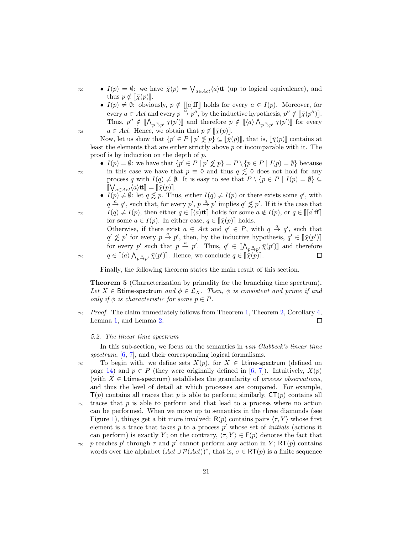- $I(p) = \emptyset$ : we have  $\bar{\chi}(p) = \bigvee_{a \in Act} \langle a \rangle$ **t** (up to logical equivalence), and thus  $p \notin ||\bar{\chi}(p)||$ .
- $I(p) \neq \emptyset$ : obviously,  $p \notin \llbracket [a] \mathbf{ff} \rrbracket$  holds for every  $a \in I(p)$ . Moreover, for every  $a \in Act$  and every  $p \stackrel{\overrightarrow{a}}{\rightarrow} p''$ , by the inductive hypothesis,  $p'' \notin [\bar{\chi}(p'')]$ .<br>Thus  $p'' \notin [\Lambda \setminus [\bar{\chi}(p')]$  and therefore  $p \notin [\bar{\chi}(p')]$  for every Thus,  $p'' \notin [\![ \bigwedge_{p \stackrel{a}{\to} p'} \bar{\chi}(p')] \!]$  and therefore  $p \notin [\! \langle a \rangle \bigwedge_{p \stackrel{a}{\to} p'} \bar{\chi}(p')]$  for every <sup>725</sup>  $a \in Act$ . Hence, we obtain that  $p \notin [\bar{\chi}(p)]$ .

Now, let us show that  $\{p' \in P \mid p' \not\leq p\} \subseteq [\bar{\chi}(p)]$ , that is,  $[\bar{\chi}(p)]$  contains at the elements that are either strictly above a or incomparable with it. The least the elements that are either strictly above  $p$  or incomparable with it. The proof is by induction on the depth of p.

- $I(p) = \emptyset$ : we have that  $\{p' \in P \mid p' \not\leq p\} = P \setminus \{p \in P \mid I(p) = \emptyset\}$  because <sup>730</sup> in this case we have that  $p \equiv 0$  and thus  $q \leq 0$  does not hold for any process q with  $I(q) \neq \emptyset$ . It is easy to see that  $P \setminus \{p \in P \mid I(p) = \emptyset\} \subseteq$  $[\![\bigvee_{a\in Act}\langle a\rangle\mathbf{t}]\!] = [\![\bar{\chi}(p)]\!]$ .<br> $I(n) \neq \emptyset$ . lot  $a \leq n$ . Then
- $I(p) \neq \emptyset$ : let  $q \not\leq p$ . Thus, either  $I(q) \neq I(p)$  or there exists some q', with  $q \stackrel{a}{\rightarrow} q'$ , such that, for every  $p', p \stackrel{a}{\rightarrow} p'$  implies  $q' \not\lesssim p'$ . If it is the case that 735  $I(q) \neq I(p)$ , then either  $q \in \llbracket \langle a \rangle \mathbf{t} \rrbracket$  holds for some  $a \notin I(p)$ , or  $q \in \llbracket \llbracket a \rrbracket \mathbf{f} \rrbracket$ for some  $a \in I(p)$ . In either case,  $q \in \lbrack\!\lbrack \bar{\chi}(p) \rbrack\!\rbrack$  holds.

Otherwise, if there exist  $a \in Act$  and  $q' \in P$ , with  $q \stackrel{a}{\rightarrow} q'$ , such that  $q' \nleq p'$  for every  $p \stackrel{\alpha}{\rightarrow} p'$ , then, by the inductive hypothesis,  $q' \in [\bar{\chi}(p')]$ for every p' such that  $p \stackrel{a}{\rightarrow} p'$ . Thus,  $q' \in [\![ {\bigwedge}_{p \stackrel{a}{\rightarrow} p'} \bar{\chi}(p')]$  and therefore <sup>740</sup>  $q \in [\![\langle a \rangle \bigwedge_{p \stackrel{\alpha}{\to} p'} \bar{\chi}(p')]$ . Hence, we conclude  $q \in [\![\bar{\chi}(p)]\!]$ .

Finally, the following theorem states the main result of this section.

<span id="page-20-1"></span>Theorem 5 (Characterization by primality for the branching time spectrum). Let  $X \in$  Btime-spectrum and  $\phi \in \mathcal{L}_X$ . Then,  $\phi$  is consistent and prime if and only if  $\phi$  is characteristic for some  $p \in P$ .

 $P_{745}$  Proof. The claim immediately follows from Theorem [1,](#page-6-0) Theorem [2,](#page-7-0) Corollary [4,](#page-10-0) Lemma [1,](#page-18-0) and Lemma [2.](#page-19-0)  $\Box$ 

## <span id="page-20-0"></span>5.2. The linear time spectrum

In this sub-section, we focus on the semantics in van Glabbeek's linear time spectrum,  $[6, 7]$  $[6, 7]$ , and their corresponding logical formalisms.

 $750$  To begin with, we define sets  $X(p)$ , for  $X \in$  Ltime-spectrum (defined on page [14\)](#page-14-1) and  $p \in P$  (they were originally defined in [\[6,](#page-31-5) [7\]](#page-31-6)). Intuitively,  $X(p)$ (with  $X \in$  Ltime-spectrum) establishes the granularity of *process observations*, and thus the level of detail at which processes are compared. For example,  $T(p)$  contains all traces that p is able to perform; similarly,  $CT(p)$  contains all

- $\tau$ <sub>755</sub> traces that p is able to perform and that lead to a process where no action can be performed. When we move up to semantics in the three diamonds (see Figure [1\)](#page-14-1), things get a bit more involved:  $R(p)$  contains pairs  $\langle \tau, Y \rangle$  whose first element is a trace that takes  $p$  to a process  $p'$  whose set of *initials* (actions it can perform) is exactly Y; on the contrary,  $\langle \tau, Y \rangle \in \mathsf{F}(p)$  denotes the fact that
- <sup>760</sup> p reaches p' through  $\tau$  and p' cannot perform any action in Y; RT(p) contains words over the alphabet  $(Act \cup \mathcal{P}(Act))^*$ , that is,  $\sigma \in \mathsf{RT}(p)$  is a finite sequence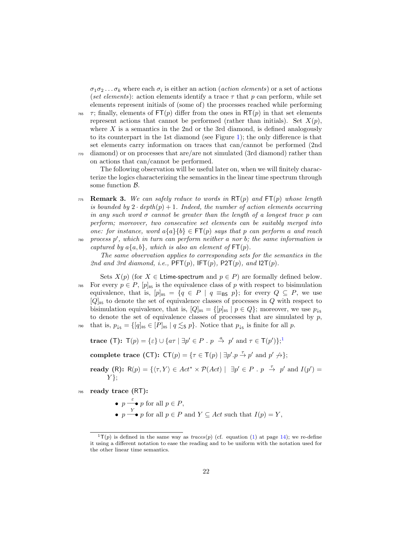$\sigma_1 \sigma_2 \ldots \sigma_k$  where each  $\sigma_i$  is either an action (*action elements*) or a set of actions (set elements): action elements identify a trace  $\tau$  that p can perform, while set elements represent initials of (some of) the processes reached while performing  $\tau$ <sub>765</sub>  $\tau$ ; finally, elements of  $\mathsf{FT}(p)$  differ from the ones in  $\mathsf{RT}(p)$  in that set elements

- represent actions that cannot be performed (rather than initials). Set  $X(p)$ , where  $X$  is a semantics in the 2nd or the 3rd diamond, is defined analogously to its counterpart in the 1st diamond (see Figure [1\)](#page-14-1); the only difference is that set elements carry information on traces that can/cannot be performed (2nd
- $770$  diamond) or on processes that are/are not simulated (3rd diamond) rather than on actions that can/cannot be performed.

The following observation will be useful later on, when we will finitely characterize the logics characterizing the semantics in the linear time spectrum through some function B.

<span id="page-21-1"></span>775 **Remark 3.** We can safely reduce to words in  $RT(p)$  and  $FT(p)$  whose length is bounded by  $2 \cdot depth(p) + 1$ . Indeed, the number of action elements occurring in any such word  $\sigma$  cannot be greater than the length of a longest trace p can perform; moreover, two consecutive set elements can be suitably merged into one: for instance, word  $a\{a\}\{b\} \in \mathsf{FT}(p)$  says that p can perform a and reach  $p$  process  $p'$ , which in turn can perform neither a nor b; the same information is

captured by  $a\{a,b\}$ , which is also an element of  $\textsf{FT}(p)$ . The same observation applies to corresponding sets for the semantics in the

2nd and 3rd diamond, i.e.,  $PFT(p)$ ,  $IFT(p)$ ,  $P2T(p)$ , and  $12T(p)$ .

Sets  $X(p)$  (for  $X \in$  Ltime-spectrum and  $p \in P$ ) are formally defined below. <sup>785</sup> For every  $p \in P$ ,  $[p]_{\text{BS}}$  is the equivalence class of p with respect to bisimulation equivalence, that is,  $[p]_{\text{BS}} = \{q \in P \mid q \equiv_{\text{BS}} p\};\text{ for every } Q \subseteq P, \text{ we use }$  $[Q]_{\text{BS}}$  to denote the set of equivalence classes of processes in Q with respect to bisimulation equivalence, that is,  $[Q]_{\text{BS}} = \{[p]_{\text{BS}} | p \in Q\}$ ; moreover, we use  $p_{\downarrow s}$ to denote the set of equivalence classes of processes that are simulated by  $p$ , <sup>790</sup> that is,  $p_{\downarrow s} = \{ [q]_{\text{BS}} \in [P]_{\text{BS}} \mid q \lesssim_{\text{S}} p \}.$  Notice that  $p_{\downarrow s}$  is finite for all p.

**trace** (T):  $\mathsf{T}(p) = \{\varepsilon\} \cup \{a\tau \mid \exists p' \in P : p \stackrel{a}{\to} p' \text{ and } \tau \in \mathsf{T}(p')\};^1$  $\mathsf{T}(p) = \{\varepsilon\} \cup \{a\tau \mid \exists p' \in P : p \stackrel{a}{\to} p' \text{ and } \tau \in \mathsf{T}(p')\};^1$ 

complete trace (CT):  $CT(p) = \{ \tau \in T(p) \mid \exists p'.p \stackrel{\tau}{\rightarrow} p' \text{ and } p' \not\rightarrow \};$ 

ready (R):  $R(p) = \{ \langle \tau, Y \rangle \in Act^* \times \mathcal{P}(Act) \mid \exists p' \in P \cdot p \stackrel{\tau}{\rightarrow} p' \text{ and } I(p') =$  $Y$  };

<sup>795</sup> ready trace (RT):

- $p \xrightarrow{\varepsilon} p$  for all  $p \in P$ ,
- $p \xrightarrow{Y} p$  for all  $p \in P$  and  $Y \subseteq Act$  such that  $I(p) = Y$ ,

<span id="page-21-0"></span> ${}^{1}$ T(p) is defined in the same way as *traces*(p) (cf. equation [\(1\)](#page-13-0) at page [14\)](#page-13-0); we re-define it using a different notation to ease the reading and to be uniform with the notation used for the other linear time semantics.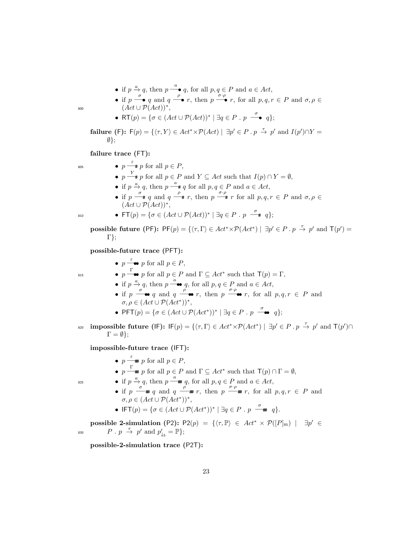- if  $p \stackrel{a}{\rightarrow} q$ , then  $p \stackrel{a}{\longrightarrow} q$ , for all  $p, q \in P$  and  $a \in Act$ ,
- if  $p \stackrel{\sigma}{\longrightarrow} q$  and  $q \stackrel{\rho}{\longrightarrow} r$ , then  $p \stackrel{\sigma \cdot \rho}{\longrightarrow} r$ , for all  $p, q, r \in P$  and  $\sigma, \rho \in$ <sup>800</sup>  $(Act \cup \mathcal{P}(Act))^*,$ 
	- RT(p) = { $\sigma \in (Act \cup \mathcal{P}(Act))^* \mid \exists q \in P \cdot p \stackrel{\sigma}{\longrightarrow} q$ };

failure (F):  $F(p) = \{ \langle \tau, Y \rangle \in Act^* \times \mathcal{P}(Act) \mid \exists p' \in P \cdot p \stackrel{\tau}{\rightarrow} p' \text{ and } I(p') \cap Y =$  $\emptyset$  };

failure trace (FT):

$$
^{805}
$$

$$
\bullet \ \ p \xrightarrow{\varepsilon} p \text{ for all } p \in P,
$$

- $p \xrightarrow{Y} p$  for all  $p \in P$  and  $Y \subseteq Act$  such that  $I(p) \cap Y = \emptyset$ ,
- if  $p \stackrel{a}{\rightarrow} q$ , then  $p \stackrel{a}{\longrightarrow} q$  for all  $p, q \in P$  and  $a \in Act$ ,
- if  $p \stackrel{\sigma}{\longrightarrow} q$  and  $q \stackrel{\rho}{\longrightarrow} r$ , then  $p \stackrel{\sigma \cdot \rho}{\longrightarrow} r$  for all  $p, q, r \in P$  and  $\sigma, \rho \in$  $(Act \cup \mathcal{P}(Act))^*,$

$$
^{\color{red}810}
$$

 $\bullet$  FT(p) = {σ ∈ (Act ∪ P(Act))<sup>\*</sup> | ∃q ∈ P . p  $\frac{\sigma}{\bullet}$  q};

possible future (PF):  $PF(p) = \{(\tau, \Gamma) \in Act^* \times \mathcal{P}(Act^*) \mid \exists p' \in P \cdot p \stackrel{\tau}{\rightarrow} p' \text{ and } \mathsf{T}(p') = \emptyset\}$ Γ};

possible-future trace (PFT):

- $p \xrightarrow{\varepsilon} p$  for all  $p \in P$ ,
- <sup>815</sup>  $p \xrightarrow{\Gamma} p$  for all  $p \in P$  and  $\Gamma \subseteq Act^*$  such that  $\mathsf{T}(p) = \Gamma$ ,
	- if  $p \stackrel{a}{\rightarrow} q$ , then  $p \stackrel{a}{\longrightarrow} q$ , for all  $p, q \in P$  and  $a \in Act$ ,
	- if  $p \xrightarrow{\sigma} q$  and  $q \xrightarrow{\rho} r$ , then  $p \xrightarrow{\sigma \cdot \rho} r$ , for all  $p, q, r \in P$  and  $\sigma, \rho \in (Act \cup \mathcal{P}(Act^*))^*,$
	- PFT $(p) = \{ \sigma \in (Act \cup \mathcal{P}(Act^*))^* \mid \exists q \in P : p \stackrel{\sigma}{\longrightarrow} q \};$
- s20 **impossible future (IF):** IF(p) = { $\langle \tau, \Gamma \rangle \in Act^* \times \mathcal{P}(Act^*)$  | ∃p' ∈ P . p  $\stackrel{\tau}{\to}$  p' and  $\mathsf{T}(p') \cap$  $\Gamma = \emptyset$ :

impossible-future trace (IFT):

- $p \xrightarrow{\varepsilon} p$  for all  $p \in P$ ,
- $p \stackrel{\Gamma}{\longrightarrow}$  p for all  $p \in P$  and  $\Gamma \subseteq Act^*$  such that  $\mathsf{T}(p) \cap \Gamma = \emptyset$ ,
- <sup>825</sup> if  $p \stackrel{a}{\rightarrow} q$ , then  $p \stackrel{a}{-\!\!\!-\!\!\!-\!\!\!-\!\!\!-\!\!\!\!\cdots} q$ , for all  $p, q \in P$  and  $a \in Act$ ,
	- if  $p \stackrel{\sigma}{\longrightarrow} q$  and  $q \stackrel{\rho}{\longrightarrow} q$  then  $p \stackrel{\sigma \cdot \rho}{\longrightarrow} r$ , for all  $p, q, r \in P$  and  $\sigma, \rho \in (Act \cup \mathcal{P}(Act^*))^*,$
	- IFT $(p) = \{ \sigma \in (Act \cup \mathcal{P}(Act^*))^* \mid \exists q \in P : p \stackrel{\sigma}{\longrightarrow} q \}.$

possible 2-simulation (P2):  $P2(p) = \{(\tau, \mathbb{P}) \in Act^* \times \mathcal{P}([P]_{BS}) | \exists p' \in \mathbb{P} \}$  $P \, . \, p \, \stackrel{\tau}{\rightarrow} \, p' \text{ and } p'_{\downarrow_5} = \mathbb{P} \};$ 

possible-2-simulation trace (P2T):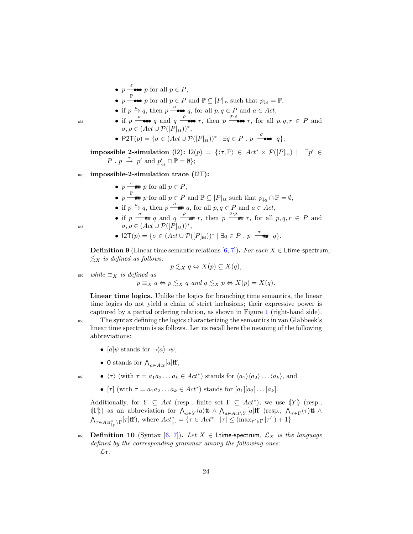- $p \xrightarrow{\varepsilon} p$  for all  $p \in P$ ,
- $p \xrightarrow{\mathbb{P}} p$  for all  $p \in P$  and  $\mathbb{P} \subseteq [P]_{\text{BS}}$  such that  $p_{\downarrow s} = \mathbb{P}$ ,
- if  $p \stackrel{a}{\rightarrow} q$ , then  $p \stackrel{a}{\rightarrow} q$ , for all  $p, q \in P$  and  $a \in Act$ ,
- <sup>835</sup> if  $p \xrightarrow{\sigma} q$  and  $q \xrightarrow{\rho} q \bullet r$ , then  $p \xrightarrow{\sigma \cdot \rho} q \bullet r$ , for all  $p, q, r \in P$  and  $\sigma, \rho \in (Act \cup \mathcal{P}([P]_{BS}))^*,$ 
	- P2T $(p) = {\sigma \in (Act \cup \mathcal{P}([P]_{BS}))^* \mid \exists q \in P \cdot p \xrightarrow{\sigma} \bullet \bullet q};$

**impossible 2-simulation** (12):  $12(p) = \{(\tau, \mathbb{P}) \in Act^* \times \mathcal{P}([P]_{BS}) | \exists p' \in \mathbb{P} \}$  $P \, . \, p \, \stackrel{\tau}{\rightarrow} \, p' \text{ and } p'_{\downarrow s} \cap \mathbb{P} = \emptyset \};$ 

- 840 impossible-2-simulation trace (I2T):
	- $p \xrightarrow{\varepsilon} p$  for all  $p \in P$ ,
	- $p \xrightarrow{\mathbb{P}} p$  for all  $p \in P$  and  $\mathbb{P} \subseteq [P]_{\text{BS}}$  such that  $p_{\downarrow_S} \cap \mathbb{P} = \emptyset$ ,
	- if  $p \stackrel{a}{\rightarrow} q$ , then  $p \stackrel{a}{\longrightarrow} q$ , for all  $p, q \in P$  and  $a \in Act$ ,
- if  $p \xrightarrow{\sigma} q$  and  $q \xrightarrow{\rho} q$  and  $r$ , then  $p \xrightarrow{\sigma \cdot \rho} q$ , for all  $p, q, r \in P$  and <sup>845</sup>  $\sigma, \rho \in (Act \cup \mathcal{P}([P]_{BS}))^*,$ 
	- $12\mathsf{T}(p) = \{ \sigma \in (Act \cup \mathcal{P}([P]_{BS}))^* \mid \exists q \in P : p \xrightarrow{\sigma} q \}.$

<span id="page-23-0"></span>**Definition 9** (Linear time semantic relations  $[6, 7]$  $[6, 7]$ ). For each  $X \in$  Ltime-spectrum,  $\lesssim_X$  is defined as follows:

$$
p \lesssim_X q \Leftrightarrow X(p) \subseteq X(q),
$$
  
so  $while \equiv_X is defined as$   

$$
p \equiv_X q \Leftrightarrow p \lesssim_X q \text{ and } q \lesssim_X p \Leftrightarrow X(p) = X(q).
$$

Linear time logics. Unlike the logics for branching time semantics, the linear time logics do not yield a chain of strict inclusions; their expressive power is captured by a partial ordering relation, as shown in Figure [1](#page-14-1) (right-hand side).

<sup>855</sup> The syntax defining the logics characterizing the semantics in van Glabbeek's linear time spectrum is as follows. Let us recall here the meaning of the following abbreviations:

- [a] $\psi$  stands for  $\neg \langle a \rangle \neg \psi$ ,
- 0 stands for  $\bigwedge_{a \in Act}[a]$ ff,

 $\bullet \quad \langle \tau \rangle$  (with  $\tau = a_1 a_2 \dots a_k \in Act^*$ ) stands for  $\langle a_1 \rangle \langle a_2 \rangle \dots \langle a_k \rangle$ , and

•  $[\tau]$  (with  $\tau = a_1 a_2 \dots a_k \in Act^*$ ) stands for  $[a_1][a_2]\dots[a_k]$ .

Additionally, for  $Y \subseteq Act$  (resp., finite set  $\Gamma \subseteq Act^*$ ), we use  $\{Y\}$  (resp.,  $\langle \Gamma \rangle$ ) as an abbreviation for  $\bigwedge_{a \in Y} \langle a \rangle$ **t**  $\wedge \bigwedge_{a \in Act\setminus Y} [a]$ **ff** (resp.,  $\bigwedge_{\tau \in \Gamma} \langle \tau \rangle$ **t**  $\wedge$  $\bigwedge_{\tau \in Act^*_{|\Gamma}} \Gamma[\tau] \mathbf{ff}$ , where  $Act^*_{|\Gamma} = \{ \tau \in Act^* \mid |\tau| \leq (\max_{\tau' \in \Gamma} |\tau'|) + 1 \}$ 

**Definition 10** (Syntax [\[6,](#page-31-5) [7\]](#page-31-6)). Let  $X \in$  Ltime-spectrum,  $\mathcal{L}_X$  is the language defined by the corresponding grammar among the following ones:  $\mathcal{L}_{\mathsf{T}}$ :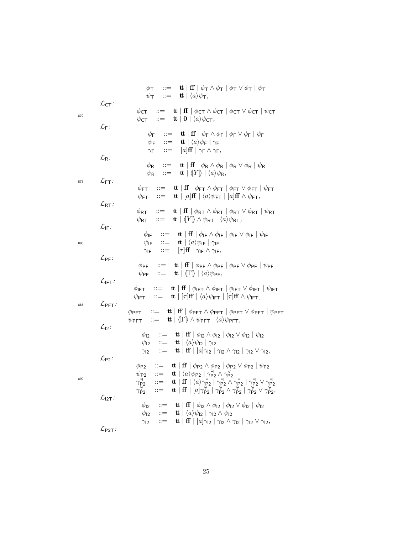|     |                                | $\mathbf{t} := \mathbf{t} \mathbf{t} \mid \mathbf{f} \mathbf{f} \mid \phi_{\mathsf{T}} \wedge \phi_{\mathsf{T}} \mid \phi_{\mathsf{T}} \vee \phi_{\mathsf{T}} \mid \psi_{\mathsf{T}}$<br>$\phi$ T<br><b>tt</b> $\langle a \rangle \psi$ <sub>T</sub> ,<br>$\psi$ T<br>$\mathrel{\mathop:}=$                                                                                                                                                                                          |
|-----|--------------------------------|--------------------------------------------------------------------------------------------------------------------------------------------------------------------------------------------------------------------------------------------------------------------------------------------------------------------------------------------------------------------------------------------------------------------------------------------------------------------------------------|
| 870 | $\mathcal{L}_{\textsf{CT}}$ :  | <b>tt</b>   <b>ff</b>   $\phi$ c τ $\wedge$ $\phi$ c τ   $\phi$ c τ $\vee$ $\phi$ c τ   $\psi$ c τ<br>$\phi$ <sub>CT</sub> ::=<br>$\psi$ <sub>CT</sub> ::=<br><b>tt</b> $\vert \mathbf{0} \vert \langle a \rangle \psi_{\text{CT}}$ ,                                                                                                                                                                                                                                                |
|     | $\mathcal{L}_{\mathsf{F}}$ :   | <b>tt</b>   <b>ff</b>   $\phi$ <sub>F</sub> $\wedge$ $\phi$ <sub>F</sub>   $\phi$ <sub>F</sub> $\vee$ $\phi$ <sub>F</sub>   $\psi$ <sub>F</sub><br>$\phi_{\mathsf{F}}$<br>$::=$<br>$\psi_{\mathsf{F}}$<br><b>tt</b> $\langle a \rangle \psi_F   \gamma_F$<br>$\mathrel{\mathop:}=$<br>$[a]$ ff $  \gamma_F \wedge \gamma_F$ ,<br>$\gamma_{\mathsf{F}}$<br>$::=$                                                                                                                      |
|     | $\mathcal{L}_{\mathsf{R}}$ :   | $\phi_{\mathsf{R}}$<br>$\mathbf{t} := \mathbf{t} \mathbf{t} \mid \mathbf{f} \mathbf{f} \mid \phi_{\mathsf{R}} \wedge \phi_{\mathsf{R}} \mid \phi_{\mathsf{R}} \vee \phi_{\mathsf{R}} \mid \psi_{\mathsf{R}}$                                                                                                                                                                                                                                                                         |
| 875 | $\mathcal{L}_{\mathsf{FT}}$ :  | <b>tt</b> $\langle Y \rangle \mid \langle a \rangle \psi_R$ ,<br>$\psi_{\mathsf{R}}$<br>$\mathrel{\mathop:}=$                                                                                                                                                                                                                                                                                                                                                                        |
|     | $\mathcal{L}_{\mathsf{RT}}$ :  | $\mathbf{t} \mathbf{t} \mid \mathbf{f} \mathbf{f} \mid \phi_{\mathsf{FT}} \land \phi_{\mathsf{FT}} \mid \phi_{\mathsf{FT}} \lor \phi_{\mathsf{FT}} \mid \psi_{\mathsf{FT}}$<br>$\phi$ FT<br>$::=$<br>$\psi$ ft<br><b>tt</b> $\left[ a \right]$ <b>ff</b> $\left[ \langle a \rangle \psi_{\text{FT}} \right]$ $\left[ a \right]$ <b>ff</b> $\wedge \psi_{\text{FT}}$ ,<br>$\equiv$                                                                                                    |
|     |                                | $\phi_{\mathsf{RT}}$<br><b>tt</b>   <b>ff</b>   $\phi_{\mathsf{RT}} \wedge \phi_{\mathsf{RT}}$   $\phi_{\mathsf{RT}} \vee \phi_{\mathsf{RT}}$   $\psi_{\mathsf{RT}}$<br>$\mathrel{\mathop:}=$<br>$\psi_{\mathsf{RT}}$ ::=<br><b>tt</b> $\langle Y \rangle \wedge \psi_{\mathsf{RT}} \rangle \langle a \rangle \psi_{\mathsf{RT}},$                                                                                                                                                   |
|     | $\mathcal{L}_{IF}$ :           | $\phi$ IF<br>$\therefore$ tt   ff   $\phi$ if $\wedge \phi$ if   $\phi$ if $\vee \phi$ if   $\psi$ if                                                                                                                                                                                                                                                                                                                                                                                |
| 880 |                                | $\psi_{\mathsf{IF}}$<br>$\;\; \; := \quad \mathbf{t} \;   \; \langle a \rangle \psi_{\mathsf{IF}} \;   \; \gamma_{\mathsf{IF}}$<br>$\gamma_{\textsf{IF}}$ :=<br>$[\tau] \mathbf{f} \mid \gamma_{\mathsf{IF}} \wedge \gamma_{\mathsf{IF}},$                                                                                                                                                                                                                                           |
|     | $\mathcal{L}_{\mathsf{PF}}$ :  | $\phi_{\text{PF}}$ := <b>tt</b>   <b>ff</b>   $\phi_{\text{PF}} \wedge \phi_{\text{PF}}$   $\phi_{\text{PF}} \vee \phi_{\text{PF}}$   $\psi_{\text{PF}}$<br>$\psi_{\text{PF}}$ ::= <b>tt</b> $ \langle \Gamma \rangle  \langle a \rangle \psi_{\text{PF}},$                                                                                                                                                                                                                          |
|     | $\mathcal{L}_{\text{IFT}}$ :   | <b>tt</b> $\vert$ <b>ff</b> $\vert \phi$ ift $\land \phi$ ift $\vert \phi$ ift $\lor \phi$ ift $\vert \psi$ ift<br>$\phi$ IFT $\;\;::=$                                                                                                                                                                                                                                                                                                                                              |
| 885 | $\mathcal{L}_{\mathsf{PFT}}$ : | <b>tt</b> $[\tau]$ <b>ff</b> $\langle a \rangle \psi$ <sub>IFT</sub> $[\tau]$ <b>ff</b> $\land \psi$ <sub>IFT</sub> ,<br>$\psi_{\text{IFT}}$<br>$\equiv$                                                                                                                                                                                                                                                                                                                             |
|     |                                | <b>tt</b>   <b>ff</b>   $\phi$ pft $\land \phi$ pft   $\phi$ pft $\lor \phi$ pft   $\psi$ pft<br>$\phi$ PFT $::=$<br><b>tt</b> $\langle \Gamma \rangle \wedge \psi$ PFT $\langle a \rangle \psi$ PFT,<br>$\psi_{\mathsf{PFT}}$ ::=                                                                                                                                                                                                                                                   |
|     | $\mathcal{L}_{12}$ :           | $\phi_{12}$<br><b>tt</b>   <b>ff</b>   $\phi_{12} \wedge \phi_{12}$   $\phi_{12} \vee \phi_{12}$   $\psi_{12}$<br>$::=$                                                                                                                                                                                                                                                                                                                                                              |
|     |                                | $\psi$ <sub>12</sub><br><b>tt</b> $\langle a \rangle \psi_{12}   \gamma_{12}$<br>$\mathrel{\mathop:}=$<br><b>tt</b>   <b>ff</b>   $[a]\gamma_{12}$   $\gamma_{12} \wedge \gamma_{12}$   $\gamma_{12} \vee \gamma_{12}$ ,<br>$::=$<br>$\gamma$ <sub>12</sub>                                                                                                                                                                                                                          |
|     | $L_{P2}$ :                     | $\phi$ P2<br><b>tt</b>   <b>ff</b>   $\phi_{P2} \wedge \phi_{P2}$   $\phi_{P2} \vee \phi_{P2}$   $\psi_{P2}$<br>$\equiv$                                                                                                                                                                                                                                                                                                                                                             |
| 890 |                                | $\psi$ P2<br>$\begin{array}{l} \mathbf{t} \parallel \langle a \rangle \psi_{\text{P2}} \mid \gamma_{\text{P2}}^{\exists} \wedge \gamma_{\text{P2}}^{\forall} \\ \mathbf{t} \parallel \mathbf{f} \parallel \langle a \rangle \gamma_{\text{P2}}^{\exists} \mid \gamma_{\text{P2}}^{\exists} \wedge \gamma_{\text{P2}}^{\exists} \mid \gamma_{\text{P2}}^{\exists} \vee \gamma_{\text{P2}}^{\exists} \end{array}$<br>$\mathrel{\mathop:}=$<br>$\gamma^\exists_\mathsf{P2}$<br>$\equiv$ |
|     |                                | <b>tt</b>   <b>ff</b>   $[a]\gamma_{P2}^{\forall}$   $\gamma_{P2}^{\forall} \wedge \gamma_{P2}^{\forall}$   $\gamma_{P2}^{\forall} \vee \gamma_{P2}^{\forall}$ ,<br>$::=$<br>$\gamma^\texttt{v}_{\texttt{P2}}$                                                                                                                                                                                                                                                                       |
|     | $\mathcal{L}_{12T}$ :          | $\phi_{12}$<br><b>tt</b> $\  \mathbf{f} \  \theta_{12} \wedge \phi_{12} \  \phi_{12} \vee \phi_{12} \  \psi_{12}$<br>$::=$                                                                                                                                                                                                                                                                                                                                                           |
|     |                                | <b>tt</b> $\langle a \rangle \psi_{12}   \gamma_{12} \wedge \psi_{12}$<br>$\psi_{12}$<br>$::=$<br><b>tt</b>   <b>ff</b>   $[a]\gamma_{12}$   $\gamma_{12} \wedge \gamma_{12}$   $\gamma_{12} \vee \gamma_{12}$ ,<br>$::=$<br>$\gamma_{12}$                                                                                                                                                                                                                                           |
|     | $L_{P2T}$ :                    |                                                                                                                                                                                                                                                                                                                                                                                                                                                                                      |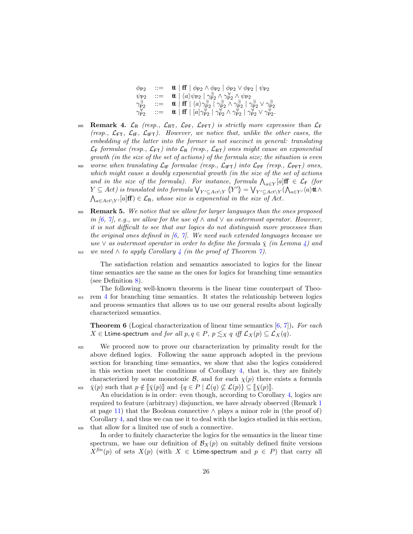|                                     | $\phi_{P2}$ ::= <b>tt</b>   <b>ff</b>   $\phi_{P2} \wedge \phi_{P2}$   $\phi_{P2} \vee \phi_{P2}$   $\psi_{P2}$                                                                                                                                                                         |
|-------------------------------------|-----------------------------------------------------------------------------------------------------------------------------------------------------------------------------------------------------------------------------------------------------------------------------------------|
| $\psi_{P2}$                         | $\therefore =$ <b>tt</b> $\langle a \rangle \psi_{P2}   \gamma_{P2}^{\exists} \wedge \gamma_{P2}^{\forall} \wedge \psi_{P2}$                                                                                                                                                            |
| $\gamma_{\texttt{P2}}^{\texttt{d}}$ | $\mathbf{t} := \mathbf{t} \mathbf{t} \mid \mathbf{f} \mathbf{f} \mid \langle a \rangle \gamma_{\mathsf{P2}}^{\mathbb{B}} \mid \gamma_{\mathsf{P2}}^{\mathbb{B}} \wedge \gamma_{\mathsf{P2}}^{\mathbb{B}} \mid \gamma_{\mathsf{P2}}^{\mathbb{B}} \vee \gamma_{\mathsf{P2}}^{\mathbb{B}}$ |
| $\gamma_{\mathsf{P2}}^{\forall}$    | $\therefore =$ <b>t</b>   <b>ff</b>   $[a]\gamma_{P2}^{\forall}$   $\gamma_{P2}^{\forall} \wedge \gamma_{P2}^{\forall}$   $\gamma_{P2}^{\forall} \vee \gamma_{P2}^{\forall}$ .                                                                                                          |

- 895 Remark 4.  $\mathcal{L}_{R}$  (resp.,  $\mathcal{L}_{RT}$ ,  $\mathcal{L}_{PF}$ ,  $\mathcal{L}_{PFT}$ ) is strictly more expressive than  $\mathcal{L}_{F}$ (resp.,  $\mathcal{L}_{\text{FT}}$ ,  $\mathcal{L}_{\text{IF}}$ ,  $\mathcal{L}_{\text{IFT}}$ ). However, we notice that, unlike the other cases, the embedding of the latter into the former is not succinct in general: translating  $\mathcal{L}_{\mathsf{F}}$  formulae (resp.,  $\mathcal{L}_{\mathsf{FT}}$ ) into  $\mathcal{L}_{\mathsf{R}}$  (resp.,  $\mathcal{L}_{\mathsf{RT}}$ ) ones might cause an exponential growth (in the size of the set of actions) of the formula size; the situation is even 900 worse when translating  $\mathcal{L}_{IF}$  formulae (resp.,  $\mathcal{L}_{IFT}$ ) into  $\mathcal{L}_{PF}$  (resp.,  $\mathcal{L}_{PFT}$ ) ones, which might cause a doubly exponential growth (in the size of the set of actions and in the size of the formula). For instance, formula  $\bigwedge_{a\in Y}[a]\mathbf{ff} \in \mathcal{L}_{\mathsf{F}}$  (for  $Y \subseteq Act$ ) is translated into formula  $\bigvee_{Y' \subseteq Act\setminus Y} \langle Y' \rangle = \bigvee_{Y' \subseteq Act\setminus Y} (\bigwedge_{a \in Y'} \langle a \rangle \mathbf{t} \wedge$  $\bigwedge_{a \in Act\setminus Y'} [a] \mathbf{ff}$   $\in \mathcal{L}_{\mathsf{R}}$ , whose size is exponential in the size of Act.
- $905$  Remark 5. We notice that we allow for larger languages than the ones proposed in [\[6,](#page-31-5) [7\]](#page-31-6), e.g., we allow for the use of  $\wedge$  and  $\vee$  as outermost operator. However, it is not difficult to see that our logics do not distinguish more processes than the original ones defined in  $[6, 7]$  $[6, 7]$  $[6, 7]$ . We need such extended languages because we use  $\vee$  as outermost operator in order to define the formula  $\bar{\chi}$  (in Lemma [4\)](#page-28-0) and 910 we need  $\wedge$  to apply Corollary [4](#page-10-0) (in the proof of Theorem [7\)](#page-29-2).

The satisfaction relation and semantics associated to logics for the linear time semantics are the same as the ones for logics for branching time semantics (see Definition [8\)](#page-16-1).

The following well-known theorem is the linear time counterpart of Theo-<sup>915</sup> rem [4](#page-17-0) for branching time semantics. It states the relationship between logics and process semantics that allows us to use our general results about logically characterized semantics.

<span id="page-25-0"></span>**Theorem 6** (Logical characterization of linear time semantics  $[6, 7]$  $[6, 7]$ ). For each *X* ∈ Ltime-spectrum and for all  $p, q \in P$ ,  $p \leq_X q$  iff  $\mathcal{L}_X(p) \subseteq \mathcal{L}_X(q)$ .

<sup>920</sup> We proceed now to prove our characterization by primality result for the above defined logics. Following the same approach adopted in the previous section for branching time semantics, we show that also the logics considered in this section meet the conditions of Corollary [4,](#page-10-0) that is, they are finitely characterized by some monotonic  $\mathcal{B}$ , and for each  $\chi(p)$  there exists a formula 925  $\bar{\chi}(p)$  such that  $p \notin [\bar{\chi}(p)]$  and  $\{q \in P \mid \mathcal{L}(q) \not\subseteq \mathcal{L}(p)\} \subseteq [\bar{\chi}(p)]$ .

An elucidation is in order: even though, according to Corollary [4,](#page-10-0) logics are required to feature (arbitrary) disjunction, we have already observed (Remark [1](#page-10-4) at page [11\)](#page-10-4) that the Boolean connective  $\land$  plays a minor role in (the proof of) Corollary [4,](#page-10-0) and thus we can use it to deal with the logics studied in this section, <sup>930</sup> that allow for a limited use of such a connective.

In order to finitely characterize the logics for the semantics in the linear time spectrum, we base our definition of  $\mathcal{B}_X(p)$  on suitably defined finite versions  $X^{fin}(p)$  of sets  $X(p)$  (with  $X \in$  Ltime-spectrum and  $p \in P$ ) that carry all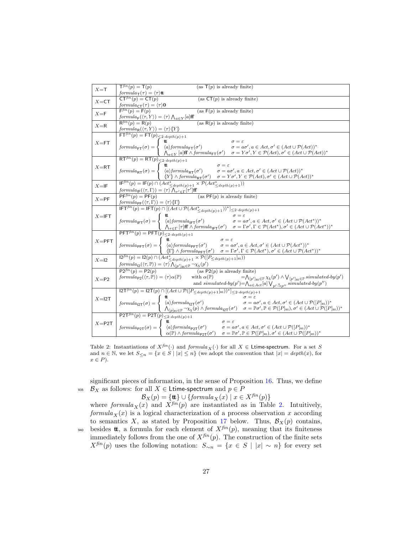| $X = T$   | $\overline{\mathsf{T}^{fin}(p)} = \mathsf{T}(p)$<br>(as $\mathsf{T}(p)$ is already finite)<br>$formula_{\tau}(\tau) = \langle \tau \rangle \mathbf{t}$                                                                                                                                                                                                                                                                                                                                                                                                                                                                                                                                   |  |  |  |  |
|-----------|------------------------------------------------------------------------------------------------------------------------------------------------------------------------------------------------------------------------------------------------------------------------------------------------------------------------------------------------------------------------------------------------------------------------------------------------------------------------------------------------------------------------------------------------------------------------------------------------------------------------------------------------------------------------------------------|--|--|--|--|
|           | $CT^{fin}(p) = CT(p)$                                                                                                                                                                                                                                                                                                                                                                                                                                                                                                                                                                                                                                                                    |  |  |  |  |
| $X = C T$ | (as $\overline{\mathsf{CT}}(p)$ is already finite)                                                                                                                                                                                                                                                                                                                                                                                                                                                                                                                                                                                                                                       |  |  |  |  |
|           | $\frac{formula_{\mathsf{CT}}(\tau) = \langle \tau \rangle \mathbf{0}}{\mathsf{F}^{\mathit{fin}}(p) = \mathsf{F}(p)}$                                                                                                                                                                                                                                                                                                                                                                                                                                                                                                                                                                     |  |  |  |  |
|           | (as $F(p)$ is already finite)                                                                                                                                                                                                                                                                                                                                                                                                                                                                                                                                                                                                                                                            |  |  |  |  |
| $X = F$   | $formula_{\mathsf{F}}(\langle \tau,Y\rangle)=\langle \tau\rangle\bigwedge_{a\in Y}[a]\mathbf{f}\mathbf{f}$                                                                                                                                                                                                                                                                                                                                                                                                                                                                                                                                                                               |  |  |  |  |
|           | (as R(p) is already finite)<br>$\overline{\mathsf{R}^{fin}(p) = \mathsf{R}(p)}$                                                                                                                                                                                                                                                                                                                                                                                                                                                                                                                                                                                                          |  |  |  |  |
| $X = R$   |                                                                                                                                                                                                                                                                                                                                                                                                                                                                                                                                                                                                                                                                                          |  |  |  |  |
|           | $formula_{R}(\langle \tau, Y \rangle) = \langle \tau \rangle \langle Y \rangle$                                                                                                                                                                                                                                                                                                                                                                                                                                                                                                                                                                                                          |  |  |  |  |
|           | $\overline{\mathsf{FT}^\mathit{fin}(p)=\mathsf{FT}(p)}\leq 2\cdot\mathit{depth}(p)+1$                                                                                                                                                                                                                                                                                                                                                                                                                                                                                                                                                                                                    |  |  |  |  |
| $X = FT$  |                                                                                                                                                                                                                                                                                                                                                                                                                                                                                                                                                                                                                                                                                          |  |  |  |  |
|           |                                                                                                                                                                                                                                                                                                                                                                                                                                                                                                                                                                                                                                                                                          |  |  |  |  |
|           | $\label{eq:formul} \begin{array}{ll} \displaystyle \textit{formula}_{\mathsf{FT}}(\sigma) = \left\{ \begin{array}{ll} \mathbf{t} & \sigma = \varepsilon \\ \langle a \rangle \textit{formula}_{\mathsf{FT}}(\sigma') & \sigma = a\sigma', a \in \mathit{Act}, \sigma' \in (\mathit{Act} \cup \mathcal{P}(\mathit{Act}))^* \\ \Delta_{a \in Y} \left[ a   \mathbf{f} \cap \mathit{formula}_{\mathsf{FT}}(\sigma') & \sigma = Y\sigma', Y \in \mathcal{P}(\mathit{Act}), \sigma' \in (\mathit{Act} \cup \mathcal{P}(\mathit{Act}))^* \end{array} \right. \$                                                                                                                                |  |  |  |  |
|           | $\frac{\bigcup_{a \in Y} [a] \pi}{\mathsf{RT}^\mathit{fin}(p) = \mathsf{RT}(p)_{\leq 2\cdot\mathit{depth}(p) + 1}}$                                                                                                                                                                                                                                                                                                                                                                                                                                                                                                                                                                      |  |  |  |  |
|           |                                                                                                                                                                                                                                                                                                                                                                                                                                                                                                                                                                                                                                                                                          |  |  |  |  |
| $X = RT$  |                                                                                                                                                                                                                                                                                                                                                                                                                                                                                                                                                                                                                                                                                          |  |  |  |  |
|           |                                                                                                                                                                                                                                                                                                                                                                                                                                                                                                                                                                                                                                                                                          |  |  |  |  |
|           |                                                                                                                                                                                                                                                                                                                                                                                                                                                                                                                                                                                                                                                                                          |  |  |  |  |
|           | $\textit{formula}_{\mathsf{RT}}(\sigma) = \left\{ \begin{array}{ll} \mathbf{t} & \sigma = \varepsilon & \\ \langle a \rangle \textit{formula}_{\mathsf{RT}}(\sigma') & \sigma = a \sigma', a \in \mathit{Act}, \sigma' \in (\mathit{Act} \cup \mathcal{P}(\mathit{Act}))^* \\ \langle Y \rangle \wedge \textit{formula}_{\mathsf{RT}}(\sigma') & \sigma = Y \sigma', Y \in \mathcal{P}(\mathit{Act}), \sigma' \in (\mathit{Act} \cup \mathcal{P}(\mathit{Act}))^* \\ \hline \end{array} \right.$<br>$\overline{\mathsf{IF}^{\mathit{fin}}(p) = \mathsf{IF}(p) \cap (\mathit{Act}^*_{\leq \mathit{depth}(p)+1} \times \overline{\mathcal{P}}(\mathit{Act}^*_{\leq \mathit{depth}(p)+1}))$ |  |  |  |  |
| $X = IF$  | $formula_{IF}(\langle \tau, \Gamma \rangle) = \langle \tau \rangle \bigwedge_{\tau' \in \Gamma} [\tau'] \mathbf{ff}$                                                                                                                                                                                                                                                                                                                                                                                                                                                                                                                                                                     |  |  |  |  |
|           | (as $PF(p)$ is already finite)<br>$PF^{fin}(p) = PF(p)$                                                                                                                                                                                                                                                                                                                                                                                                                                                                                                                                                                                                                                  |  |  |  |  |
| $X = PF$  |                                                                                                                                                                                                                                                                                                                                                                                                                                                                                                                                                                                                                                                                                          |  |  |  |  |
|           | $formula_{\mathsf{PF}}(\langle \tau, \Gamma \rangle) = \langle \tau \rangle \langle \Gamma \rangle$                                                                                                                                                                                                                                                                                                                                                                                                                                                                                                                                                                                      |  |  |  |  |
|           | $\overbrace{\mathsf{IFT}^{\mathit{fin}}(p) = \mathsf{IFT}(p) \cap [(Act \cup \mathcal{P}(Act^*_{\leq depth(p)+1}))^*]_{\leq 2\cdot depth(p)+1}}$                                                                                                                                                                                                                                                                                                                                                                                                                                                                                                                                         |  |  |  |  |
| $X = IFT$ |                                                                                                                                                                                                                                                                                                                                                                                                                                                                                                                                                                                                                                                                                          |  |  |  |  |
|           | $\label{eq:formul} \begin{array}{ll} \displaystyle {\normalfont \begin{aligned} {\normalfont \begin{aligned} \sigma=\varepsilon \\\hline \end{aligned}}\\ \displaystyle {\small \begin{aligned} {\small \begin{aligned} \mbox{\small \begin{aligned} \mbox{\small \begin{aligned} \mbox{\small \begin{aligned} \mbox{\small \begin{aligned} \mbox{\small \begin{aligned} \mbox{\small \begin{aligned} \mbox{\small \begin{aligned} \mbox{\small \begin{aligned} \mbox{\small \begin{aligned} \mbox{\small \begin{aligned} \mbox{\small \begin{aligned} \mbox{\small \begin{aligned} \mbox{\small \begin{aligned} \mbox{\small \begin{aligned} \mbox{\small \begin{aligned} \mbox$        |  |  |  |  |
|           |                                                                                                                                                                                                                                                                                                                                                                                                                                                                                                                                                                                                                                                                                          |  |  |  |  |
|           |                                                                                                                                                                                                                                                                                                                                                                                                                                                                                                                                                                                                                                                                                          |  |  |  |  |
|           |                                                                                                                                                                                                                                                                                                                                                                                                                                                                                                                                                                                                                                                                                          |  |  |  |  |
| $X = PFT$ |                                                                                                                                                                                                                                                                                                                                                                                                                                                                                                                                                                                                                                                                                          |  |  |  |  |
|           | $formula_{\mathsf{PFT}}(\sigma) = \left\{ \begin{array}{ll} \mathbf{t} & \sigma = \varepsilon & \\ \langle a \rangle format a_{\mathsf{PFT}}(\sigma') & \sigma = a\sigma', a \in Act, \sigma' \in (Act \cup \mathcal{P}(Act^*))^* \end{array} \right.$                                                                                                                                                                                                                                                                                                                                                                                                                                   |  |  |  |  |
|           |                                                                                                                                                                                                                                                                                                                                                                                                                                                                                                                                                                                                                                                                                          |  |  |  |  |
|           | $\frac{\Gamma_D^{\text{fin}}(\sigma')}{12^{\text{fin}}(p) = 12(p) \cap (Act^*_{\leq depth(p)+1} \times \mathcal{P}([P_{\leq depth(p)+1}   s]))}$                                                                                                                                                                                                                                                                                                                                                                                                                                                                                                                                         |  |  |  |  |
| $X=12$    |                                                                                                                                                                                                                                                                                                                                                                                                                                                                                                                                                                                                                                                                                          |  |  |  |  |
|           | $\mathit{formula}_{\mathsf{I2}}(\langle \tau, \mathbb{P} \rangle) = \langle \tau \rangle \overline{\bigwedge_{[p']_{\mathsf{BS}} \in \mathbb{P}} \neg \chi_{\mathsf{S}}(p')}$                                                                                                                                                                                                                                                                                                                                                                                                                                                                                                            |  |  |  |  |
|           | $P2^{fin}(p) = P2(p)$<br>$(as P2(p)$ is already finite)                                                                                                                                                                                                                                                                                                                                                                                                                                                                                                                                                                                                                                  |  |  |  |  |
| $X = P2$  | formula <sub>P2</sub> ( $\langle \tau, \mathbb{P} \rangle$ ) = $\langle \tau \rangle \alpha(\mathbb{P})$ with $\alpha(\mathbb{P})$<br>$=\bigwedge_{[p']_{BS}\in\mathbb{P}}\chi_{S}(p')\wedge\bigvee_{[p']_{BS}\in\mathbb{P}} simulated-by(p')$                                                                                                                                                                                                                                                                                                                                                                                                                                           |  |  |  |  |
|           | and simulated-by(p')= $\bigwedge_{a \in Act}^{\infty} [a] \bigvee_{p' \stackrel{\alpha}{\rightarrow} p''} \widetilde{simulated}$ -by(p'')                                                                                                                                                                                                                                                                                                                                                                                                                                                                                                                                                |  |  |  |  |
|           |                                                                                                                                                                                                                                                                                                                                                                                                                                                                                                                                                                                                                                                                                          |  |  |  |  |
|           | $\overline{\mathsf{I2T}^\mathit{fin}(p) = \mathsf{I2T}(p) \cap \left[\left(\mathit{Act} \cup \mathcal{P}(\left[P_{\leq\mathit{depth}(p)+1} \right] \mathsf{ss})\right)^\ast\right]_{\leq 2\cdot\mathit{depth}(p)+1}}$                                                                                                                                                                                                                                                                                                                                                                                                                                                                    |  |  |  |  |
| $X = I2T$ |                                                                                                                                                                                                                                                                                                                                                                                                                                                                                                                                                                                                                                                                                          |  |  |  |  |
|           |                                                                                                                                                                                                                                                                                                                                                                                                                                                                                                                                                                                                                                                                                          |  |  |  |  |
|           | $\label{eq:formulad} \begin{array}{ll} \displaystyle \textit{formula}_{\mathsf{I2T}}(\sigma) = \left\{ \begin{array}{ll} \mathbf{t} & \sigma = \varepsilon \\ \langle a \rangle \textit{formula}_{\mathsf{I2T}}(\sigma') & \sigma = a\sigma', a \in \mathit{Act}, \sigma' \in (\mathit{Act} \cup \mathcal{P}([P]_{\text{I}}))^{*} \\ \mathbb{\Lambda}_{[p]_{\text{B5}} \in \mathbb{P}} \neg \chi_{\text{S}}(p) \wedge \textit{formula}_{\mathsf{I2T}}(\sigma') & \sigma = \mathbb{P}\sigma', \mathbb{P} \in \mathcal{P}([$                                                                                                                                                               |  |  |  |  |
|           | $\overline{\mathsf{P2T}^\mathit{fin}(p) = \mathsf{P2T}(p)_{\leq 2 \cdot \mathit{depth}(p)+1}}$                                                                                                                                                                                                                                                                                                                                                                                                                                                                                                                                                                                           |  |  |  |  |
|           |                                                                                                                                                                                                                                                                                                                                                                                                                                                                                                                                                                                                                                                                                          |  |  |  |  |
| $X = P2T$ | $\sigma = \varepsilon$<br>$\label{eq:formul} formula_{\mathsf{P2T}}(\sigma) = \left\{ \begin{array}{ll} \langle a \rangle formula_{\mathsf{P2T}}(\sigma') & \sigma = a\sigma', a \in Act, \sigma' \in (Act \cup \mathcal{P}([P]_{\text{ss}}))^{*} \\ \alpha(\mathbb{P}) \wedge formula_{\mathsf{P2T}}(\sigma') & \sigma = \mathbb{P}\sigma', \mathbb{P} \in \mathcal{P}([P]_{\text{ss}}), \sigma' \in (Act \cup \mathcal{P}([P]_{\text{ss}}))^{*} \end{array} \right.$                                                                                                                                                                                                                   |  |  |  |  |
|           |                                                                                                                                                                                                                                                                                                                                                                                                                                                                                                                                                                                                                                                                                          |  |  |  |  |
|           |                                                                                                                                                                                                                                                                                                                                                                                                                                                                                                                                                                                                                                                                                          |  |  |  |  |

<span id="page-26-0"></span>Table 2: Instantiations of  $X^{fin}(\cdot)$  and  $formula_X(\cdot)$  for all  $X \in$  Ltime-spectrum. For a set S and  $n \in \mathbb{N}$ , we let  $S_{\leq n} = \{x \in S \mid |x| \leq n\}$  (we adopt the convention that  $|x| = depth(x)$ , for  $x \in P$ ).

significant pieces of information, in the sense of Proposition [16.](#page-27-0) Thus, we define 935 B<sub>X</sub> as follows: for all  $X \in$  Ltime-spectrum and  $p \in P$ 

 $\mathcal{B}_X(p) = {\mathbf{t} \setminus \{formula_X(x) \mid x \in X^{fin}(p)\}}$ 

where  $formula_X(x)$  and  $\hat{X}^{\hat{f}n}(p)$  are instantiated as in Table [2.](#page-26-0) Intuitively,  $formula_X(x)$  is a logical characterization of a process observation x according to semantics X, as stated by Proposition [17](#page-27-1) below. Thus,  $\mathcal{B}_X(p)$  contains, besides **tt**, a formula for each element of  $X^{fin}(p)$ , meaning that its finiteness

immediately follows from the one of  $X^{fin}(p)$ . The construction of the finite sets  $X^{\text{fin}}(p)$  uses the following notation:  $S_{\sim n} = \{x \in S \mid |x| \sim n\}$  for every set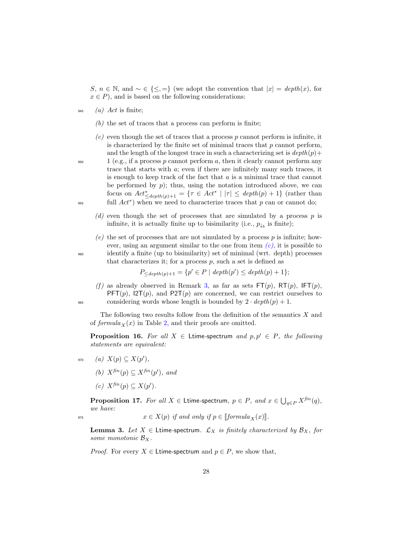S,  $n \in \mathbb{N}$ , and  $\sim \in \{\leq,=\}$  (we adopt the convention that  $|x| = depth(x)$ , for  $x \in P$ , and is based on the following considerations:

- $_{945}$  (a) Act is finite;
	- $(b)$  the set of traces that a process can perform is finite;
- <span id="page-27-2"></span> $(c)$  even though the set of traces that a process p cannot perform is infinite, it is characterized by the finite set of minimal traces that  $p$  cannot perform, and the length of the longest trace in such a characterizing set is  $depth(p)$ +  $1$  (e.g., if a process p cannot perform a, then it clearly cannot perform any trace that starts with a; even if there are infinitely many such traces, it is enough to keep track of the fact that  $a$  is a minimal trace that cannot be performed by  $p$ ); thus, using the notation introduced above, we can focus on  $Act^*_{\leq depth(p)+1} = {\tau \in Act^* | |\tau| \leq depth(p)+1 }$  (rather than
- $f$ <sub>955</sub> full  $Act^*$ ) when we need to characterize traces that p can or cannot do;
	- (d) even though the set of processes that are simulated by a process  $p$  is infinite, it is actually finite up to bisimilarity (i.e.,  $p_{\downarrow s}$  is finite);
- $(e)$  the set of processes that are not simulated by a process p is infinite; however, using an argument similar to the one from item  $(c)$ , it is possible to <sup>960</sup> identify a finite (up to bisimilarity) set of minimal (wrt. depth) processes that characterizes it; for a process  $p$ , such a set is defined as

$$
P_{\leq depth(p)+1} = \{p' \in P \mid depth(p') \leq depth(p) + 1\};
$$

<span id="page-27-6"></span>(f) as already observed in Remark [3,](#page-21-1) as far as sets  $FT(p)$ ,  $RT(p)$ ,  $IFT(p)$ ,  $PFT(p)$ ,  $12T(p)$ , and  $P2T(p)$  are concerned, we can restrict ourselves to <sup>965</sup> considering words whose length is bounded by  $2 \cdot depth(p) + 1$ .

The following two results follow from the definition of the semantics X and of formula  $_X(x)$  in Table [2,](#page-26-0) and their proofs are omitted.

<span id="page-27-0"></span>**Proposition 16.** For all  $X \in$  Ltime-spectrum and  $p, p' \in P$ , the following statements are equivalent:

- <span id="page-27-7"></span><span id="page-27-3"></span>970  $(a) X(p) \subseteq X(p'),$ 
	- (b)  $X^{\operatorname{fin}}(p) \subseteq X^{\operatorname{fin}}(p')$ , and
	- (c)  $X^{\text{fin}}(p) \subseteq X(p')$ .

<span id="page-27-4"></span><span id="page-27-1"></span>**Proposition 17.** For all  $X \in$  Ltime-spectrum,  $p \in P$ , and  $x \in \bigcup_{q \in P} X^{fin}(q)$ , we have:

$$
x \in X(p) \text{ if and only if } p \in [[formula_X(x)]].
$$

<span id="page-27-5"></span>**Lemma 3.** Let  $X \in$  Ltime-spectrum.  $\mathcal{L}_X$  is finitely characterized by  $\mathcal{B}_X$ , for some monotonic  $B_X$ .

*Proof.* For every  $X \in$  Ltime-spectrum and  $p \in P$ , we show that,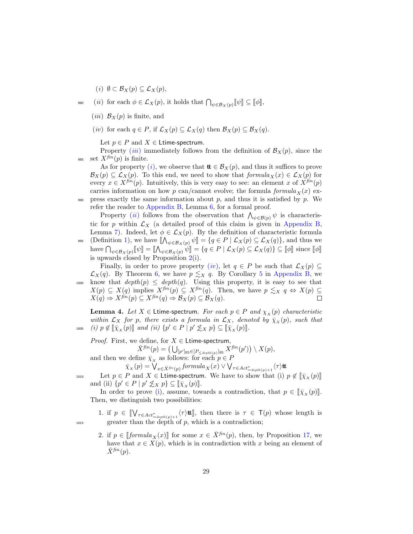- <span id="page-28-3"></span><span id="page-28-2"></span> $(i)$   $\emptyset \subset \mathcal{B}_X(p) \subseteq \mathcal{L}_X(p)$ ,
- <span id="page-28-1"></span>980 (*ii*) for each  $\phi \in \mathcal{L}_X(p)$ , it holds that  $\bigcap_{\psi \in \mathcal{B}_X(p)} \llbracket \psi \rrbracket \subseteq \llbracket \phi \rrbracket$ ,
	- (*iii*)  $\mathcal{B}_X(p)$  is finite, and
	- (iv) for each  $q \in P$ , if  $\mathcal{L}_X(p) \subseteq \mathcal{L}_X(q)$  then  $\mathcal{B}_X(p) \subseteq \mathcal{B}_X(q)$ .

<span id="page-28-4"></span>Let  $p \in P$  and  $X \in$  Ltime-spectrum.

Property *([iii](#page-28-1))* immediately follows from the definition of  $\mathcal{B}_X(p)$ , since the 985 Set  $X^{fin}(p)$  is finite.

As for property (i[\),](#page-28-2) we observe that  $\mathbf{t} \in \mathcal{B}_X(p)$ , and thus it suffices to prove  $\mathcal{B}_X(p) \subseteq \mathcal{L}_X(p)$ . To this end, we need to show that  $formula_X(x) \in \mathcal{L}_X(p)$  for every  $x \in X^{fin}(p)$ . Intuitively, this is very easy to see: an element x of  $X^{fin}(p)$ carries information on how p can/cannot evolve; the formula formula  $\chi(x)$  ex- $990$  press exactly the same information about p, and thus it is satisfied by p. We

refer the reader to [Appendix B,](#page-42-0) Lemma [6,](#page-42-1) for a formal proof. Property (*[ii](#page-28-3)*) follows from the observation that  $\bigwedge_{\psi \in \mathcal{B}(p)} \psi$  is characteristic for p within  $\mathcal{L}_X$  (a detailed proof of this claim is given in [Appendix B,](#page-42-0) Lemma [7\)](#page-43-0). Indeed, let  $\phi \in \mathcal{L}_X(p)$ . By the definition of characteristic formula 995 (Definition [1\)](#page-4-4), we have  $[\![ \bigwedge_{\psi \in \mathcal{B}_X(p)} \psi \!] = \{q \in P \mid \mathcal{L}_X(p) \subseteq \mathcal{L}_X(q) \}$ , and thus we have  $\bigcap_{\psi \in \mathcal{B}_X(p)} [\![ \psi \!] = [\![ \bigwedge_{\psi \in \mathcal{B}_X(p)} \psi \!] = \{q \in P \mid \mathcal{L}_X(p) \subseteq \mathcal{L}_X(q) \} \subseteq [\![ \phi \!]$  since  $[\![ \phi \!]$ is upwards closed by Proposition [2\(](#page-5-1)[i\)](#page-5-2).

Finally, in order to prove property  $(iv)$  $(iv)$  $(iv)$ , let  $q \in P$  be such that  $\mathcal{L}_X(p) \subseteq$  $\mathcal{L}_X(q)$ . By Theorem [6,](#page-25-0) we have  $p \leq_X q$ . By Corollary [5](#page-42-2) in [Appendix B,](#page-42-0) we 1000 know that  $depth(p) \leq depth(q)$ . Using this property, it is easy to see that  $X(p) \subseteq X(q)$  implies  $X^{\text{fin}}(p) \subseteq X^{\text{fin}}(q)$ . Then, we have  $p \leq_X q \Leftrightarrow X(p) \subseteq X(q) \Rightarrow X^{\text{fin}}(p) \subset X^{\text{fin}}(q) \Rightarrow \mathcal{B}_X(p) \subset \mathcal{B}_X(q)$ .  $X(q) \Rightarrow X^{\hat{f}n}(p) \subseteq X^{\hat{f}n}(q) \Rightarrow \mathcal{B}_X(p) \subseteq \mathcal{B}_X(q).$ 

<span id="page-28-0"></span>**Lemma 4.** Let  $X \in$  Ltime-spectrum. For each  $p \in P$  and  $\chi_X(p)$  characteristic within  $\mathcal{L}_X$  for p, there exists a formula in  $\mathcal{L}_X$ , denoted by  $\bar{\chi}_X(p)$ , such that 1005 (i)  $p \notin [\bar{\chi}_X(p)]$  and (ii)  $\{p' \in P \mid p' \not\lesssim_X p\} \subseteq [\bar{\chi}_X(p)]$ .

*Proof.* First, we define, for  $X \in$  Ltime-spectrum,

<span id="page-28-5"></span>
$$
\bar{X}^{\text{fin}}(p) = \big(\bigcup_{[p']_{\text{BS}} \in [P_{\leq \text{depth}(p)}]_{\text{BS}}} X^{\text{fin}}(p')\big) \setminus X(p),
$$

and then we define 
$$
\bar{\chi}_X
$$
 as follows: for each  $p \in P$ 

 $\bar{\chi}_{X}(p) = \bigvee_{x \in \bar{X}^{\text{fin}}(p)} \text{formula}_{X}(x) \vee \bigvee_{\tau \in \text{Act}_{=depth(p)+1}^{*}} \langle \tau \rangle$ tt

1010 Let  $p \in P$  and  $X \in$  Ltime-spectrum. We have to show that (i)  $p \notin [\bar{\chi}_X(p)]$ and (ii)  $\{p' \in P \mid p' \not\leq_X p\} \subseteq [\bar{\chi}_X(p)].$ <br>In order to prove (i) assume to

<span id="page-28-6"></span>In order to prove [\(i\)](#page-28-5), assume, towards a contradiction, that  $p \in [\bar{\chi}_X(p)]$ . Then, we distinguish two possibilities:

1. if  $p \in \llbracket \bigvee_{\tau \in Act_{=depth(p)+1}^*} \langle \tau \rangle \mathbf{t} \rrbracket$ , then there is  $\tau \in \mathsf{T}(p)$  whose length is greater than the depth of p, which is a contradiction;

2. if  $p \in \llbracket formula_X(x) \rrbracket$  for some  $x \in \bar{X}^{\text{fin}}(p)$ , then, by Proposition [17,](#page-27-1) we have that  $x \in X(p)$ , which is in contradiction with x being an element of  $\bar{X}^{fin}(p).$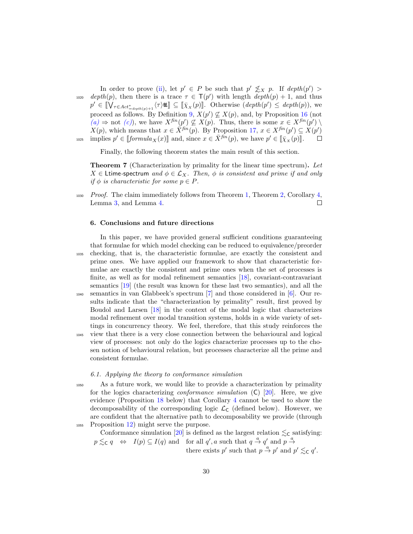In order to prove [\(ii\)](#page-28-6), let  $p' \in P$  be such that  $p' \not\leq_X p$ . If  $depth(p') >$  $_{1020}$  depth(p), then there is a trace  $\tau \in \mathsf{T}(p')$  with length depth(p) + 1, and thus  $p' \in \llbracket \bigvee_{\tau \in Act_{\equiv \text{depth}(p)+1}} \langle \tau \rangle \mathbf{t} \rrbracket \subseteq \llbracket \bar{\chi}_{X}(p) \rrbracket.$  Otherwise  $(\text{depth}(p') \leq \text{depth}(p)),$  we proceed as follows. By Definition [9,](#page-23-0)  $X(p') \nsubseteq X(p)$ , and, by Proposition [16](#page-27-0) (not  $(a) \Rightarrow$  $(a) \Rightarrow$  not  $(c)$ , we have  $X^{\text{fin}}(p') \not\subseteq X(p)$ . Thus, there is some  $x \in X^{\text{fin}}(p') \setminus \mathcal{C}$  $X(p)$ , which means that  $x \in \tilde{X}^{fin}(p)$ . By Proposition [17,](#page-27-1)  $x \in X^{fin}(p') \subseteq X(p')$ ios implies  $p' \in [\text{formula}_X(x)]$  and, since  $x \in \bar{X}^{\bar{f}n}(p)$ , we have  $p' \in [\bar{\chi}_X(p)]$ .  $\Box$ 

Finally, the following theorem states the main result of this section.

<span id="page-29-2"></span>**Theorem 7** (Characterization by primality for the linear time spectrum). Let  $X \in \mathsf{It}$ ime-spectrum and  $\phi \in \mathcal{L}_X$ . Then,  $\phi$  is consistent and prime if and only if  $\phi$  is characteristic for some  $p \in P$ .

1030 Proof. The claim immediately follows from Theorem [1,](#page-6-0) Theorem [2,](#page-7-0) Corollary [4,](#page-10-0) Lemma [3,](#page-27-5) and Lemma [4.](#page-28-0)  $\Box$ 

## <span id="page-29-0"></span>6. Conclusions and future directions

In this paper, we have provided general sufficient conditions guaranteeing that formulae for which model checking can be reduced to equivalence/preorder <sup>1035</sup> checking, that is, the characteristic formulae, are exactly the consistent and prime ones. We have applied our framework to show that characteristic formulae are exactly the consistent and prime ones when the set of processes is finite, as well as for modal refinement semantics [\[18\]](#page-32-4), covariant-contravariant semantics [\[19\]](#page-32-5) (the result was known for these last two semantics), and all the <sup>1040</sup> semantics in van Glabbeek's spectrum [\[7\]](#page-31-6) and those considered in [\[6\]](#page-31-5). Our results indicate that the "characterization by primality" result, first proved by Boudol and Larsen [\[18\]](#page-32-4) in the context of the modal logic that characterizes modal refinement over modal transition systems, holds in a wide variety of settings in concurrency theory. We feel, therefore, that this study reinforces the <sup>1045</sup> view that there is a very close connection between the behavioural and logical view of processes: not only do the logics characterize processes up to the chosen notion of behavioural relation, but processes characterize all the prime and consistent formulae.

# <span id="page-29-1"></span>6.1. Applying the theory to conformance simulation

<sup>1050</sup> As a future work, we would like to provide a characterization by primality for the logics characterizing *conformance simulation*  $(C)$   $[20]$ . Here, we give evidence (Proposition [18](#page-30-0) below) that Corollary [4](#page-10-0) cannot be used to show the decomposability of the corresponding logic  $\mathcal{L}_{\mathsf{C}}$  (defined below). However, we are confident that the alternative path to decomposability we provide (through <sup>1055</sup> Proposition [12\)](#page-11-0) might serve the purpose.

Conformance simulation [\[20\]](#page-32-6) is defined as the largest relation  $\lesssim_C$  satisfying:  $p \lesssim_{\mathsf{C}} q \Leftrightarrow I(p) \subseteq I(q)$  and for all q', a such that  $q \stackrel{a}{\rightarrow} q'$  and  $p \stackrel{a}{\rightarrow} q'$ there exists p' such that  $p \stackrel{a}{\rightarrow} p'$  and  $p' \lesssim_{\mathsf{C}} q'$ .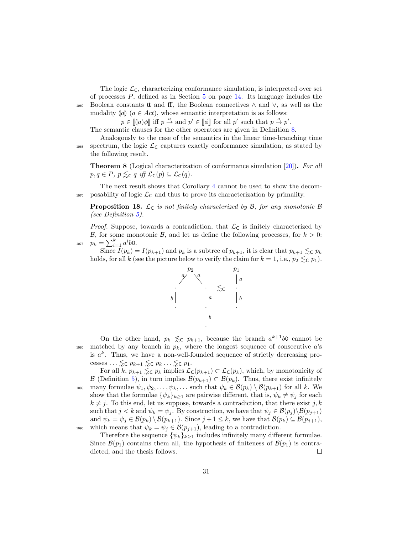The logic  $\mathcal{L}_{\mathsf{C}}$ , characterizing conformance simulation, is interpreted over set of processes  $P$ , defined as in Section [5](#page-12-0) on page [14.](#page-12-0) Its language includes the 1060 Boolean constants **tt** and **ff**, the Boolean connectives  $\land$  and  $\lor$ , as well as the

modality  $[a]$   $(a \in Act)$ , whose semantic interpretation is as follows:

 $p \in [[a]\phi]$  iff  $p \stackrel{\alpha}{\to}$  and  $p' \in [[\phi]]$  for all  $p'$  such that  $p \stackrel{\alpha}{\to} p'$ . The semantic clauses for the other operators are given in Definition [8.](#page-16-1)

Analogously to the case of the semantics in the linear time-branching time

1065 spectrum, the logic  $\mathcal{L}_{\mathsf{C}}$  captures exactly conformance simulation, as stated by the following result.

Theorem 8 (Logical characterization of conformance simulation [\[20\]](#page-32-6)). For all  $p, q \in P$ ,  $p \lesssim_{\mathsf{C}} q$  iff  $\mathcal{L}_{\mathsf{C}}(p) \subseteq \mathcal{L}_{\mathsf{C}}(q)$ .

The next result shows that Corollary [4](#page-10-0) cannot be used to show the decom-1070 posability of logic  $\mathcal{L}_{\mathsf{C}}$  and thus to prove its characterization by primality.

<span id="page-30-0"></span>**Proposition 18.**  $\mathcal{L}_{\mathsf{C}}$  is not finitely characterized by  $\mathcal{B}$ , for any monotonic  $\mathcal{B}$ (see Definition [5\)](#page-8-0).

*Proof.* Suppose, towards a contradiction, that  $\mathcal{L}_{\mathsf{C}}$  is finitely characterized by B, for some monotonic B, and let us define the following processes, for  $k > 0$ : 1075  $p_k = \sum_{i=1}^k a^i b$ 0.

Since  $I(p_k) = I(p_{k+1})$  and  $p_k$  is a subtree of  $p_{k+1}$ , it is clear that  $p_{k+1} \lesssim_{\mathbb{C}} p_k$ holds, for all k (see the picture below to verify the claim for  $k = 1$ , i.e.,  $p_2 \leq c p_1$ ).



On the other hand,  $p_k \nleq c \nvert p_{k+1}$ , because the branch  $a^{k+1}b$  cannot be  $1080$  matched by any branch in  $p_k$ , where the longest sequence of consecutive a's is  $a^k$ . Thus, we have a non-well-founded sequence of strictly decreasing processes  $\ldots \lessapprox_c p_{k+1} \lessapprox_c p_k \ldots \lessapprox_c p_1$ .

For all k,  $p_{k+1} \leq c p_k$  implies  $\mathcal{L}_c(p_{k+1}) \subset \mathcal{L}_c(p_k)$ , which, by monotonicity of B (Definition [5\)](#page-8-0), in turn implies  $\mathcal{B}(p_{k+1}) \subset \mathcal{B}(p_k)$ . Thus, there exist infinitely 1085 many formulae  $\psi_1, \psi_2, \ldots, \psi_k, \ldots$  such that  $\psi_k \in \mathcal{B}(p_k) \setminus \mathcal{B}(p_{k+1})$  for all k. We show that the formulae  $\{\psi_k\}_{k\geq 1}$  are pairwise different, that is,  $\psi_k \neq \psi_j$  for each  $k \neq j$ . To this end, let us suppose, towards a contradiction, that there exist j, k such that  $j < k$  and  $\psi_k = \psi_j$ . By construction, we have that  $\psi_j \in \mathcal{B}(p_j) \backslash \mathcal{B}(p_{j+1})$ and  $\psi_k = \psi_j \in \mathcal{B}(p_k) \setminus \mathcal{B}(p_{k+1})$ . Since  $j+1 \leq k$ , we have that  $\mathcal{B}(p_k) \subseteq \mathcal{B}(p_{j+1}),$ 1090 which means that  $\psi_k = \psi_j \in \mathcal{B}(p_{j+1})$ , leading to a contradiction.

Therefore the sequence  $\{\psi_k\}_{k>1}$  includes infinitely many different formulae. Since  $\mathcal{B}(p_1)$  contains them all, the hypothesis of finiteness of  $\mathcal{B}(p_1)$  is contradicted, and the thesis follows.  $\Box$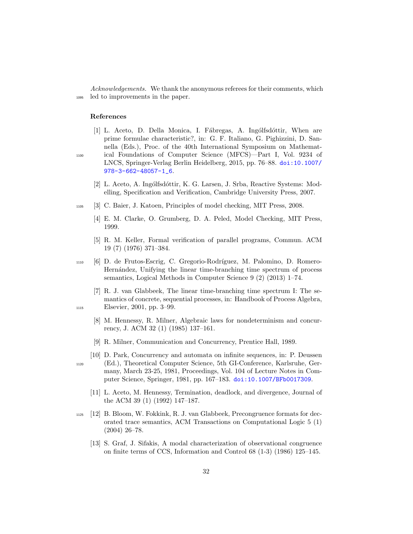Acknowledgements. We thank the anonymous referees for their comments, which <sup>1095</sup> led to improvements in the paper.

#### <span id="page-31-4"></span>References

- [1] L. Aceto, D. Della Monica, I. Fábregas, A. Ingólfsdóttir, When are prime formulae characteristic?, in: G. F. Italiano, G. Pighizzini, D. Sannella (Eds.), Proc. of the 40th International Symposium on Mathemat-<sup>1100</sup> ical Foundations of Computer Science (MFCS)—Part I, Vol. 9234 of LNCS, Springer-Verlag Berlin Heidelberg, 2015, pp. 76–88. [doi:10.1007/](https://doi.org/10.1007/978-3-662-48057-1_6) [978-3-662-48057-1\\_6](https://doi.org/10.1007/978-3-662-48057-1_6).
	- [2] L. Aceto, A. Ingólfsdóttir, K. G. Larsen, J. Srba, Reactive Systems: Modelling, Specification and Verification, Cambridge University Press, 2007.
- <span id="page-31-2"></span><span id="page-31-1"></span><sup>1105</sup> [3] C. Baier, J. Katoen, Principles of model checking, MIT Press, 2008.
	- [4] E. M. Clarke, O. Grumberg, D. A. Peled, Model Checking, MIT Press, 1999.
	- [5] R. M. Keller, Formal verification of parallel programs, Commun. ACM 19 (7) (1976) 371–384.
- <span id="page-31-5"></span><span id="page-31-3"></span><sup>1110</sup> [6] D. de Frutos-Escrig, C. Gregorio-Rodr´ıguez, M. Palomino, D. Romero-Hernández, Unifying the linear time-branching time spectrum of process semantics, Logical Methods in Computer Science 9 (2) (2013) 1–74.
- <span id="page-31-7"></span><span id="page-31-6"></span>[7] R. J. van Glabbeek, The linear time-branching time spectrum I: The semantics of concrete, sequential processes, in: Handbook of Process Algebra, <sup>1115</sup> Elsevier, 2001, pp. 3–99.
	- [8] M. Hennessy, R. Milner, Algebraic laws for nondeterminism and concurrency, J. ACM 32 (1) (1985) 137–161.
	- [9] R. Milner, Communication and Concurrency, Prentice Hall, 1989.
- <span id="page-31-9"></span><span id="page-31-8"></span>[10] D. Park, Concurrency and automata on infinite sequences, in: P. Deussen <sup>1120</sup> (Ed.), Theoretical Computer Science, 5th GI-Conference, Karlsruhe, Germany, March 23-25, 1981, Proceedings, Vol. 104 of Lecture Notes in Computer Science, Springer, 1981, pp. 167–183. [doi:10.1007/BFb0017309](https://doi.org/10.1007/BFb0017309).
	- [11] L. Aceto, M. Hennessy, Termination, deadlock, and divergence, Journal of the ACM 39 (1) (1992) 147–187.
- <span id="page-31-12"></span><span id="page-31-11"></span><span id="page-31-10"></span><sup>1125</sup> [12] B. Bloom, W. Fokkink, R. J. van Glabbeek, Precongruence formats for decorated trace semantics, ACM Transactions on Computational Logic 5 (1) (2004) 26–78.
	- [13] S. Graf, J. Sifakis, A modal characterization of observational congruence on finite terms of CCS, Information and Control 68 (1-3) (1986) 125–145.

<span id="page-31-0"></span>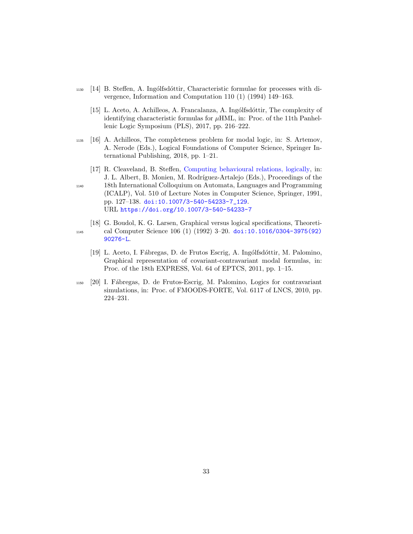- <span id="page-32-1"></span><span id="page-32-0"></span> $1130$  [14] B. Steffen, A. Ingólfsdóttir, Characteristic formulae for processes with divergence, Information and Computation 110 (1) (1994) 149–163.
	- [15] L. Aceto, A. Achilleos, A. Francalanza, A. Ingólfsdóttir, The complexity of identifying characteristic formulas for  $\mu$ HML, in: Proc. of the 11th Panhellenic Logic Symposium (PLS), 2017, pp. 216–222.
- <span id="page-32-2"></span><sup>1135</sup> [16] A. Achilleos, The completeness problem for modal logic, in: S. Artemov, A. Nerode (Eds.), Logical Foundations of Computer Science, Springer International Publishing, 2018, pp. 1–21.
- <span id="page-32-3"></span>[17] R. Cleaveland, B. Steffen, [Computing behavioural relations, logically,](https://doi.org/10.1007/3-540-54233-7) in: J. L. Albert, B. Monien, M. Rodríguez-Artalejo (Eds.), Proceedings of the <sup>1140</sup> 18th International Colloquium on Automata, Languages and Programming (ICALP), Vol. 510 of Lecture Notes in Computer Science, Springer, 1991, pp. 127–138. [doi:10.1007/3-540-54233-7\\_129](https://doi.org/10.1007/3-540-54233-7_129). URL <https://doi.org/10.1007/3-540-54233-7>
- <span id="page-32-5"></span><span id="page-32-4"></span>[18] G. Boudol, K. G. Larsen, Graphical versus logical specifications, Theoreti-<sup>1145</sup> cal Computer Science 106 (1) (1992) 3–20. [doi:10.1016/0304-3975\(92\)](https://doi.org/10.1016/0304-3975(92)90276-L) [90276-L](https://doi.org/10.1016/0304-3975(92)90276-L).
	- [19] L. Aceto, I. Fábregas, D. de Frutos Escrig, A. Ingólfsdóttir, M. Palomino, Graphical representation of covariant-contravariant modal formulas, in: Proc. of the 18th EXPRESS, Vol. 64 of EPTCS, 2011, pp. 1–15.
- <span id="page-32-6"></span><sup>1150</sup> [20] I. F´abregas, D. de Frutos-Escrig, M. Palomino, Logics for contravariant simulations, in: Proc. of FMOODS-FORTE, Vol. 6117 of LNCS, 2010, pp. 224–231.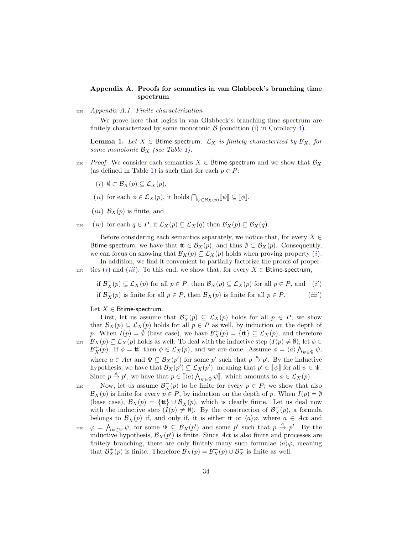# Appendix A. Proofs for semantics in van Glabbeek's branching time spectrum

<sup>1155</sup> Appendix A.1. Finite characterization

<span id="page-33-0"></span>We prove here that logics in van Glabbeek's branching-time spectrum are finitely characterized by some monotonic  $\beta$  (condition [\(i\)](#page-10-1) in Corollary [4\)](#page-10-0).

**Lemma 1.** Let  $X \in$  Btime-spectrum.  $\mathcal{L}_X$  is finitely characterized by  $\mathcal{B}_X$ , for some monotonic  $\mathcal{B}_X$  (see Table [1\)](#page-16-0).

- <span id="page-33-4"></span><span id="page-33-1"></span><sup>1160</sup> Proof. We consider each semantics  $X \in$  Btime-spectrum and we show that  $\mathcal{B}_X$ (as defined in Table [1\)](#page-16-0) is such that for each  $p \in P$ :
	- $(i)$   $\emptyset \subset \mathcal{B}_X(p) \subseteq \mathcal{L}_X(p)$ ,
	- (*ii*) for each  $\phi \in \mathcal{L}_X(p)$ , it holds  $\bigcap_{\psi \in \mathcal{B}_X(p)} [\![\psi]\!] \subseteq [\![\phi]\!]$ ,
	- (*iii*)  $\mathcal{B}_X(p)$  is finite, and

<span id="page-33-3"></span><span id="page-33-2"></span>1165 (iv) for each  $q \in P$ , if  $\mathcal{L}_X(p) \subseteq \mathcal{L}_X(q)$  then  $\mathcal{B}_X(p) \subseteq \mathcal{B}_X(q)$ .

Before considering each semantics separately, we notice that, for every  $X \in$ Btime-spectrum, we have that  $\mathbf{t} \in \mathcal{B}_X(p)$ , and thus  $\emptyset \subset \mathcal{B}_X(p)$ . Consequently, we can focus on show[i](#page-33-1)ng that  $\mathcal{B}_X(p) \subseteq \mathcal{L}_X(p)$  holds when proving property  $(i)$ .

In addition, we find it convenient to partially factorize the proofs of proper-1170 ties [\(](#page-33-1)i) and ([iii](#page-33-2)). To this end, we show that, for every  $X \in$  Btime-spectrum,

if  $\mathcal{B}_X^-(p) \subseteq \mathcal{L}_X(p)$  for all  $p \in P$ , then  $\mathcal{B}_X(p) \subseteq \mathcal{L}_X(p)$  for all  $p \in P$ , and (i  $\prime$ if  $\mathcal{B}_X^-(p)$  is finite for all  $p \in P$ , then  $\mathcal{B}_X(p)$  is finite for all  $p \in P$ . (iii'  $(iii')$ 

Let  $X \in$  Btime-spectrum.

First, let us assume that  $\mathcal{B}_X^-(p) \subseteq \mathcal{L}_X(p)$  holds for all  $p \in P$ ; we show that  $\mathcal{B}_X(p) \subseteq \mathcal{L}_X(p)$  holds for all  $p \in P$  as well, by induction on the depth of p. When  $I(p) = \emptyset$  (base case), we have  $\mathcal{B}_X^+(p) = {\mathbf{t}} \subseteq \mathcal{L}_X(p)$ , and therefore 1175  $\mathcal{B}_X(p) \subseteq \mathcal{L}_X(p)$  holds as well. To deal with the inductive step  $(I(p) \neq \emptyset)$ , let  $\phi \in$  $\mathcal{B}_X^+(p)$ . If  $\phi = \mathbf{t}$ , then  $\phi \in \mathcal{L}_X(p)$ , and we are done. Assume  $\phi = \langle a \rangle \bigwedge_{\psi \in \Psi} \psi$ , where  $a \in Act$  and  $\Psi \subseteq \mathcal{B}_X(p')$  for some p' such that  $p \stackrel{a}{\to} p'$ . By the inductive hypothesis, we have that  $\mathcal{B}_X(p') \subseteq \mathcal{L}_X(p')$ , meaning that  $p' \in [\![\psi]\!]$  for all  $\psi \in \Psi$ . Since  $p \stackrel{a}{\rightarrow} p'$ , we have that  $p \in [a] \wedge_{\psi \in \Psi} \psi]$ , which amounts to  $\phi \in \mathcal{L}_X(p)$ .

- 1180 Now, let us assume  $\mathcal{B}_{X}^{-}(p)$  to be finite for every  $p \in P$ ; we show that also  $\mathcal{B}_X(p)$  is finite for every  $p \in P$ , by induction on the depth of p. When  $I(p) = \emptyset$ (base case),  $\mathcal{B}_X(p) = {\mathbf{t} \setminus \mathcal{B}_X(p)}$ , which is clearly finite. Let us deal now with the inductive step  $(I(p) \neq \emptyset)$ . By the construction of  $\mathcal{B}^+_X(p)$ , a formula belongs to  $\mathcal{B}^+_{X}(p)$  if, and only if, it is either **tt** or  $\langle a \rangle \varphi$ , where  $a \in Act$  and
- <sup>1185</sup>  $\varphi = \bigwedge_{\psi \in \Psi} \psi$ , for some  $\Psi \subseteq \mathcal{B}_X(p')$  and some p' such that  $p \stackrel{a}{\to} p'$ . By the inductive hypothesis,  $\mathcal{B}_X(p')$  is finite. Since Act is also finite and processes are finitely branching, there are only finitely many such formulae  $\langle a \rangle \varphi$ , meaning that  $\mathcal{B}_X^+(p)$  is finite. Therefore  $\mathcal{B}_X(p) = \mathcal{B}_X^+(p) \cup \mathcal{B}_X^-$  is finite as well.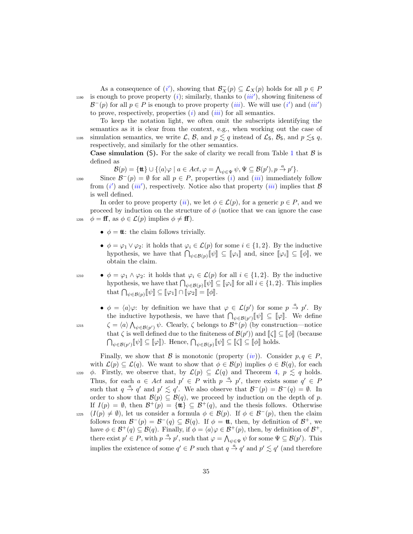As a consequence of  $(i')$ , showing that  $\mathcal{B}^-_X(p) \subseteq \mathcal{L}_X(p)$  holds for all  $p \in P$ 1190 is enough to prove property  $(i)$ ; similarly, thanks to  $(iii')$  $(iii')$  $(iii')$ , showing finiteness of  $\mathcal{B}^-(p)$  for all  $p \in P$  is enough to prove property *([iii](#page-33-3))*. We will use *(i')* and *(iii')* to prove, respect[i](#page-33-1)vely, properties  $(i)$  and  $(iii)$  $(iii)$  $(iii)$  for all semantics.

To keep the notation light, we often omit the subscripts identifying the semantics as it is clear from the context, e.g., when working out the case of 1195 simulation semantics, we write L, B, and  $p \leq q$  instead of L<sub>S</sub>, B<sub>S</sub>, and  $p \leq q$ , respectively, and similarly for the other semantics.

**Case simulation (S).** For the sake of clarity we recall from Table [1](#page-16-0) that  $\beta$  is defined as

 $\mathcal{B}(p) = {\mathbf{t} \setminus \{ \langle a \rangle \varphi \mid a \in \mathit{Act}, \varphi = \bigwedge_{\psi \in \Psi} \psi, \Psi \subseteq \mathcal{B}(p'), p \stackrel{a}{\to} p' \}.$ 

since  $\mathcal{B}^{-}(p) = \emptyset$  for all  $p \in P$ , properties [\(](#page-33-1)i) and ([iii](#page-33-2)) immediately follow from  $(i')$  and  $(iii')$  $(iii')$  $(iii')$ , respectively. Notice also that property  $(iii)$  implies that  $\beta$ is well defined.

In order to prove property ([ii](#page-33-4)), we let  $\phi \in \mathcal{L}(p)$ , for a generic  $p \in P$ , and we proceed by induction on the structure of  $\phi$  (notice that we can ignore the case <sup>1205</sup>  $\phi = \mathbf{ff}$ , as  $\phi \in \mathcal{L}(p)$  implies  $\phi \neq \mathbf{ff}$ ).

- $\phi = \mathbf{t}$ : the claim follows trivially.
- $\phi = \varphi_1 \vee \varphi_2$ : it holds that  $\varphi_i \in \mathcal{L}(p)$  for some  $i \in \{1, 2\}$ . By the inductive hypothesis, we have that  $\bigcap_{\psi \in \mathcal{B}(p)} [\![\psi]\!] \subseteq [\![\varphi_i]\!]$  and, since  $[\![\varphi_i]\!] \subseteq [\![\phi]\!]$ , we obtain the claim obtain the claim.
- 1210  $\phi = \varphi_1 \wedge \varphi_2$ : it holds that  $\varphi_i \in \mathcal{L}(p)$  for all  $i \in \{1,2\}$ . By the inductive hypothesis, we have that  $\bigcap_{\psi \in \mathcal{B}(p)} [\![\psi]\!] \subseteq [\![\varphi_i]\!]$  for all  $i \in \{1, 2\}$ . This implies that  $\bigcap_{\psi \in \mathcal{B}(p)} \llbracket \psi \rrbracket \subseteq \llbracket \varphi_1 \rrbracket \cap \llbracket \varphi_2 \rrbracket = \llbracket \phi \rrbracket.$
- $\phi = \langle a \rangle \varphi$ : by definition we have that  $\varphi \in \mathcal{L}(p')$  for some  $p \stackrel{a}{\to} p'$ . By the inductive hypothesis, we have that  $\bigcap_{\psi \in \mathcal{B}(p')}\llbracket \psi \rrbracket \subseteq \llbracket \varphi \rrbracket$ . We define <sup>1215</sup>  $\zeta = \langle a \rangle \bigwedge_{\psi \in \mathcal{B}(p')} \psi$ . Clearly,  $\zeta$  belongs to  $\mathcal{B}^+(p)$  (by construction—notice that  $\zeta$  is well defined due to the finiteness of  $\mathcal{B}(p')$  and  $\llbracket \zeta \rrbracket \subseteq \llbracket \phi \rrbracket$  (because  $\bigcap_{\psi \in \mathcal{B}(p') } \llbracket \psi \rrbracket \subseteq \llbracket \varphi \rrbracket$ . Hence,  $\bigcap_{\psi \in \mathcal{B}(p)} \llbracket \psi \rrbracket \subseteq \llbracket \zeta \rrbracket \subseteq \llbracket \phi \rrbracket$  holds.

Finally, we show that B is monotonic (property  $(iv)$  $(iv)$  $(iv)$ ). Consider  $p, q \in P$ , with  $\mathcal{L}(p) \subseteq \mathcal{L}(q)$ . We want to show that  $\phi \in \mathcal{B}(p)$  implies  $\phi \in \mathcal{B}(q)$ , for each 1220  $\phi$ . Firstly, we observe that, by  $\mathcal{L}(p) \subseteq \mathcal{L}(q)$  and Theorem [4,](#page-17-0)  $p \leq q$  holds. Thus, for each  $a \in Act$  and  $p' \in P$  with  $p \stackrel{a}{\rightarrow} p'$ , there exists some  $q' \in P$ such that  $q \stackrel{a}{\rightarrow} q'$  and  $p' \leq q'$ . We also observe that  $\mathcal{B}^-(p) = \mathcal{B}^-(q) = \emptyset$ . In order to show that  $\mathcal{B}(p) \subseteq \mathcal{B}(q)$ , we proceed by induction on the depth of p. If  $I(p) = \emptyset$ , then  $\mathcal{B}^+(p) = {\mathbf{t}}$   $\in \mathcal{B}^+(q)$ , and the thesis follows. Otherwise <sup>1225</sup>  $(I(p) \neq \emptyset)$ , let us consider a formula  $\phi \in \mathcal{B}(p)$ . If  $\phi \in \mathcal{B}^{-}(p)$ , then the claim follows from  $\mathcal{B}^-(p) = \mathcal{B}^-(q) \subseteq \mathcal{B}(q)$ . If  $\phi = \mathbf{t}$ , then, by definition of  $\mathcal{B}^+$ , we have  $\phi \in \mathcal{B}^+(q) \subseteq \mathcal{B}(q)$ . Finally, if  $\phi = \langle a \rangle \varphi \in \mathcal{B}^+(p)$ , then, by definition of  $\mathcal{B}^+$ , there exist  $p' \in P$ , with  $p \stackrel{a}{\rightarrow} p'$ , such that  $\varphi = \bigwedge_{\psi \in \Psi} \psi$  for some  $\Psi \subseteq \mathcal{B}(p')$ . This implies the existence of some  $q' \in P$  such that  $q \stackrel{a}{\rightarrow} q'$  and  $p' \lesssim q'$  (and therefore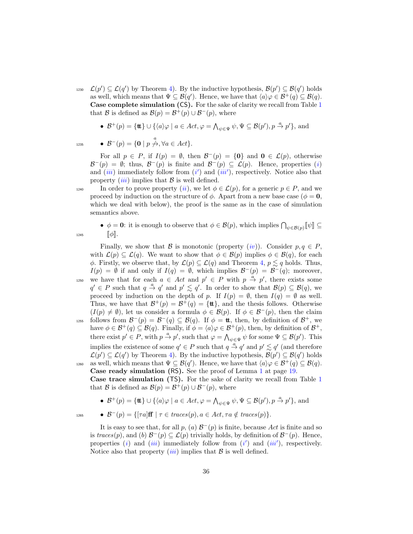<sup>1230</sup>  $\mathcal{L}(p') \subseteq \mathcal{L}(q')$  by Theorem [4\)](#page-17-0). By the inductive hypothesis,  $\mathcal{B}(p') \subseteq \mathcal{B}(q')$  holds as well, which means that  $\Psi \subseteq \mathcal{B}(q')$ . Hence, we have that  $\langle a \rangle \varphi \in \mathcal{B}^+(q) \subseteq \mathcal{B}(q)$ . Case complete simulation (CS). For the sake of clarity we recall from Table [1](#page-16-0) that B is defined as  $\mathcal{B}(p) = \mathcal{B}^+(p) \cup \mathcal{B}^-(p)$ , where

• 
$$
\mathcal{B}^+(p) = {\mathbf{t} \setminus \{a\}\psi \mid a \in \mathcal{A}ct, \varphi = \bigwedge_{\psi \in \Psi} \psi, \Psi \subseteq \mathcal{B}(p'), p \stackrel{a}{\to} p' \},\
$$
 and

1235 **•**  $\mathcal{B}^-(p) = \{0 \mid p \nrightarrow{\mathcal{A}} \forall a \in Act\}.$ 

For all  $p \in P$ , if  $I(p) = \emptyset$ , then  $\mathcal{B}^{-}(p) = \{0\}$  and  $0 \in \mathcal{L}(p)$ , otherwise  $\mathcal{B}^-(p) = \emptyset$ ; thus,  $\mathcal{B}^-(p)$  [i](#page-33-1)s finite and  $\mathcal{B}^-(p) \subseteq \mathcal{L}(p)$ . Hence, properties (i) and  $(iii)$  $(iii)$  $(iii)$  immediately follow from  $(i')$  and  $(iii')$ , respectively. Notice also that property  $(iii)$  $(iii)$  $(iii)$  implies that  $\beta$  is well defined.

<sup>1240</sup> In order to prove property  $(ii)$  $(ii)$  $(ii)$ , we let  $\phi \in \mathcal{L}(p)$ , for a generic  $p \in P$ , and we proceed by induction on the structure of  $\phi$ . Apart from a new base case ( $\phi = 0$ , which we deal with below), the proof is the same as in the case of simulation semantics above.

•  $\phi = \mathbf{0}$ : it is enough to observe that  $\phi \in \mathcal{B}(p)$ , which implies  $\bigcap_{\psi \in \mathcal{B}(p)} [\![\psi]\!] \subseteq$  $_{1245}$   $\llbracket \phi \rrbracket$ .

Finally, we show that B is monotonic (property  $(iv)$  $(iv)$  $(iv)$ ). Consider  $p, q \in P$ , with  $\mathcal{L}(p) \subseteq \mathcal{L}(q)$ . We want to show that  $\phi \in \mathcal{B}(p)$  implies  $\phi \in \mathcal{B}(q)$ , for each φ. Firstly, we observe that, by  $\mathcal{L}(p) \subseteq \mathcal{L}(q)$  and Theorem [4,](#page-17-0)  $p \lesssim q$  holds. Thus,  $I(p) = \emptyset$  if and only if  $I(q) = \emptyset$ , which implies  $\mathcal{B}^{-}(p) = \mathcal{B}^{-}(q)$ ; moreover, <sup>1250</sup> we have that for each  $a \in Act$  and  $p' \in P$  with  $p \stackrel{a}{\rightarrow} p'$ , there exists some  $q' \in P$  such that  $q \stackrel{a}{\to} q'$  and  $p' \leq q'$ . In order to show that  $\mathcal{B}(p) \subseteq \mathcal{B}(q)$ , we proceed by induction on the depth of p. If  $I(p) = \emptyset$ , then  $I(q) = \emptyset$  as well. Thus, we have that  $\mathcal{B}^+(p) = \mathcal{B}^+(q) = {\textbf{t}, \textbf{t}}$ , and the thesis follows. Otherwise  $(I(p) \neq \emptyset)$ , let us consider a formula  $\phi \in \mathcal{B}(p)$ . If  $\phi \in \mathcal{B}^{-}(p)$ , then the claim 1255 follows from  $\mathcal{B}^-(p) = \mathcal{B}^-(q) \subseteq \mathcal{B}(q)$ . If  $\phi = \mathbf{t}$ , then, by definition of  $\mathcal{B}^+$ , we have  $\phi \in \mathcal{B}^+(q) \subseteq \mathcal{B}(q)$ . Finally, if  $\phi = \langle a \rangle \varphi \in \mathcal{B}^+(p)$ , then, by definition of  $\mathcal{B}^+$ , there exist  $p' \in P$ , with  $p \stackrel{a}{\rightarrow} p'$ , such that  $\varphi = \bigwedge_{\psi \in \Psi} \psi$  for some  $\Psi \subseteq \mathcal{B}(p')$ . This implies the existence of some  $q' \in P$  such that  $q \stackrel{a}{\rightarrow} q'$  and  $p' \lesssim q'$  (and therefore  $\mathcal{L}(p') \subseteq \mathcal{L}(q')$  by Theorem [4\)](#page-17-0). By the inductive hypothesis,  $\mathcal{B}(p') \subseteq \mathcal{B}(q')$  holds 1260 as well, which means that  $\Psi \subseteq \mathcal{B}(q')$ . Hence, we have that  $\langle a \rangle \varphi \in \mathcal{B}^+(q) \subseteq \mathcal{B}(q)$ . Case ready simulation (RS). See the proof of Lemma [1](#page-18-0) at page [19.](#page-18-0)

Case trace simulation (TS). For the sake of clarity we recall from Table [1](#page-16-0) that B is defined as  $\mathcal{B}(p) = \mathcal{B}^+(p) \cup \mathcal{B}^-(p)$ , where

• 
$$
\mathcal{B}^+(p) = {\mathbf{t} \setminus \{a\}\psi \mid a \in \mathit{Act}, \varphi = \bigwedge_{\psi \in \Psi} \psi, \Psi \subseteq \mathcal{B}(p'), p \stackrel{a}{\to} p' \}, \text{ and}
$$

$$
\bullet \ \mathcal{B}^-(p) = \{ [\tau a] \mathbf{f} \mid \tau \in \mathit{traces}(p), a \in \mathit{Act}, \tau a \notin \mathit{traces}(p) \}.
$$

It is easy to see that, for all p, (a)  $\mathcal{B}^-(p)$  is finite, because Act is finite and so is traces(p), and (b)  $\mathcal{B}^-(p) \subseteq \mathcal{L}(p)$  trivially holds, by definition of  $\mathcal{B}^-(p)$ . Hence, propert[i](#page-33-3)es  $(i)$  and  $(iii)$  $(iii)$  $(iii)$  immediately follow from  $(i')$  and  $(iii')$ , respectively. Notice also that property *([iii](#page-33-2))* implies that  $\beta$  is well defined.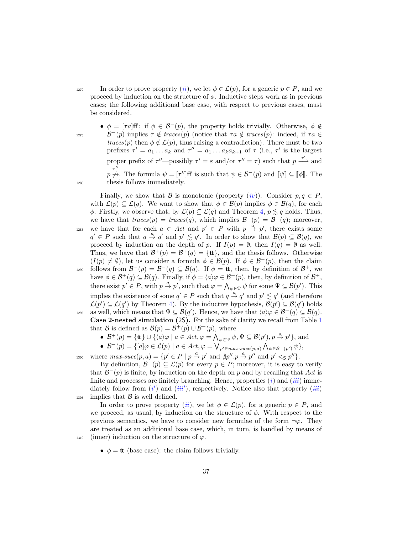- 1270 In order to prove property  $(ii)$  $(ii)$  $(ii)$ , we let  $\phi \in \mathcal{L}(p)$ , for a generic  $p \in P$ , and we proceed by induction on the structure of  $\phi$ . Inductive steps work as in previous cases; the following additional base case, with respect to previous cases, must be considered.
- $\phi = [\tau a] \mathbf{f}$ : if  $\phi \in \mathcal{B}^-(p)$ , the property holds trivially. Otherwise,  $\phi \notin$ 1275  $\mathcal{B}^-(p)$  implies  $\tau \notin \text{traces}(p)$  (notice that  $\tau a \notin \text{traces}(p)$ : indeed, if  $\tau a \in$  $traces(p)$  then  $\phi \notin \mathcal{L}(p)$ , thus raising a contradiction). There must be two prefixes  $\tau' = a_1 \dots a_k$  and  $\tau'' = a_1 \dots a_k a_{k+1}$  of  $\tau$  (i.e.,  $\tau'$  is the largest proper prefix of  $\tau''$ -possibly  $\tau' = \varepsilon$  and/or  $\tau'' = \tau$ ) such that  $p \stackrel{\tau'}{\longrightarrow}$  and  $^{\prime\prime}$

 $p \not\rightarrow \infty$ . The formula  $\psi = [\tau'']$ **ff** is such that  $\psi \in \mathcal{B}^-(p)$  and  $[\![\psi]\!] \subseteq [\![\phi]\!]$ . The those follows immodiately. <sup>1280</sup> thesis follows immediately.

Finally, we show that B is monotonic (property  $(iv)$  $(iv)$  $(iv)$ ). Consider  $p, q \in P$ , with  $\mathcal{L}(p) \subseteq \mathcal{L}(q)$ . We want to show that  $\phi \in \mathcal{B}(p)$  implies  $\phi \in \mathcal{B}(q)$ , for each  $\phi$ . Firstly, we observe that, by  $\mathcal{L}(p) \subseteq \mathcal{L}(q)$  and Theorem [4,](#page-17-0)  $p \leq q$  holds. Thus, we have that  $traces(p) = traces(q)$ , which implies  $\mathcal{B}^-(p) = \mathcal{B}^-(q)$ ; moreover, <sup>1285</sup> we have that for each  $a \in Act$  and  $p' \in P$  with  $p \stackrel{a}{\rightarrow} p'$ , there exists some  $q' \in P$  such that  $q \stackrel{a}{\to} q'$  and  $p' \leq q'$ . In order to show that  $\mathcal{B}(p) \subseteq \mathcal{B}(q)$ , we proceed by induction on the depth of p. If  $I(p) = \emptyset$ , then  $I(q) = \emptyset$  as well. Thus, we have that  $\mathcal{B}^+(p) = \mathcal{B}^+(q) = {\{\mathbf{t}\},\}$  and the thesis follows. Otherwise  $(I(p) \neq \emptyset)$ , let us consider a formula  $\phi \in \mathcal{B}(p)$ . If  $\phi \in \mathcal{B}^-(p)$ , then the claim 1290 follows from  $\mathcal{B}^-(p) = \mathcal{B}^-(q) \subseteq \mathcal{B}(q)$ . If  $\phi = \mathbf{t}$ , then, by definition of  $\mathcal{B}^+$ , we have  $\phi \in \mathcal{B}^+(q) \subseteq \mathcal{B}(q)$ . Finally, if  $\phi = \langle a \rangle \varphi \in \mathcal{B}^+(p)$ , then, by definition of  $\mathcal{B}^+$ , there exist  $p' \in P$ , with  $p \stackrel{a}{\rightarrow} p'$ , such that  $\varphi = \bigwedge_{\psi \in \Psi} \psi$  for some  $\Psi \subseteq \mathcal{B}(p')$ . This implies the existence of some  $q' \in P$  such that  $q \stackrel{a}{\rightarrow} q'$  and  $p' \lesssim q'$  (and therefore  $\mathcal{L}(p') \subseteq \mathcal{L}(q')$  by Theorem [4\)](#page-17-0). By the inductive hypothesis,  $\mathcal{B}(p') \subseteq \mathcal{B}(q')$  holds as well, which means that  $\Psi \subseteq \mathcal{B}(q')$ . Hence, we have that  $\langle a \rangle \varphi \in \mathcal{B}^+(q) \subseteq \mathcal{B}(q)$ .

Case 2-nested simulation (2S). For the sake of clarity we recall from Table [1](#page-16-0) that B is defined as  $\mathcal{B}(p) = \mathcal{B}^+(p) \cup \mathcal{B}^-(p)$ , where

- $\mathcal{B}^+(p) = {\mathbf{t} \setminus \{a\}\varphi \mid a \in \mathit{Act}, \varphi = \bigwedge_{\psi \in \Psi} \psi, \Psi \subseteq \mathcal{B}(p'), p \stackrel{a}{\to} p' \},\$ and
- $\mathcal{B}^-(p) = \{ [a] \varphi \in \mathcal{L}(p) \mid a \in Act, \varphi = \bigvee_{p' \in max\text{-}succ(p,a)} \bigwedge_{\psi \in \mathcal{B}^-(p')} \psi \},$
- 1300 where  $max\text{-}succ(p, a) = \{p' \in P \mid p \stackrel{a}{\rightarrow} p' \text{ and } \nexists p'' \cdot p \stackrel{a}{\rightarrow} p'' \text{ and } p' <_{S} p''\}.$

By definition,  $\mathcal{B}^-(p) \subseteq \mathcal{L}(p)$  for every  $p \in P$ ; moreover, it is easy to verify that  $\mathcal{B}^-(p)$  is finite, by induction on the depth on p and by recalling that Act is finite and processes are finitely branching. Hence, properties  $(i)$  and  $(iii)$  $(iii)$  $(iii)$  immediately follow from  $(i')$  and  $(iii')$  $(iii')$  $(iii')$ , respectively. Notice also that property  $(iii)$ 1305 implies that  $\beta$  is well defined.

In order to prove property ([ii](#page-33-4)), we let  $\phi \in \mathcal{L}(p)$ , for a generic  $p \in P$ , and we proceed, as usual, by induction on the structure of  $\phi$ . With respect to the previous semantics, we have to consider new formulae of the form  $\neg \varphi$ . They are treated as an additional base case, which, in turn, is handled by means of 1310 (inner) induction on the structure of  $\varphi$ .

•  $\phi = \mathbf{t}$  (base case): the claim follows trivially.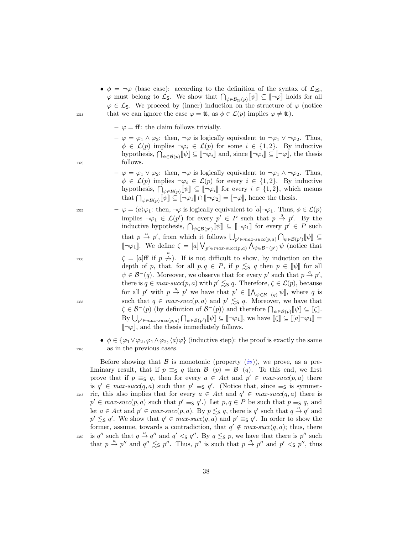•  $\phi = \neg \varphi$  (base case): according to the definition of the syntax of  $\mathcal{L}_{25}$ ,  $\varphi$  must belong to  $\mathcal{L}_S$ . We show that  $\bigcap_{\psi \in \mathcal{B}_{2S}(p)} [\![\psi]\!] \subseteq [\![\neg \varphi]\!]$  holds for all  $\varphi \in \mathcal{L}_{\mathsf{S}}$ . We proceed by (inner) induction on the structure of  $\varphi$  (notice that we can ignore the case  $\varphi = \mathbf{t}$ , as  $\phi \in \mathcal{L}(p)$  implies  $\varphi \neq \mathbf{t}$ .

 $-\varphi = \mathbf{f}$ : the claim follows trivially.

- $-\varphi = \varphi_1 \wedge \varphi_2$ : then,  $\neg \varphi$  is logically equivalent to  $\neg \varphi_1 \vee \neg \varphi_2$ . Thus,  $\phi \in \mathcal{L}(p)$  implies  $\neg \varphi_i \in \mathcal{L}(p)$  for some  $i \in \{1,2\}$ . By inductive hypothesis,  $\bigcap_{\psi \in \mathcal{B}(p)} [\![\psi]\!] \subseteq [\![\neg \varphi_i]\!]$  and, since  $[\![\neg \varphi_i]\!] \subseteq [\![\neg \varphi]\!]$ , the thesis follows <sup>1320</sup> follows.
	- $-\varphi = \varphi_1 \vee \varphi_2$ : then,  $\neg \varphi$  is logically equivalent to  $\neg \varphi_1 \wedge \neg \varphi_2$ . Thus,  $\phi \in \mathcal{L}(p)$  implies  $\neg \varphi_i \in \mathcal{L}(p)$  for every  $i \in \{1,2\}$ . By inductive hypothesis,  $\bigcap_{\psi \in \mathcal{B}(p)} [\![\psi]\!] \subseteq [\![\neg \varphi_i]\!]$  for every  $i \in \{1, 2\}$ , which means that  $\bigcap_{\psi \in \mathcal{B}(p)} [\![\psi]\!] \subseteq [\![\neg \varphi_1]\!] \cap [\![\neg \varphi_2]\!] = [\![\neg \varphi]\!]$ , hence the thesis.
- <sup>1325</sup>  $\varphi = \langle a \rangle \varphi_1$ : then,  $\neg \varphi$  is logically equivalent to  $[a] \neg \varphi_1$ . Thus,  $\phi \in \mathcal{L}(p)$ implies  $\neg \varphi_1 \in \mathcal{L}(p')$  for every  $p' \in P$  such that  $p \stackrel{a}{\rightarrow} p'$ . By the inductive hypothesis,  $\bigcap_{\psi \in \mathcal{B}(p')}\llbracket \psi \rrbracket \subseteq \llbracket \neg \varphi_1 \rrbracket$  for every  $p' \in P$  such that  $p \stackrel{a}{\rightarrow} p'$ , from which it follows  $\bigcup_{p' \in max\text{-}succ(p,a)} \bigcap_{\psi \in B(p')} [\![\psi]\!] \subseteq$  $[\![\neg \varphi_1]\!]$ . We define  $\zeta = [a] \bigvee_{p' \in max\text{-}succ(p,a)} \bigwedge_{\psi \in \mathcal{B}^-(p')} \psi$  (notice that
- <sup>a</sup>  $\zeta = [a]$ **ff** if  $p \stackrel{a}{\nrightarrow}$ ). If is not difficult to show, by induction on the depth of p, that, for all  $p, q \in P$ , if  $p \leq s q$  then  $p \in [\![\psi]\!]$  for all  $\psi \in \mathcal{B}^-(q)$ . Moreover, we observe that for every p' such that  $p \stackrel{a}{\rightarrow} p'$ , there is  $q \in max\text{-}succ(p, a)$  with  $p' \leq_{\mathsf{S}} q$ . Therefore,  $\zeta \in \mathcal{L}(p)$ , because for all p' with  $p \stackrel{a}{\rightarrow} p'$  we have that  $p' \in [\![ {\bigwedge}_{\psi \in \mathcal{B}^-(q)} \psi ]\!]$ , where q is such that  $q \in max\text{-}succ(p, a)$  and  $p' \lesssim_{\mathsf{S}} q$ . Moreover, we have that  $\zeta \in \mathcal{B}^-(p)$  (by definition of  $\mathcal{B}^-(p)$ ) and therefore  $\bigcap_{\psi \in \mathcal{B}(p)} \llbracket \psi \rrbracket \subseteq \llbracket \zeta \rrbracket$ .  $By \bigcup_{p' \in max\text{-}succ(p,a)} \bigcap_{\psi \in \mathcal{B}(p')} [\![\psi]\!] \subseteq [\![\neg \varphi_1]\!]$ , we have  $[\![\zeta]\!] \subseteq [\![[a]\neg \varphi_1]\!] =$  $\llbracket \neg \varphi \rrbracket$ , and the thesis immediately follows.
- $\phi \in {\varphi_1 \vee \varphi_2, \varphi_1 \wedge \varphi_2, \langle a \rangle \varphi}$  (inductive step): the proof is exactly the same <sup>1340</sup> as in the previous cases.

Before showing that  $\beta$  is monotonic (property  $(iv)$  $(iv)$  $(iv)$ ), we prove, as a preliminary result, that if  $p \equiv_S q$  then  $\mathcal{B}^-(p) = \mathcal{B}^-(q)$ . To this end, we first prove that if  $p \equiv_{\mathsf{S}} q$ , then for every  $a \in Act$  and  $p' \in max-succ(p, a)$  there is  $q' \in max-succ(q, a)$  such that  $p' \equiv_S q'$ . (Notice that, since  $\equiv_S$  is symmet-1345 ric, this also implies that for every  $a \in Act$  and  $q' \in max-succ(q, a)$  there is  $p' \in max-succ(p, a)$  such that  $p' \equiv_S q'$ . Let  $p, q \in P$  be such that  $p \equiv_S q$ , and let  $a \in Act$  and  $p' \in max-succ(p, a)$ . By  $p \leq_{\mathsf{S}} q$ , there is q' such that  $q \stackrel{a}{\rightarrow} q'$  and  $p' \lesssim_{\mathsf{S}} q'$ . We show that  $q' \in \max\{-\operatorname{succ}(q, a)\}$  and  $p' \equiv_{\mathsf{S}} q'$ . In order to show the former, assume, towards a contradiction, that  $q' \notin \text{max-succ}(q, a)$ ; thus, there <sup>1350</sup> is q'' such that  $q \stackrel{a}{\rightarrow} q''$  and  $q' <_S q''$ . By  $q \lesssim_S p$ , we have that there is p'' such that  $p \stackrel{a}{\rightarrow} p''$  and  $q'' \lesssim_{S} p''$ . Thus, p'' is such that  $p \stackrel{a}{\rightarrow} p''$  and  $p' <_{S} p''$ , thus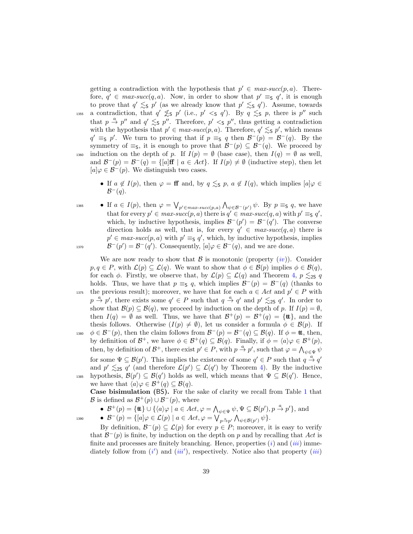getting a contradiction with the hypothesis that  $p' \in max\text{-}succ(p, a)$ . Therefore,  $q' \in \text{max-succ}(q, a)$ . Now, in order to show that  $p' \equiv_S q'$ , it is enough to prove that  $q' \lesssim_{\mathsf{S}} p'$  (as we already know that  $p' \lesssim_{\mathsf{S}} q'$ ). Assume, towards <sup>1355</sup> a contradiction, that  $q' \not\lesssim_{\mathsf{S}} p'$  (i.e.,  $p' <_{\mathsf{S}} q'$ ). By  $q \lesssim_{\mathsf{S}} p$ , there is  $p''$  such that  $p \stackrel{a}{\rightarrow} p''$  and  $q' \lesssim_{S} p''$ . Therefore,  $p' <_{S} p''$ , thus getting a contradiction with the hypothesis that  $p' \in max\text{-}succ(p, a)$ . Therefore,  $q' \leq s p'$ , which means  $q' \equiv_S p'$ . We turn to proving that if  $p \equiv_S q$  then  $\mathcal{B}^{-}(p) = \mathcal{B}^{-}(q)$ . By the symmetry of  $\equiv$ <sub>5</sub>, it is enough to prove that  $\mathcal{B}^-(p) \subseteq \mathcal{B}^-(q)$ . We proceed by 1360 induction on the depth of p. If  $I(p) = \emptyset$  (base case), then  $I(q) = \emptyset$  as well, and  $\mathcal{B}^{-}(p) = \mathcal{B}^{-}(q) = \{ [a] \mathbf{ff} \mid a \in Act \}.$  If  $I(p) \neq \emptyset$  (inductive step), then let  $[a]\varphi \in \mathcal{B}^{-}(p)$ . We distinguish two cases.

- If  $a \notin I(p)$ , then  $\varphi = \mathbf{f}$  and, by  $q \leq_{\mathsf{S}} p$ ,  $a \notin I(q)$ , which implies  $[a]\varphi \in I$  $\mathcal{B}^-(q)$ .
- 1365 If  $a \in I(p)$ , then  $\varphi = \bigvee_{p' \in max\text{-}succ(p,a)} \bigwedge_{\psi \in \mathcal{B}^-(p')} \psi$ . By  $p \equiv_{\mathsf{S}} q$ , we have that for every  $p' \in max-succ(p, a)$  there is  $q' \in max-succ(q, a)$  with  $p' \equiv_{\mathsf{S}} q'$ , which, by inductive hypothesis, implies  $\mathcal{B}^-(p') = \mathcal{B}^-(q')$ . The converse direction holds as well, that is, for every  $q' \in \text{max-succ}(q, a)$  there is  $p' \in max\text{-}succ(p, a)$  with  $p' \equiv_{\mathsf{S}} q'$ , which, by inductive hypothesis, implies <sup>1370</sup>  $\mathcal{B}^-(p') = \mathcal{B}^-(q')$ . Consequently,  $[a]\varphi \in \mathcal{B}^-(q)$ , and we are done.

We are now ready to show that  $\mathcal B$  is monotonic (property  $(iv)$  $(iv)$  $(iv)$ ). Consider  $p, q \in P$ , with  $\mathcal{L}(p) \subseteq \mathcal{L}(q)$ . We want to show that  $\phi \in \mathcal{B}(p)$  implies  $\phi \in \mathcal{B}(q)$ , for each  $\phi$ . Firstly, we observe that, by  $\mathcal{L}(p) \subseteq \mathcal{L}(q)$  and Theorem [4,](#page-17-0)  $p \leq_{25} q$ holds. Thus, we have that  $p \equiv_S q$ , which implies  $\mathcal{B}^-(p) = \mathcal{B}^-(q)$  (thanks to <sup>1375</sup> the previous result); moreover, we have that for each  $a \in Act$  and  $p' \in P$  with  $p \stackrel{a}{\to} p'$ , there exists some  $q' \in P$  such that  $q \stackrel{a}{\to} q'$  and  $p' \leq_{2S} q'$ . In order to show that  $\mathcal{B}(p) \subseteq \mathcal{B}(q)$ , we proceed by induction on the depth of p. If  $I(p) = \emptyset$ , then  $I(q) = \emptyset$  as well. Thus, we have that  $\mathcal{B}^+(p) = \mathcal{B}^+(q) = {\{\mathbf{t}\},\}$  and the thesis follows. Otherwise  $(I(p) \neq \emptyset)$ , let us consider a formula  $\phi \in \mathcal{B}(p)$ . If <sup>1380</sup>  $\phi \in \mathcal{B}^-(p)$ , then the claim follows from  $\mathcal{B}^-(p) = \mathcal{B}^-(q) \subseteq \mathcal{B}(q)$ . If  $\phi = \mathbf{t}$ , then, by definition of  $\mathcal{B}^+$ , we have  $\phi \in \mathcal{B}^+(q) \subseteq \mathcal{B}(q)$ . Finally, if  $\phi = \langle a \rangle \varphi \in \mathcal{B}^+(p)$ , then, by definition of  $\mathcal{B}^+$ , there exist  $p' \in P$ , with  $p \stackrel{a}{\to} p'$ , such that  $\varphi = \bigwedge_{\psi \in \Psi} \psi$ 

for some  $\Psi \subseteq \mathcal{B}(p')$ . This implies the existence of some  $q' \in P$  such that  $q \stackrel{a}{\rightarrow} q'$ and  $p' \lesssim_{25} q'$  (and therefore  $\mathcal{L}(p') \subseteq \mathcal{L}(q')$  by Theorem [4\)](#page-17-0). By the inductive 1385 hypothesis,  $\mathcal{B}(p') \subseteq \mathcal{B}(q')$  holds as well, which means that  $\Psi \subseteq \mathcal{B}(q')$ . Hence, we have that  $\langle a \rangle \varphi \in \mathcal{B}^+(q) \subseteq \mathcal{B}(q)$ .

Case bisimulation (BS). For the sake of clarity we recall from Table [1](#page-16-0) that B is defined as  $\mathcal{B}^+(p) \cup \mathcal{B}^-(p)$ , where

•  $\mathcal{B}^+(p) = {\mathbf{t} \setminus \cup \{\langle a \rangle \varphi \mid a \in \mathit{Act}, \varphi = \bigwedge_{\psi \in \Psi} \psi, \Psi \subseteq \mathcal{B}(p'), p \stackrel{a}{\to} p' \},\$ and

1390 
$$
\bullet \ \mathcal{B}^-(p) = \{ [a]\varphi \in \mathcal{L}(p) \mid a \in Act, \varphi = \bigvee_{p \stackrel{\alpha}{\rightarrow} p'} \bigwedge_{\psi \in \mathcal{B}(p')} \psi \}.
$$

By definition,  $\mathcal{B}^-(p) \subseteq \mathcal{L}(p)$  for every  $p \in P$ ; moreover, it is easy to verify that  $\mathcal{B}^-(p)$  is finite, by induction on the depth on p and by recalling that Act is finite and processes are finitely branching. Hence, properties  $(i)$  and  $(iii)$  $(iii)$  $(iii)$  immediately follow from  $(i')$  and  $(iii')$  $(iii')$  $(iii')$ , respectively. Notice also that property  $(iii)$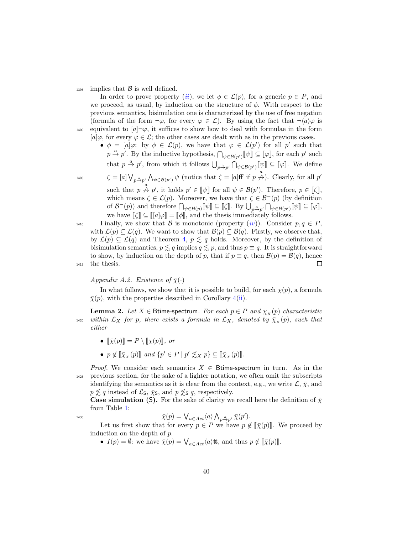1395 implies that  $\beta$  is well defined.

In order to prove property ([ii](#page-33-4)), we let  $\phi \in \mathcal{L}(p)$ , for a generic  $p \in P$ , and we proceed, as usual, by induction on the structure of  $\phi$ . With respect to the previous semantics, bisimulation one is characterized by the use of free negation (formula of the form  $\neg \varphi$ , for every  $\varphi \in \mathcal{L}$ ). By using the fact that  $\neg \langle a \rangle \varphi$  is 1400 equivalent to  $[a] \neg \varphi$ , it suffices to show how to deal with formulae in the form  $[a]\varphi$ , for every  $\varphi \in \mathcal{L}$ ; the other cases are dealt with as in the previous cases.

> •  $\phi = [a]\varphi:$  by  $\phi \in \mathcal{L}(p)$ , we have that  $\varphi \in \mathcal{L}(p')$  for all p' such that  $p \stackrel{a}{\rightarrow} p'$ . By the inductive hypothesis,  $\bigcap_{\psi \in \mathcal{B}(p')} [\![\psi]\!] \subseteq [\![\varphi]\!]$ , for each  $p'$  such that  $p \stackrel{a}{\rightarrow} p'$ , from which it follows  $\bigcup_{p \stackrel{a}{\rightarrow} p'} \bigcap_{\psi \in \mathcal{B}(p')}\llbracket \psi \rrbracket \subseteq \llbracket \varphi \rrbracket$ . We define

 $\zeta = [a] \bigvee_{p \stackrel{\alpha}{\rightarrow} p'} \bigwedge_{\psi \in \mathcal{B}(p')} \psi$  (notice that  $\zeta = [a]$ **ff** if  $p \stackrel{a}{\nrightarrow}$ ). Clearly, for all  $p'$ 1405 such that  $p \neq p'$ , it holds  $p' \in [\![\psi]\!]$  for all  $\psi \in \mathcal{B}(p')$ . Therefore,  $p \in [\![\zeta]\!]$ , a which means  $\zeta \in \mathcal{L}(p)$ . Moreover, we have that  $\zeta \in \mathcal{B}^-(p)$  (by definition of  $\mathcal{B}^-(p)$  and therefore  $\bigcap_{\psi \in \mathcal{B}(p)} [\![\psi]\!] \subseteq [\![\zeta]\!]$ . By  $\bigcup_{p \stackrel{\alpha}{\to} p'} \bigcap_{\psi \in \mathcal{B}(p')} [\![\psi]\!] \subseteq [\![\varphi]\!]$ , we have  $\llbracket \zeta \rrbracket \subseteq \llbracket [a] \varphi \rrbracket = \llbracket \phi \rrbracket$ , and the thesis immediately follows.

<sup>1410</sup> Finally, we show that B is monotonic (property  $(iv)$  $(iv)$  $(iv)$ ). Consider  $p, q \in P$ , with  $\mathcal{L}(p) \subseteq \mathcal{L}(q)$ . We want to show that  $\mathcal{B}(p) \subseteq \mathcal{B}(q)$ . Firstly, we observe that, by  $\mathcal{L}(p) \subseteq \mathcal{L}(q)$  and Theorem [4,](#page-17-0)  $p \leq q$  holds. Moreover, by the definition of bisimulation semantics,  $p \lesssim q$  implies  $q \lesssim p$ , and thus  $p \equiv q$ . It is straightforward to show, by induction on the depth of p, that if  $p \equiv q$ , then  $\mathcal{B}(p) = \mathcal{B}(q)$ , hence  $\Box$ <sup>1415</sup> the thesis.

<span id="page-39-0"></span>Appendix A.2. Existence of  $\bar{\chi}(\cdot)$ 

In what follows, we show that it is possible to build, for each  $\chi(p)$ , a formula  $\bar{\chi}(p)$ , with the properties described in Corollary [4](#page-10-0)[\(ii\)](#page-10-2).

**Lemma 2.** Let  $X \in$  Btime-spectrum. For each  $p \in P$  and  $\chi_x(p)$  characteristic 1420 within  $\mathcal{L}_X$  for p, there exists a formula in  $\mathcal{L}_X$ , denoted by  $\bar{\chi}_X(p)$ , such that either

- $\overline{\mathbf{x}}(p)\overline{\mathbf{x}} = P \setminus \mathbf{x}(p)\mathbf{v}$ , or
- $p \notin [\bar{\chi}_X(p)]$  and  $\{p' \in P \mid p' \not\leq_X p\} \subseteq [\bar{\chi}_X(p)]$ .

*Proof.* We consider each semantics  $X \in$  Btime-spectrum in turn. As in the <sup>1425</sup> previous section, for the sake of a lighter notation, we often omit the subscripts identifying the semantics as it is clear from the context, e.g., we write  $\mathcal{L}, \bar{\chi}$ , and  $p \not\leq q$  instead of  $\mathcal{L}_\mathsf{S}$ ,  $\bar{\chi}_\mathsf{S}$ , and  $p \not\leq_\mathsf{S} q$ , respectively.

**Case simulation (S).** For the sake of clarity we recall here the definition of  $\bar{\chi}$ from Table [1:](#page-16-0)

$$
\bar{\chi}(p) = \bigvee_{a \in Act} \langle a \rangle \bigwedge_{p \stackrel{a}{\to} p'} \bar{\chi}(p').
$$

Let us first show that for every  $p \in P$  we have  $p \notin [\![\bar{\chi}(p)]\!]$ . We proceed by ustion on the donth of n induction on the depth of p.

•  $I(p) = \emptyset$ : we have  $\bar{\chi}(p) = \bigvee_{a \in Act} \langle a \rangle \mathbf{t}$ , and thus  $p \notin [\bar{\chi}(p)]$ .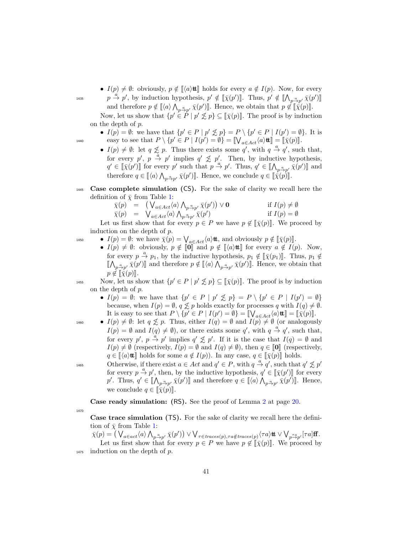•  $I(p) \neq \emptyset$ : obviously,  $p \notin [\langle a \rangle \mathbf{t}]$  holds for every  $a \notin I(p)$ . Now, for every 1435  $p \stackrel{\alpha}{\rightarrow} p'$ , by induction hypothesis,  $p' \notin [\![\bar{\chi}(p')]\!]$ . Thus,  $p' \notin [\![\Lambda_{p \stackrel{\alpha}{\rightarrow} p'} \bar{\chi}(p')]\!]$ and therefore  $p \notin [\![\langle a \rangle \bigwedge_{p \in \mathcal{P}} \bar{p} \setminus \bar{X}(p')]\!]$ . Hence, we obtain that  $p \notin [\![\bar{\chi}(p)]\!]$ .

Now, let us show that  $\{p' \in P \mid p' \not\leq p\} \subseteq [\bar{x}(p)]$ . The proof is by induction on the depth of p.

- $I(p) = \emptyset$ : we have that  $\{p' \in P \mid p' \not\leq p\} = P \setminus \{p' \in P \mid I(p') = \emptyset\}$ . It is easy to see that  $P \setminus \{p' \in P \mid I(p') = \emptyset\} = \llbracket \bigvee_{a \in Act} \langle a \rangle \mathbf{t} \rrbracket = \llbracket \bar{\chi}(p) \rrbracket$ .
	- $I(p) \neq \emptyset$ : let  $q \not\leq p$ . Thus there exists some  $q'$ , with  $q \stackrel{a}{\rightarrow} q'$ , such that, for every  $p'$ ,  $p \stackrel{a}{\rightarrow} p'$  implies  $q' \not\leq p'$ . Then, by inductive hypothesis,  $q' \in \llbracket \bar{\chi}(p') \rrbracket$  for every p' such that  $p \stackrel{a}{\rightarrow} p'$ . Thus,  $q' \in \llbracket \bigwedge_{p \stackrel{a}{\rightarrow} p'} \bar{\chi}(p') \rrbracket$  and therefore  $q \in [\! [\langle a \rangle \bigwedge_{p \stackrel{\alpha}{\to} p'} \bar{\chi}(p')]$ . Hence, we conclude  $q \in [\! [\bar{\chi}(p)] \! ]$ .
- 1445 Case complete simulation (CS). For the sake of clarity we recall here the definition of  $\bar{\chi}$  from Table [1:](#page-16-0)

$$
\begin{array}{rcl}\n\bar{\chi}(p) & = & \left( \bigvee_{a \in Act} \langle a \rangle \bigwedge_{p \stackrel{a}{\to} p'} \bar{\chi}(p') \right) \vee \mathbf{0} \\
\bar{\chi}(p) & = & \bigvee_{a \in Act} \langle a \rangle \bigwedge_{p \stackrel{a}{\to} p'} \bar{\chi}(p')\n\end{array}\n\quad \text{if } I(p) \neq \emptyset
$$

Let us first show that for every  $p \in P$  we have  $p \notin [\![\bar{\chi}(p)]\!]$ . We proceed by ustion on the donth of n induction on the depth of p.

- <sup>1450</sup>  $I(p) = \emptyset$ : we have  $\bar{\chi}(p) = \bigvee_{a \in Act} \langle a \rangle \mathbf{t}$ , and obviously  $p \notin [\![\bar{\chi}(p)]\!]$ .
	- $I(p) \neq \emptyset$ : obviously,  $p \notin [\![\mathbf{0}]\!]$  and  $p \notin [\![\langle a \rangle \mathbf{t}]\!]$  for every  $a \notin I(p)$ . Now, for every  $p \stackrel{\alpha}{\rightarrow} p_1$ , by the inductive hypothesis,  $p_1 \notin [\![\bar{\chi}(p_1)]\!]$ . Thus,  $p_1 \notin [\![\bar{\chi}(p_1)]\!]$ . Thus,  $p_1 \notin [\![\bar{\chi}(p_1)]\!]$ .  $\llbracket \bigwedge_{p\stackrel{\alpha}{\to}p'}\bar{\chi}(p')\rrbracket$  and therefore  $p \notin \llbracket \langle a \rangle \bigwedge_{p\stackrel{\alpha}{\to}p'}\bar{\chi}(p')\rrbracket$ . Hence, we obtain that  $p \notin [\![\bar{\chi}(p)]\!]$ .

Now, let us show that  $\{p' \in P \mid p' \not\leq p\} \subseteq [\bar{x}(p)]$ . The proof is by induction on the depth of p.

- $I(p) = \emptyset$ : we have that  $\{p' \in P \mid p' \not\leq p\} = P \setminus \{p' \in P \mid I(p') = \emptyset\}$ because, when  $I(p) = \emptyset$ ,  $q \not\leq p$  holds exactly for processes q with  $I(q) \neq \emptyset$ . It is easy to see that  $P \setminus \{p' \in P \mid I(p') = \emptyset\} = \llbracket \bigvee_{a \in Act} \langle a \rangle \mathbf{t} \rrbracket = \llbracket \bar{\chi}(p) \rrbracket.$ <br>  $I(n) \neq \emptyset$ , let  $a \nless n$ . Thus, either  $I(a) = \emptyset$  and  $I(a) \neq \emptyset$  (or analogous)
- 1460  $I(p) \neq \emptyset$ : let  $q \not\leq p$ . Thus, either  $I(q) = \emptyset$  and  $I(p) \neq \emptyset$  (or analogously  $I(p) = \emptyset$  and  $I(q) \neq \emptyset$ , or there exists some q', with  $q \stackrel{a}{\rightarrow} q'$ , such that, for every  $p'$ ,  $p \stackrel{a}{\rightarrow} p'$  implies  $q' \not\leq p'$ . If it is the case that  $I(q) = \emptyset$  and  $I(p) \neq \emptyset$  (respectively,  $I(p) = \emptyset$  and  $I(q) \neq \emptyset$ ), then  $q \in \llbracket \mathbf{0} \rrbracket$  (respectively,  $q \in \llbracket \langle a \rangle \mathbf{t} \rrbracket$  holds for some  $a \notin I(p)$ ). In any case,  $q \in \llbracket \bar{\chi}(p) \rrbracket$  holds.
- Otherwise, if there exist  $a \in Act$  and  $q' \in P$ , with  $q \stackrel{a}{\rightarrow} q'$ , such that  $q' \nleq p'$ 1465 for every p <sup>a</sup>→ p 0 , then, by the inductive hypothesis, q <sup>0</sup> <sup>∈</sup> <sup>J</sup>χ¯(<sup>p</sup> 0 )<sup>K</sup> for every p'. Thus,  $q' \in \llbracket \bigwedge_{p \stackrel{a}{\to} p'} \bar{\chi}(p') \rrbracket$  and therefore  $q \in \llbracket \langle a \rangle \bigwedge_{p \stackrel{a}{\to} p'} \bar{\chi}(p') \rrbracket$ . Hence, we conclude  $q \in \llbracket \bar{\chi}(p) \rrbracket$ .

Case ready simulation: (RS). See the proof of Lemma [2](#page-19-0) at page [20.](#page-19-0)

1470

Case trace simulation (TS). For the sake of clarity we recall here the definition of  $\bar{\chi}$  from Table [1:](#page-16-0)

 $\bar{\chi}(p) = \left(\bigvee_{a \in act}\langle a \rangle \bigwedge_{p \stackrel{\alpha}{\rightarrow} p'} \bar{\chi}(p')\right) \vee \bigvee_{\tau \in traces(p), \tau a \notin traces(p)} \langle \tau a \rangle \mathbf{t} \vee \bigvee_{p \stackrel{\tau a}{\rightarrow} p'} [\tau a] \mathbf{f} \mathbf{f}.$ Let us first show that for every  $p \in P$  we have  $p \notin [\bar{\chi}(p)]$ . We proceed by

 $_{1475}$  induction on the depth of p.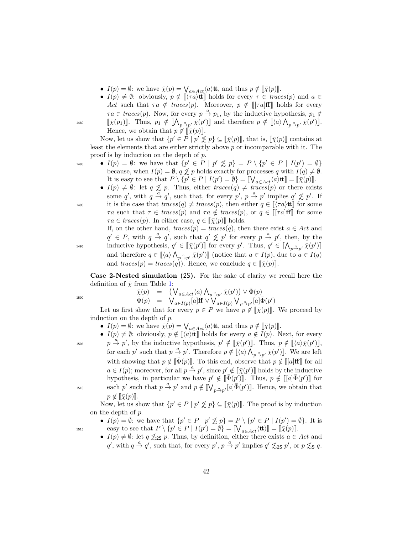- $I(p) = \emptyset$ : we have  $\bar{\chi}(p) = \bigvee_{a \in Act} \langle a \rangle \mathbf{t}$ , and thus  $p \notin [\bar{\chi}(p)]$ .
- $I(p) \neq \emptyset$ : obviously,  $p \notin [\neg(\tau a)\mathbf{t}]$  holds for every  $\tau \in \operatorname{trace}(p)$  and  $a \in \Lambda$  at such that  $\tau a$ ,  $d$  traces(p). Moreover,  $a$ ,  $d$   $[\Gamma_{\mathcal{R}}]$  holds for every Act such that  $\tau a \notin \text{traces}(p)$ . Moreover,  $p \notin [[\tau a] \mathbf{ff}]$  holds for every  $\tau a \in \text{traces}(p)$ . Now, for every  $p \stackrel{a}{\to} p_1$ , by the inductive hypothesis,  $p_1 \notin$ <sup>1480</sup>  $[\![\bar{\chi}(p_1)]\!]$ . Thus,  $p_1 \notin [\![\Lambda_{p\stackrel{\alpha}{\to} p'} \bar{\chi}(p')]$  and therefore  $p \notin [\![(a) \Lambda_{p\stackrel{\alpha}{\to} p'} \bar{\chi}(p')]$ . Hence, we obtain that  $p \notin [\bar{\chi}(p)]$ .

Now, let us show that  $\{p' \in P \mid p' \not\leq p\} \subseteq [\bar{\chi}(p)]$ , that is,  $[\bar{\chi}(p)]$  contains at the elements that are either strictly above a or incomparable with it. The least the elements that are either strictly above p or incomparable with it. The proof is by induction on the depth of p.

- 1485  $I(p) = \emptyset$ : we have that  $\{p' \in P \mid p' \not\leq p\} = P \setminus \{p' \in P \mid I(p') = \emptyset\}$ because, when  $I(p) = \emptyset$ ,  $q \not\leq p$  holds exactly for processes q with  $I(q) \neq \emptyset$ . It is easy to see that  $P \setminus \{p' \in P \mid I(p') = \emptyset\} = \llbracket \bigvee_{a \in Act} \langle a \rangle \mathbf{t} \rrbracket = \llbracket \bar{\chi}(p) \rrbracket.$ <br>  $I(n) \neq \emptyset$ . let  $a \leq n$ . Thus, either traces(a)  $\neq trace(n)$  or there exist
- $I(p) \neq \emptyset$ : let  $q \not\leq p$ . Thus, either  $traces(q) \neq traces(p)$  or there exists some q', with  $q \stackrel{a}{\rightarrow} q'$ , such that, for every  $p'$ ,  $p \stackrel{a}{\rightarrow} p'$  implies  $q' \not\leq p'$ . If <sup>1490</sup> it is the case that  $traces(q) \neq traces(p)$ , then either  $q \in [\langle \tau a \rangle \mathbf{t}]$  for some  $\tau a$  such that  $\tau \in \text{traces}(p)$  and  $\tau a \notin \text{traces}(p)$ , or  $q \in \llbracket [\tau a] \mathbf{ff} \rrbracket$  for some  $\tau a \in \text{traces}(p)$ . In either case,  $q \in ||\bar{\chi}(p)||$  holds.

If, on the other hand,  $traces(p) = traces(q)$ , then there exist  $a \in Act$  and  $q' \in P$ , with  $q \stackrel{a}{\rightarrow} q'$ , such that  $q' \not\leq p'$  for every  $p \stackrel{a}{\rightarrow} p'$ , then, by the inductive hypothesis,  $q' \in [\![\bar{\chi}(p')]\!]$  for every p'. Thus,  $q' \in [\![\Lambda_{p \to p'} \bar{\chi}(p')]\!]$ and therefore  $q \in [\langle a \rangle \bigwedge_{p \stackrel{\alpha}{\rightarrow} p'} \bar{\chi}(p')]$  (notice that  $a \in I(p)$ , due to  $a \in I(q)$ ) and  $traces(p) = traces(q)$ . Hence, we conclude  $q \in [\bar{\chi}(p)]$ .

Case 2-Nested simulation (2S). For the sake of clarity we recall here the definition of  $\bar{\chi}$  from Table [1:](#page-16-0)

$$
\begin{array}{rcl}\n\bar{\chi}(p) & = & \left( \bigvee_{a \in Act} \langle a \rangle \bigwedge_{p \stackrel{\alpha}{\to} p'} \bar{\chi}(p') \right) \vee \bar{\Phi}(p) \\
\bar{\Phi}(p) & = & \bigvee_{a \in I(p)} [a] \mathbf{f} \mathbf{f} \vee \bigvee_{a \in I(p)} \bigvee_{p \stackrel{\alpha}{\to} p'} [a] \bar{\Phi}(p)\n\end{array}
$$

Let us first show that for every  $p \in P$  we have  $p \notin [\bar{\chi}(p)]$ . We proceed by induction on the depth of p.

 $\prime$ 

•  $I(p) = \emptyset$ : we have  $\bar{\chi}(p) = \bigvee_{a \in Act} \langle a \rangle \mathbf{t}$ , and thus  $p \notin [\bar{\chi}(p)]$ .

•  $I(p) \neq \emptyset$ : obviously,  $p \notin [\![\langle a \rangle \mathbf{t}]\!]$  holds for every  $a \notin I(p)$ . Next, for every  $\mathcal{L} \xrightarrow{\alpha} \mathcal{L}$ ,  $\mathcal{L} \xrightarrow{\alpha} \mathcal{L}$ ,  $\mathcal{L} \xrightarrow{\alpha} \mathcal{L} \mathcal{L} \rightarrow \mathcal{L} \xrightarrow{\alpha} \mathcal{L} \mathcal{L} \rightarrow \mathcal{L} \xrightarrow{\alpha} \mathcal{L} \mathcal{L} \rightarrow \mathcal{L} \xrightarrow$ <sup>1505</sup>  $p \stackrel{\alpha}{\rightarrow} p'$ , by the inductive hypothesis,  $p' \notin [\![\bar{\chi}(p')]\!]$ . Thus,  $p \notin [\![\langle a \rangle \bar{\chi}(p')]\!]$ , for each p' such that  $p \stackrel{\alpha}{\to} p'$ . Therefore  $p \notin [a \land \bigwedge_{p \stackrel{\alpha}{\to} p'} \bar{\chi}(p')]$ . We are left with showing that  $p \notin [\bar{\Phi}(p)]$ . To this end, observe that  $p \notin [[a] \mathbf{ff}]]$  for all  $a \in I(p)$ ; moreover, for all  $p \stackrel{a}{\rightarrow} p'$ , since  $p' \notin [\![\bar{\chi}(p')]\!]$  holds by the inductive<br>by position in particular we have  $p' \notin [\![\bar{\chi}(p')]\!]$ . Thus,  $p \notin [\![\alpha]\bar{\phi}(p')]\!]$  for hypothesis, in particular we have  $p' \notin [\![\Phi(p')]\!]$ . Thus,  $p \notin [\![[a]\!] \Phi(p')\!]$  for <sup>1510</sup> each p' such that  $p \stackrel{a}{\to} p'$  and  $p \notin [\![\bigvee_{p \stackrel{a}{\to} p'} [a]\bar{\Phi}(p')]\!]$ . Hence, we obtain that  $p \notin [\![\bar{\chi}(p)]\!]$ .

Now, let us show that  $\{p' \in P \mid p' \not\leq p\} \subseteq [\bar{x}(p)]$ . The proof is by induction the donth of n on the depth of p.

- $I(p) = \emptyset$ : we have that  $\{p' \in P \mid p' \not\leq p\} = P \setminus \{p' \in P \mid I(p') = \emptyset\}$ . It is <sup>1515</sup> easy to see that  $P \setminus \{p' \in P \mid I(p') = \emptyset\} = \llbracket \bigvee_{a \in Act} \langle \mathbf{t} \rangle \rrbracket = \llbracket \bar{\chi}(p) \rrbracket.$ 
	- $I(p) \neq \emptyset$ : let  $q \not\leq_{2S} p$ . Thus, by definition, either there exists  $a \in Act$  and q', with  $q \stackrel{a}{\rightarrow} q'$ , such that, for every  $p'$ ,  $p \stackrel{a}{\rightarrow} p'$  implies  $q' \not\leq_{25} p'$ , or  $p \not\leq_{5} q$ .

1500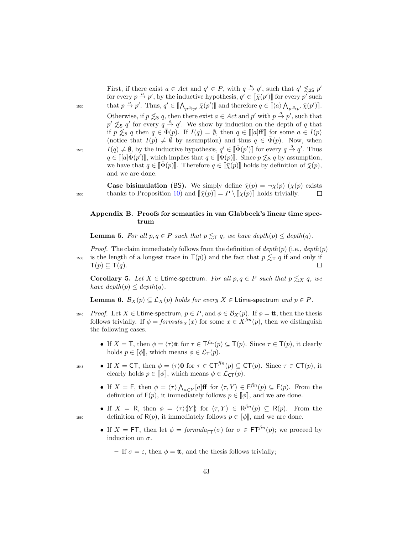First, if there exist  $a \in Act$  and  $q' \in P$ , with  $q \stackrel{a}{\to} q'$ , such that  $q' \not\lesssim_{25} p'$ for every  $p \stackrel{a}{\rightarrow} p'$ , by the inductive hypothesis,  $q' \in [\bar{\chi}(p')]$  for every p' such that  $g \stackrel{a}{\rightarrow} g'$ . There  $g' \in [\bar{\chi}(p')]$  and therefore  $g \in [\bar{\chi}(p')]$ that  $p \stackrel{a}{\to} p'$ . Thus,  $q' \in [\![ {\bigwedge}_{p \stackrel{a}{\to} p'} {\overline{\chi}}(p')]$  and therefore  $q \in [\! [\langle a \rangle {\bigwedge}_{p \stackrel{a}{\to} p'} {\overline{\chi}}(p')]$ . Otherwise, if  $p \not\lesssim_{\mathsf{S}} q$ , then there exist  $a \in Act$  and  $p'$  with  $p \stackrel{a}{\to} p'$ , such that  $p' \nleq s q'$  for every  $q \stackrel{a}{\rightarrow} q'$ . We show by induction on the depth of q that if p  $\leq s$  q then  $q \in \overline{\Phi}(p)$ . If  $I(q) = \emptyset$ , then  $q \in [[a] \mathbf{ff}]]$  for some  $a \in I(p)$ (notice that  $I(p) \neq \emptyset$  by assumption) and thus  $q \in \overline{\Phi}(p)$ . Now, when <sup>1525</sup>  $I(q) \neq \emptyset$ , by the inductive hypothesis,  $q' \in [\![\Phi(p')]\!]$  for every  $q \stackrel{\alpha}{\rightarrow} q'$ . Thus  $q \in [[a]\bar{\Phi}(p')]$ , which implies that  $q \in [[\bar{\Phi}(p)]]$ . Since  $p \not\lesssim q$  by assumption,<br>we have that  $q \in [[\bar{\Phi}(p)]]$ . Therefore  $q \in [[\bar{\Sigma}(p)]]$  holds by definition of  $\bar{\Sigma}(p)$ . we have that  $q \in [\![\Phi(p)]\!]$ . Therefore  $q \in [\![\bar{\chi}(p)]\!]$  holds by definition of  $\bar{\chi}(p)$ , and we are done.

**Case bisimulation (BS).** We simply define  $\bar{\chi}(p) = -\chi(p)$  ( $\chi(p)$  exists <sup>1530</sup> thanks to Proposition [10\)](#page-9-0) and  $\llbracket \bar{\chi}(p) \rrbracket = P \setminus \llbracket \chi(p) \rrbracket$  holds trivially.  $\Box$ 

# <span id="page-42-0"></span>Appendix B. Proofs for semantics in van Glabbeek's linear time spectrum

**Lemma 5.** For all  $p, q \in P$  such that  $p \leq_{\text{T}} q$ , we have depth $(p) \leq depth(q)$ .

*Proof.* The claim immediately follows from the definition of  $depth(p)$  (i.e.,  $depth(p)$ ) <sup>1535</sup> is the length of a longest trace in  $T(p)$  and the fact that  $p \leq_T q$  if and only if  $\mathsf{T}(p) \subseteq \mathsf{T}(q).$ 

<span id="page-42-2"></span>Corollary 5. Let  $X \in L$ time-spectrum. For all  $p, q \in P$  such that  $p \leq_{X} q$ , we have  $depth(p) \leq depth(q)$ .

<span id="page-42-1"></span>**Lemma 6.**  $\mathcal{B}_X(p) \subseteq \mathcal{L}_X(p)$  holds for every  $X \in$  Ltime-spectrum and  $p \in P$ .

- 1540 Proof. Let  $X \in$  Ltime-spectrum,  $p \in P$ , and  $\phi \in \mathcal{B}_X(p)$ . If  $\phi = \mathbf{t}$ , then the thesis follows trivially. If  $\phi = formula_X(x)$  for some  $x \in X^{fin}(p)$ , then we distinguish the following cases.
	- If  $X = \mathsf{T}$ , then  $\phi = \langle \tau \rangle$ **t** for  $\tau \in \mathsf{T}^{\text{fin}}(p) \subseteq \mathsf{T}(p)$ . Since  $\tau \in \mathsf{T}(p)$ , it clearly holds  $p \in \llbracket \phi \rrbracket$ , which means  $\phi \in \mathcal{L}_{\mathsf{T}}(p)$ .
- **•** If  $X = \mathsf{CT}$ , then  $\phi = \langle \tau \rangle$ **0** for  $\tau \in \mathsf{CT}^{\mathit{fin}}(p) \subseteq \mathsf{CT}(p)$ . Since  $\tau \in \mathsf{CT}(p)$ , it clearly holds  $p \in [\![\phi]\!]$ , which means  $\phi \in \mathcal{L}_{\mathsf{CT}}(p)$ .
	- If  $X = \mathsf{F}$ , then  $\phi = \langle \tau \rangle \bigwedge_{a \in Y} [a] \mathbf{f}$  for  $\langle \tau, Y \rangle \in \mathsf{F}^{\mathit{fin}}(p) \subseteq \mathsf{F}(p)$ . From the definition of  $F(p)$ , it immediately follows  $p \in [\![\phi]\!]$ , and we are done.
- If  $X = \mathsf{R}$ , then  $\phi = \langle \tau \rangle \langle Y \rangle$  for  $\langle \tau, Y \rangle \in \mathsf{R}^{\text{fin}}(p) \subseteq \mathsf{R}(p)$ . From the 1550 definition of  $R(p)$ , it immediately follows  $p \in [\![\phi]\!]$ , and we are done.
	- If  $X = \textsf{FT}$ , then let  $\phi = formula_{\textsf{FT}}(\sigma)$  for  $\sigma \in \textsf{FT}^{\text{fin}}(p)$ ; we proceed by induction on  $\sigma$ .

– If  $\sigma = \varepsilon$ , then  $\phi = \mathbf{t}$ , and the thesis follows trivially;

- 
-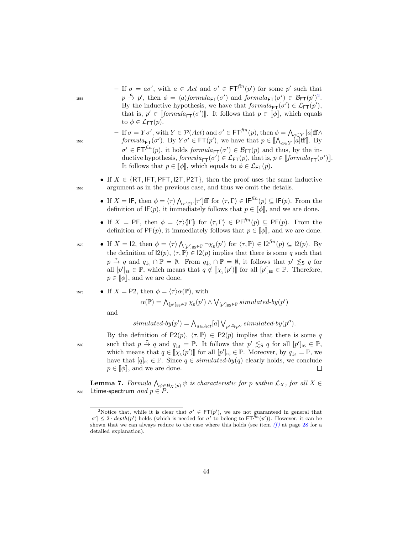- If  $\sigma = a\sigma'$ , with  $a \in Act$  and  $\sigma' \in FT^{\text{fin}}(p')$  for some p' such that <sup>1555</sup>  $p \stackrel{a}{\to} p'$ , then  $\phi = \langle a \rangle$  formula<sub>FT</sub> $(\sigma')$  and formula<sub>FT</sub> $(\sigma') \in \mathcal{B}_{FT}(p')^2$  $(\sigma') \in \mathcal{B}_{FT}(p')^2$ . By the inductive hypothesis, we have that  $formula_{FT}(\sigma') \in \mathcal{L}_{FT}(p'),$ that is,  $p' \in [\text{formula}_{\text{FT}}(\sigma')]$ . It follows that  $p \in [\![\phi]\!]$ , which equals to  $\phi \in \mathcal{L}_{\text{--}}(\infty)$ to  $\phi \in \mathcal{L}_{\mathsf{FT}}(p)$ .
- $-$  If  $\sigma = Y\sigma'$ , with  $Y \in \mathcal{P}(Act)$  and  $\sigma' \in \mathsf{FT}^{\text{fin}}(p)$ , then  $\phi = \bigwedge_{a \in Y} [a] \mathbf{ff} \wedge \sigma'$ <sup>1560</sup> formula<sub>FT</sub>( $\sigma'$ ). By  $Y \sigma' \in FT(p')$ , we have that  $p \in [\![\Lambda_{a \in Y}][a]\!]$ . By  $\sigma' \in \mathsf{FT}^{\text{fin}}(p)$ , it holds  $\text{formula}_{\mathsf{FT}}(\sigma') \in \mathcal{B}_{\mathsf{FT}}(p)$  and thus, by the inductive hypothesis, formula<sub>FT</sub>( $\sigma'$ )  $\in$   $\mathcal{L}_{FT}(p)$ , that is,  $p \in [\text{formula}_{FT}(\sigma')]$ .<br>It follows that  $p \in \llbracket \mathcal{A} \rrbracket$  which couple to  $\phi \in \mathcal{L}_{TT}(p)$ . It follows that  $p \in [\![\phi]\!]$ , which equals to  $\phi \in \mathcal{L}_{\mathsf{FT}}(p)$ .
- If  $X \in \{RT, IFT, PFT, I2T, P2T\}$ , then the proof uses the same inductive <sup>1565</sup> argument as in the previous case, and thus we omit the details.
	- If  $X = \mathsf{IF}$ , then  $\phi = \langle \tau \rangle \bigwedge_{\tau' \in \Gamma} [\tau'] \mathbf{ff}$  for  $\langle \tau, \Gamma \rangle \in \mathsf{IF}^{\text{fin}}(p) \subseteq \mathsf{IF}(p)$ . From the definition of  $IF(p)$ , it immediately follows that  $p \in [\![\phi]\!]$ , and we are done.
	- If  $X = \mathsf{PF}$ , then  $\phi = \langle \tau \rangle \langle \Gamma \rangle$  for  $\langle \tau, \Gamma \rangle \in \mathsf{PF}^{\text{fin}}(p) \subseteq \mathsf{PF}(p)$ . From the definition of  $PF(p)$ , it immediately follows that  $p \in [\![\phi]\!]$ , and we are done.
- 1570 If  $X = 12$ , then  $\phi = \langle \tau \rangle \bigwedge_{[p']_{\text{BS}} \in \mathbb{P}} \neg \chi_{\mathsf{S}}(p')$  for  $\langle \tau, \mathbb{P} \rangle \in 12^{\text{fin}}(p) \subseteq 12(p)$ . By the definition of  $I2(p)$ ,  $\langle \tau, \Psi \rangle \in I2(p)$  implies that there is some q such that  $p \stackrel{\tau}{\rightarrow} q$  and  $q_{\downarrow s} \cap \mathbb{P} = \emptyset$ . From  $q_{\downarrow s} \cap \mathbb{P} = \emptyset$ , it follows that  $p' \not\lesssim_{\mathsf{S}} q$  for all  $[p']_{\text{BS}} \in \mathbb{P}$ , which means that  $q \notin [\![\chi_{\text{S}}(p')]\!]$  for all  $[p']_{\text{BS}} \in \mathbb{P}$ . Therefore,  $p \in [\![\phi]\!]$ , and we are done.

$$
\begin{array}{ll}\n\bullet \text{ If } X = \textsf{P2, then } \phi = \langle \tau \rangle \alpha(\mathbb{P}), \text{ with} \\
\alpha(\mathbb{P}) = \bigwedge_{[p']_{\text{BS}} \in \mathbb{P}} \chi_{\text{S}}(p') \land \bigvee_{[p']_{\text{BS}} \in \mathbb{P}} \text{ simulated-by}(p')\n\end{array}
$$

and

$$
simulated-by(p') = \bigwedge_{a \in Act}[a] \bigvee_{p' \stackrel{a}{\rightarrow} p''} simulated-by(p'').
$$

By the definition of P2(p),  $\langle \tau, \mathbb{P} \rangle \in P2(p)$  implies that there is some q <sup>1580</sup> such that  $p \stackrel{\tau}{\rightarrow} q$  and  $q_{\downarrow s} = \mathbb{P}$ . It follows that  $p' \lesssim_s q$  for all  $[p']_{\text{BS}} \in \mathbb{P}$ , which means that  $q \in [\![\chi_{s}(p')]\!]$  for all  $[p']_{\text{BS}} \in \mathbb{P}$ . Moreover, by  $q_{\downarrow s} = \mathbb{P}$ , we have that  $[\![\alpha]\!] \in \mathbb{P}$ . Since  $q \in \text{simulated back}$  algority holds, we conclude have that  $[q]_{\text{BS}} \in \mathbb{P}$ . Since  $q \in simulated-by(q)$  clearly holds, we conclude  $p \in [\![\phi]\!]$ , and we are done.  $\Box$ 

<span id="page-43-0"></span>**Lemma 7.** Formula  $\bigwedge_{\psi \in \mathcal{B}_X(p)} \psi$  is characteristic for p within  $\mathcal{L}_X$ , for all  $X \in$ 1585 Ltime-spectrum and  $p \in P$ .

|  | ۰.<br>٠<br>. | ٠<br>H.<br>۰. |  |
|--|--------------|---------------|--|
|  |              |               |  |

<span id="page-43-1"></span><sup>&</sup>lt;sup>2</sup>Notice that, while it is clear that  $\sigma' \in FT(p')$ , we are not guaranteed in general that  $|\sigma'| \leq 2 \cdot depth(p')$  holds (which is needed for  $\sigma'$  to belong to  $FT^{\hat{f}n}(p')$ ). However, it can be shown that we can always reduce to the case where this holds (see item  $(f)$  at page [28](#page-27-6) for a detailed explanation).